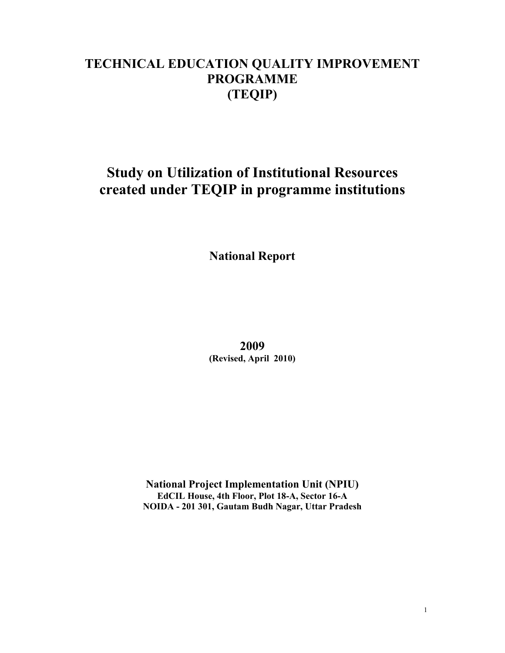## **TECHNICAL EDUCATION QUALITY IMPROVEMENT PROGRAMME (TEQIP)**

# **Study on Utilization of Institutional Resources created under TEQIP in programme institutions**

**National Report** 

**2009 (Revised, April 2010)** 

**National Project Implementation Unit (NPIU) EdCIL House, 4th Floor, Plot 18-A, Sector 16-A NOIDA - 201 301, Gautam Budh Nagar, Uttar Pradesh**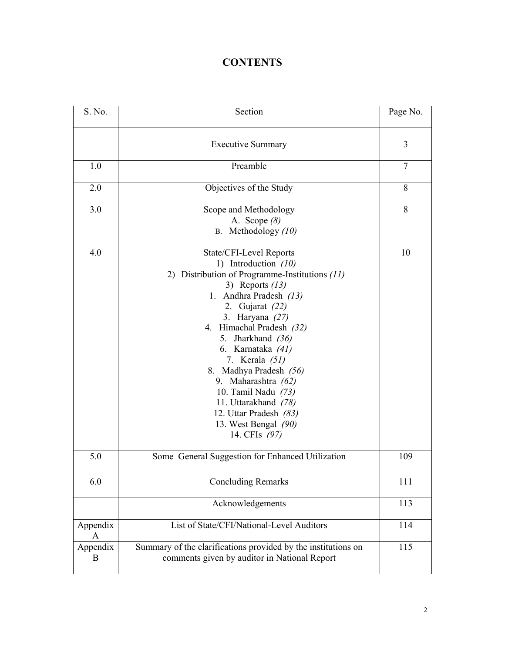## **CONTENTS**

| S. No.        | Section                                                                                                                                                                                                                                                                                                                                                                                                                                              | Page No.       |
|---------------|------------------------------------------------------------------------------------------------------------------------------------------------------------------------------------------------------------------------------------------------------------------------------------------------------------------------------------------------------------------------------------------------------------------------------------------------------|----------------|
|               | <b>Executive Summary</b>                                                                                                                                                                                                                                                                                                                                                                                                                             | 3              |
| 1.0           | Preamble                                                                                                                                                                                                                                                                                                                                                                                                                                             | $\overline{7}$ |
| 2.0           | Objectives of the Study                                                                                                                                                                                                                                                                                                                                                                                                                              | 8              |
| 3.0           | Scope and Methodology<br>A. Scope $(8)$<br>Methodology (10)<br><b>B.</b>                                                                                                                                                                                                                                                                                                                                                                             | 8              |
| 4.0           | State/CFI-Level Reports<br>1) Introduction (10)<br>2) Distribution of Programme-Institutions (11)<br>3) Reports $(13)$<br>1. Andhra Pradesh (13)<br>Gujarat (22)<br>2.<br>3. Haryana (27)<br>4. Himachal Pradesh (32)<br>5. Jharkhand (36)<br>6. Karnataka (41)<br>7. Kerala (51)<br>8. Madhya Pradesh (56)<br>9. Maharashtra (62)<br>10. Tamil Nadu (73)<br>11. Uttarakhand (78)<br>12. Uttar Pradesh (83)<br>13. West Bengal (90)<br>14. CFIs (97) | 10             |
| 5.0           | Some General Suggestion for Enhanced Utilization                                                                                                                                                                                                                                                                                                                                                                                                     | 109            |
| 6.0           | <b>Concluding Remarks</b>                                                                                                                                                                                                                                                                                                                                                                                                                            | 111            |
|               | Acknowledgements                                                                                                                                                                                                                                                                                                                                                                                                                                     | 113            |
| Appendix<br>A | List of State/CFI/National-Level Auditors                                                                                                                                                                                                                                                                                                                                                                                                            | 114            |
| Appendix<br>B | Summary of the clarifications provided by the institutions on<br>comments given by auditor in National Report                                                                                                                                                                                                                                                                                                                                        | 115            |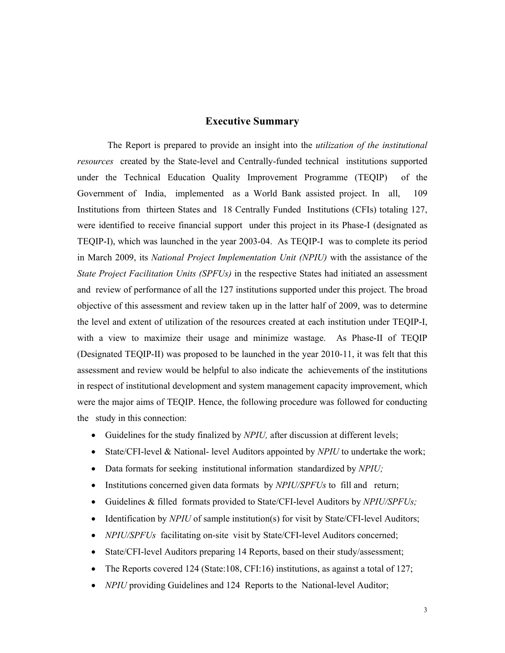## **Executive Summary**

 The Report is prepared to provide an insight into the *utilization of the institutional resources* created by the State-level and Centrally-funded technical institutions supported under the Technical Education Quality Improvement Programme (TEQIP) of the Government of India, implemented as a World Bank assisted project. In all, 109 Institutions from thirteen States and 18 Centrally Funded Institutions (CFIs) totaling 127, were identified to receive financial support under this project in its Phase-I (designated as TEQIP-I), which was launched in the year 2003-04. As TEQIP-I was to complete its period in March 2009, its *National Project Implementation Unit (NPIU)* with the assistance of the *State Project Facilitation Units (SPFUs)* in the respective States had initiated an assessment and review of performance of all the 127 institutions supported under this project. The broad objective of this assessment and review taken up in the latter half of 2009, was to determine the level and extent of utilization of the resources created at each institution under TEQIP-I, with a view to maximize their usage and minimize wastage. As Phase-II of TEQIP (Designated TEQIP-II) was proposed to be launched in the year 2010-11, it was felt that this assessment and review would be helpful to also indicate the achievements of the institutions in respect of institutional development and system management capacity improvement, which were the major aims of TEQIP. Hence, the following procedure was followed for conducting the study in this connection:

- Guidelines for the study finalized by *NPIU,* after discussion at different levels;
- State/CFI-level & National- level Auditors appointed by *NPIU* to undertake the work;
- Data formats for seeking institutional information standardized by *NPIU;*
- Institutions concerned given data formats by *NPIU/SPFUs* to fill and return;
- Guidelines & filled formats provided to State/CFI-level Auditors by *NPIU/SPFUs;*
- Identification by *NPIU* of sample institution(s) for visit by State/CFI-level Auditors;
- *NPIU/SPFUs* facilitating on-site visit by State/CFI-level Auditors concerned;
- State/CFI-level Auditors preparing 14 Reports, based on their study/assessment;
- The Reports covered 124 (State:108, CFI:16) institutions, as against a total of 127;
- *NPIU* providing Guidelines and 124 Reports to the National-level Auditor;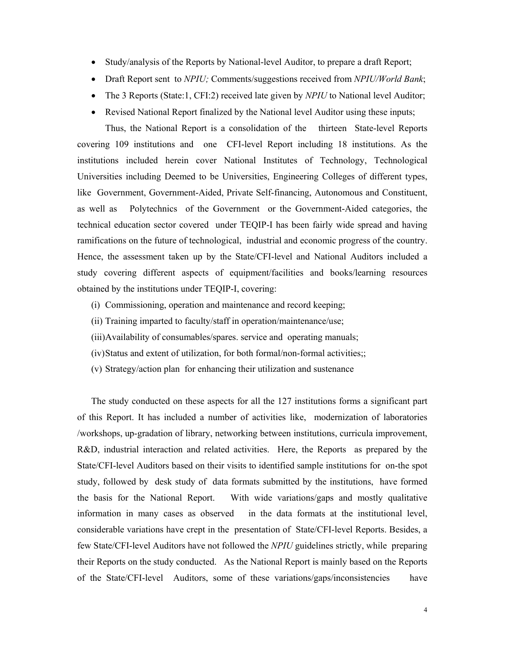- Study/analysis of the Reports by National-level Auditor, to prepare a draft Report;
- Draft Report sent to *NPIU;* Comments/suggestions received from *NPIU/World Bank*;
- The 3 Reports (State:1, CFI:2) received late given by *NPIU* to National level Auditor;
- Revised National Report finalized by the National level Auditor using these inputs;

 Thus, the National Report is a consolidation of the thirteen State-level Reports covering 109 institutions and one CFI-level Report including 18 institutions. As the institutions included herein cover National Institutes of Technology, Technological Universities including Deemed to be Universities, Engineering Colleges of different types, like Government, Government-Aided, Private Self-financing, Autonomous and Constituent, as well as Polytechnics of the Government or the Government-Aided categories, the technical education sector covered under TEQIP-I has been fairly wide spread and having ramifications on the future of technological, industrial and economic progress of the country. Hence, the assessment taken up by the State/CFI-level and National Auditors included a study covering different aspects of equipment/facilities and books/learning resources obtained by the institutions under TEQIP-I, covering:

- (i) Commissioning, operation and maintenance and record keeping;
- (ii) Training imparted to faculty/staff in operation/maintenance/use;
- (iii)Availability of consumables/spares. service and operating manuals;
- (iv)Status and extent of utilization, for both formal/non-formal activities;;
- (v) Strategy/action plan for enhancing their utilization and sustenance

 The study conducted on these aspects for all the 127 institutions forms a significant part of this Report. It has included a number of activities like, modernization of laboratories /workshops, up-gradation of library, networking between institutions, curricula improvement, R&D, industrial interaction and related activities. Here, the Reports as prepared by the State/CFI-level Auditors based on their visits to identified sample institutions for on-the spot study, followed by desk study of data formats submitted by the institutions, have formed the basis for the National Report. With wide variations/gaps and mostly qualitative information in many cases as observed in the data formats at the institutional level, considerable variations have crept in the presentation of State/CFI-level Reports. Besides, a few State/CFI-level Auditors have not followed the *NPIU* guidelines strictly, while preparing their Reports on the study conducted. As the National Report is mainly based on the Reports of the State/CFI-level Auditors, some of these variations/gaps/inconsistencies have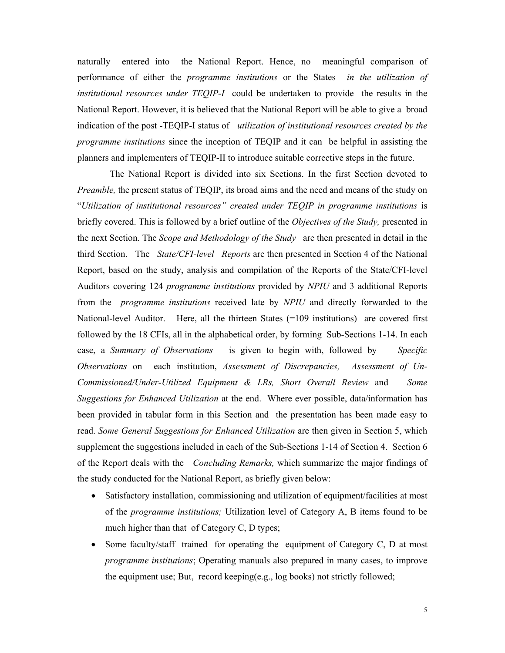naturally entered into the National Report. Hence, no meaningful comparison of performance of either the *programme institutions* or the States *in the utilization of institutional resources under TEQIP-I* could be undertaken to provide the results in the National Report. However, it is believed that the National Report will be able to give a broad indication of the post -TEQIP-I status of *utilization of institutional resources created by the programme institutions* since the inception of TEQIP and it can be helpful in assisting the planners and implementers of TEQIP-II to introduce suitable corrective steps in the future.

 The National Report is divided into six Sections. In the first Section devoted to *Preamble,* the present status of TEQIP, its broad aims and the need and means of the study on "*Utilization of institutional resources" created under TEQIP in programme institutions* is briefly covered. This is followed by a brief outline of the *Objectives of the Study,* presented in the next Section. The *Scope and Methodology of the Study* are then presented in detail in the third Section. The *State/CFI-level Reports* are then presented in Section 4 of the National Report, based on the study, analysis and compilation of the Reports of the State/CFI-level Auditors covering 124 *programme institutions* provided by *NPIU* and 3 additional Reports from the *programme institutions* received late by *NPIU* and directly forwarded to the National-level Auditor. Here, all the thirteen States (=109 institutions) are covered first followed by the 18 CFIs, all in the alphabetical order, by forming Sub-Sections 1-14. In each case, a *Summary of Observations* is given to begin with, followed by *Specific Observations* on each institution, *Assessment of Discrepancies, Assessment of Un-Commissioned/Under-Utilized Equipment & LRs, Short Overall Review* and *Some Suggestions for Enhanced Utilization* at the end. Where ever possible, data/information has been provided in tabular form in this Section and the presentation has been made easy to read. *Some General Suggestions for Enhanced Utilization* are then given in Section 5, which supplement the suggestions included in each of the Sub-Sections 1-14 of Section 4. Section 6 of the Report deals with the *Concluding Remarks,* which summarize the major findings of the study conducted for the National Report, as briefly given below:

- Satisfactory installation, commissioning and utilization of equipment/facilities at most of the *programme institutions;* Utilization level of Category A, B items found to be much higher than that of Category C, D types;
- Some faculty/staff trained for operating the equipment of Category C, D at most *programme institutions*; Operating manuals also prepared in many cases, to improve the equipment use; But, record keeping(e.g., log books) not strictly followed;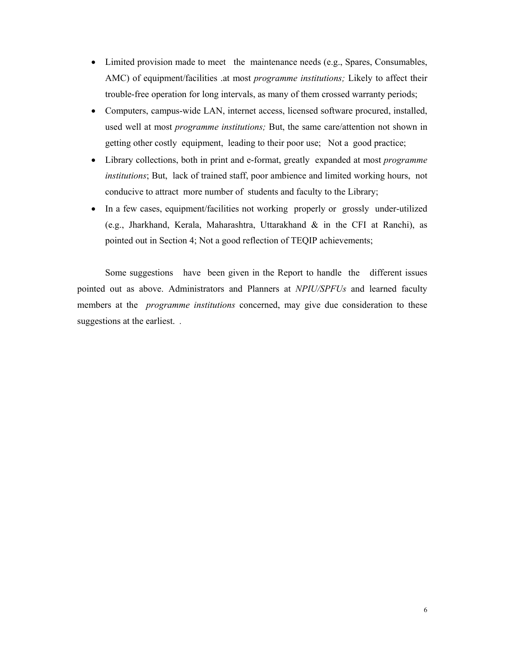- Limited provision made to meet the maintenance needs (e.g., Spares, Consumables, AMC) of equipment/facilities .at most *programme institutions;* Likely to affect their trouble-free operation for long intervals, as many of them crossed warranty periods;
- Computers, campus-wide LAN, internet access, licensed software procured, installed, used well at most *programme institutions;* But, the same care/attention not shown in getting other costly equipment, leading to their poor use; Not a good practice;
- Library collections, both in print and e-format, greatly expanded at most *programme institutions*; But, lack of trained staff, poor ambience and limited working hours, not conducive to attract more number of students and faculty to the Library;
- In a few cases, equipment/facilities not working properly or grossly under-utilized (e.g., Jharkhand, Kerala, Maharashtra, Uttarakhand & in the CFI at Ranchi), as pointed out in Section 4; Not a good reflection of TEQIP achievements;

 Some suggestions have been given in the Report to handle the different issues pointed out as above. Administrators and Planners at *NPIU/SPFUs* and learned faculty members at the *programme institutions* concerned, may give due consideration to these suggestions at the earliest. *.*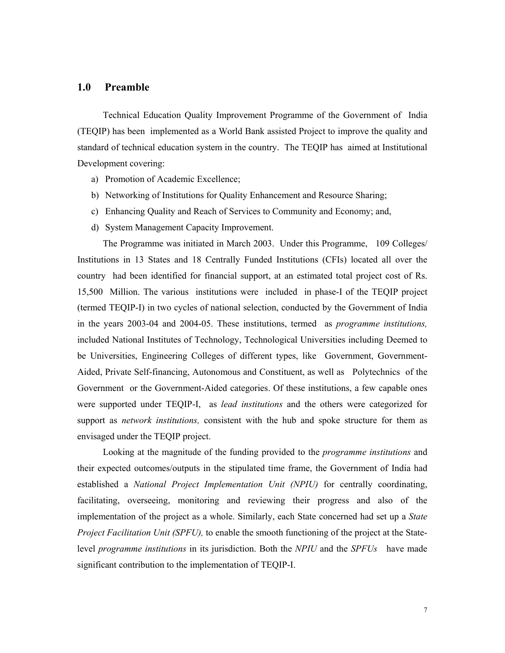## **1.0 Preamble**

 Technical Education Quality Improvement Programme of the Government of India (TEQIP) has been implemented as a World Bank assisted Project to improve the quality and standard of technical education system in the country. The TEQIP has aimed at Institutional Development covering:

- a) Promotion of Academic Excellence;
- b) Networking of Institutions for Quality Enhancement and Resource Sharing;
- c) Enhancing Quality and Reach of Services to Community and Economy; and,
- d) System Management Capacity Improvement.

 The Programme was initiated in March 2003. Under this Programme, 109 Colleges/ Institutions in 13 States and 18 Centrally Funded Institutions (CFIs) located all over the country had been identified for financial support, at an estimated total project cost of Rs. 15,500 Million. The various institutions were included in phase-I of the TEQIP project (termed TEQIP-I) in two cycles of national selection, conducted by the Government of India in the years 2003-04 and 2004-05. These institutions, termed as *programme institutions,* included National Institutes of Technology, Technological Universities including Deemed to be Universities, Engineering Colleges of different types, like Government, Government-Aided, Private Self-financing, Autonomous and Constituent, as well as Polytechnics of the Government or the Government-Aided categories. Of these institutions, a few capable ones were supported under TEQIP-I, as *lead institutions* and the others were categorized for support as *network institutions,* consistent with the hub and spoke structure for them as envisaged under the TEQIP project.

 Looking at the magnitude of the funding provided to the *programme institutions* and their expected outcomes/outputs in the stipulated time frame, the Government of India had established a *National Project Implementation Unit (NPIU)* for centrally coordinating, facilitating, overseeing, monitoring and reviewing their progress and also of the implementation of the project as a whole. Similarly, each State concerned had set up a *State Project Facilitation Unit (SPFU),* to enable the smooth functioning of the project at the Statelevel *programme institutions* in its jurisdiction. Both the *NPIU* and the *SPFUs* have made significant contribution to the implementation of TEQIP-I.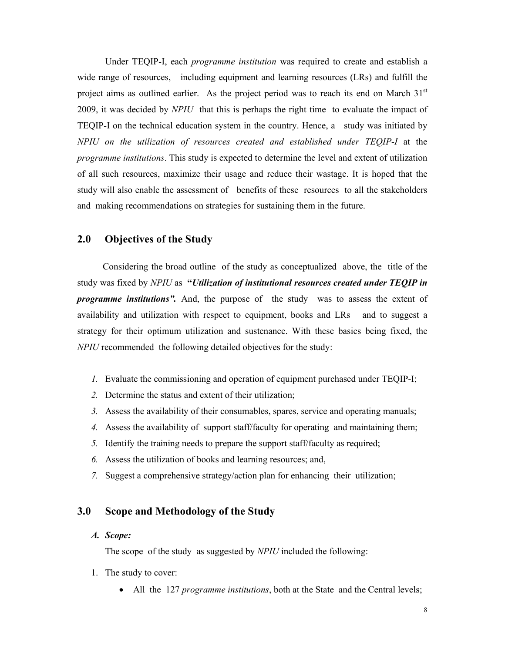Under TEQIP-I, each *programme institution* was required to create and establish a wide range of resources, including equipment and learning resources (LRs) and fulfill the project aims as outlined earlier. As the project period was to reach its end on March  $31<sup>st</sup>$ 2009, it was decided by *NPIU* that this is perhaps the right time to evaluate the impact of TEQIP-I on the technical education system in the country. Hence, a study was initiated by *NPIU on the utilization of resources created and established under TEQIP-I* at the *programme institutions*. This study is expected to determine the level and extent of utilization of all such resources, maximize their usage and reduce their wastage. It is hoped that the study will also enable the assessment of benefits of these resources to all the stakeholders and making recommendations on strategies for sustaining them in the future.

## **2.0 Objectives of the Study**

Considering the broad outline of the study as conceptualized above, the title of the study was fixed by *NPIU* as **"***Utilization of institutional resources created under TEQIP in programme institutions".* And, the purpose of the study was to assess the extent of availability and utilization with respect to equipment, books and LRs and to suggest a strategy for their optimum utilization and sustenance. With these basics being fixed, the *NPIU* recommended the following detailed objectives for the study:

- *1.* Evaluate the commissioning and operation of equipment purchased under TEQIP-I;
- *2.* Determine the status and extent of their utilization;
- *3.* Assess the availability of their consumables, spares, service and operating manuals;
- *4.* Assess the availability of support staff/faculty for operating and maintaining them;
- *5.* Identify the training needs to prepare the support staff/faculty as required;
- *6.* Assess the utilization of books and learning resources; and,
- *7.* Suggest a comprehensive strategy/action plan for enhancing their utilization;

## **3.0 Scope and Methodology of the Study**

#### *A. Scope:*

The scope of the study as suggested by *NPIU* included the following:

- 1. The study to cover:
	- All the 127 *programme institutions*, both at the State and the Central levels;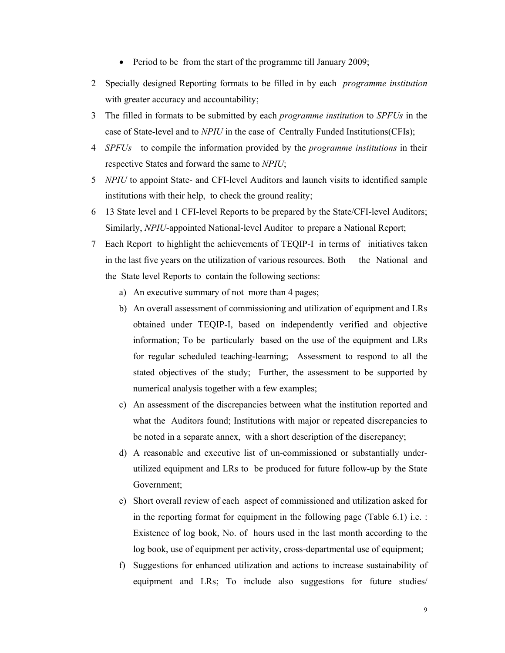- Period to be from the start of the programme till January 2009;
- 2 Specially designed Reporting formats to be filled in by each *programme institution* with greater accuracy and accountability;
- 3 The filled in formats to be submitted by each *programme institution* to *SPFUs* in the case of State-level and to *NPIU* in the case of Centrally Funded Institutions(CFIs);
- 4 *SPFUs* to compile the information provided by the *programme institutions* in their respective States and forward the same to *NPIU*;
- 5 *NPIU* to appoint State- and CFI-level Auditors and launch visits to identified sample institutions with their help, to check the ground reality;
- 6 13 State level and 1 CFI-level Reports to be prepared by the State/CFI-level Auditors; Similarly, *NPIU*-appointed National-level Auditor to prepare a National Report;
- 7 Each Report to highlight the achievements of TEQIP-I in terms of initiatives taken in the last five years on the utilization of various resources. Both the National and the State level Reports to contain the following sections:
	- a) An executive summary of not more than 4 pages;
	- b) An overall assessment of commissioning and utilization of equipment and LRs obtained under TEQIP-I, based on independently verified and objective information; To be particularly based on the use of the equipment and LRs for regular scheduled teaching-learning; Assessment to respond to all the stated objectives of the study; Further, the assessment to be supported by numerical analysis together with a few examples;
	- c) An assessment of the discrepancies between what the institution reported and what the Auditors found; Institutions with major or repeated discrepancies to be noted in a separate annex, with a short description of the discrepancy;
	- d) A reasonable and executive list of un-commissioned or substantially underutilized equipment and LRs to be produced for future follow-up by the State Government;
	- e) Short overall review of each aspect of commissioned and utilization asked for in the reporting format for equipment in the following page (Table 6.1) i.e. : Existence of log book, No. of hours used in the last month according to the log book, use of equipment per activity, cross-departmental use of equipment;
	- f) Suggestions for enhanced utilization and actions to increase sustainability of equipment and LRs; To include also suggestions for future studies/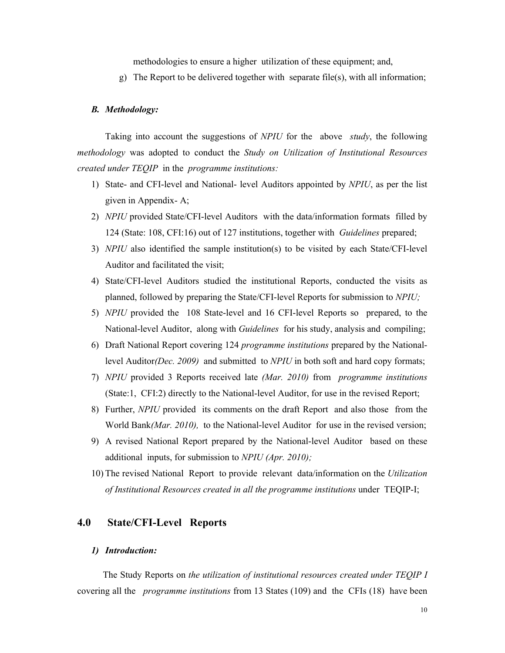methodologies to ensure a higher utilization of these equipment; and,

g) The Report to be delivered together with separate file(s), with all information;

#### *B. Methodology:*

 Taking into account the suggestions of *NPIU* for the above *study*, the following *methodology* was adopted to conduct the *Study on Utilization of Institutional Resources created under TEQIP* in the *programme institutions:* 

- 1) State- and CFI-level and National- level Auditors appointed by *NPIU*, as per the list given in Appendix- A;
- 2) *NPIU* provided State/CFI-level Auditors with the data/information formats filled by 124 (State: 108, CFI:16) out of 127 institutions, together with *Guidelines* prepared;
- 3) *NPIU* also identified the sample institution(s) to be visited by each State/CFI-level Auditor and facilitated the visit;
- 4) State/CFI-level Auditors studied the institutional Reports, conducted the visits as planned, followed by preparing the State/CFI-level Reports for submission to *NPIU;*
- 5) *NPIU* provided the 108 State-level and 16 CFI-level Reports so prepared, to the National-level Auditor, along with *Guidelines* for his study, analysis and compiling;
- 6) Draft National Report covering 124 *programme institutions* prepared by the Nationallevel Auditor*(Dec. 2009)* and submitted to *NPIU* in both soft and hard copy formats;
- 7) *NPIU* provided 3 Reports received late *(Mar. 2010)* from *programme institutions*  (State:1, CFI:2) directly to the National-level Auditor, for use in the revised Report;
- 8) Further, *NPIU* provided its comments on the draft Report and also those from the World Bank*(Mar. 2010),* to the National-level Auditor for use in the revised version;
- 9) A revised National Report prepared by the National-level Auditor based on these additional inputs, for submission to *NPIU (Apr. 2010);*
- 10) The revised National Report to provide relevant data/information on the *Utilization of Institutional Resources created in all the programme institutions* under TEQIP-I;

## **4.0 State/CFI-Level Reports**

#### *1) Introduction:*

 The Study Reports on *the utilization of institutional resources created under TEQIP I* covering all the *programme institutions* from 13 States (109) and the CFIs (18) have been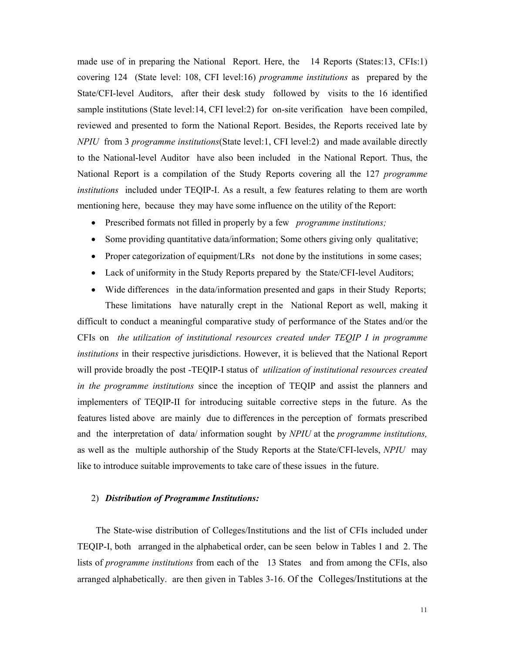made use of in preparing the National Report. Here, the 14 Reports (States:13, CFIs:1) covering 124 (State level: 108, CFI level:16) *programme institutions* as prepared by the State/CFI-level Auditors, after their desk study followed by visits to the 16 identified sample institutions (State level:14, CFI level:2) for on-site verification have been compiled, reviewed and presented to form the National Report. Besides, the Reports received late by *NPIU* from 3 *programme institutions*(State level:1, CFI level:2) and made available directly to the National-level Auditor have also been included in the National Report. Thus, the National Report is a compilation of the Study Reports covering all the 127 *programme institutions* included under TEQIP-I. As a result, a few features relating to them are worth mentioning here, because they may have some influence on the utility of the Report:

- Prescribed formats not filled in properly by a few *programme institutions;*
- Some providing quantitative data/information; Some others giving only qualitative;
- Proper categorization of equipment/LRs not done by the institutions in some cases;
- Lack of uniformity in the Study Reports prepared by the State/CFI-level Auditors;
- Wide differences in the data/information presented and gaps in their Study Reports;

 These limitations have naturally crept in the National Report as well, making it difficult to conduct a meaningful comparative study of performance of the States and/or the CFIs on *the utilization of institutional resources created under TEQIP I in programme institutions* in their respective jurisdictions. However, it is believed that the National Report will provide broadly the post -TEQIP-I status of *utilization of institutional resources created in the programme institutions* since the inception of TEQIP and assist the planners and implementers of TEQIP-II for introducing suitable corrective steps in the future. As the features listed above are mainly due to differences in the perception of formats prescribed and the interpretation of data/ information sought by *NPIU* at the *programme institutions,*  as well as the multiple authorship of the Study Reports at the State/CFI-levels, *NPIU* may like to introduce suitable improvements to take care of these issues in the future.

## 2) *Distribution of Programme Institutions:*

 The State-wise distribution of Colleges/Institutions and the list of CFIs included under TEQIP-I, both arranged in the alphabetical order, can be seen below in Tables 1 and 2. The lists of *programme institutions* from each of the 13 States and from among the CFIs, also arranged alphabetically. are then given in Tables 3-16. Of the Colleges/Institutions at the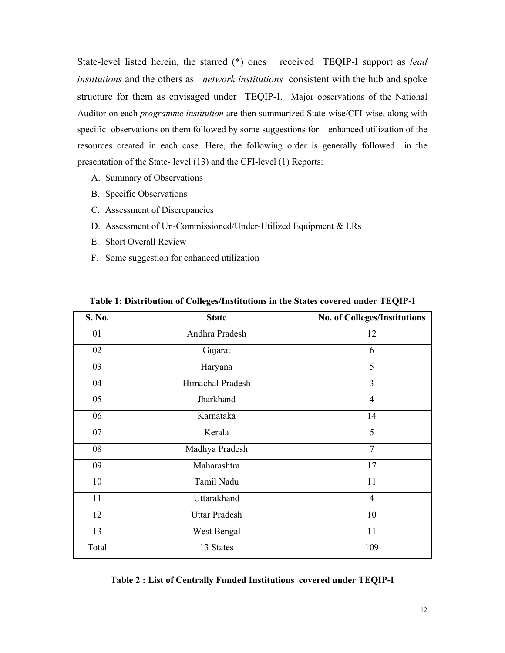State-level listed herein, the starred (\*) ones received TEQIP-I support as *lead institutions* and the others as *network institutions* consistent with the hub and spoke structure for them as envisaged under TEQIP-I. Major observations of the National Auditor on each *programme institution* are then summarized State-wise/CFI-wise, along with specific observations on them followed by some suggestions for enhanced utilization of the resources created in each case. Here, the following order is generally followed in the presentation of the State- level (13) and the CFI-level (1) Reports:

- A. Summary of Observations
- B. Specific Observations
- C. Assessment of Discrepancies
- D. Assessment of Un-Commissioned/Under-Utilized Equipment & LRs
- E. Short Overall Review
- F. Some suggestion for enhanced utilization

| S. No. | <b>State</b>         | <b>No. of Colleges/Institutions</b> |
|--------|----------------------|-------------------------------------|
| 01     | Andhra Pradesh       | 12                                  |
| 02     | Gujarat              | 6                                   |
| 03     | Haryana              | 5                                   |
| 04     | Himachal Pradesh     | 3                                   |
| 05     | Jharkhand            | $\overline{4}$                      |
| 06     | Karnataka            | 14                                  |
| 07     | Kerala               | 5                                   |
| 08     | Madhya Pradesh       | $\overline{7}$                      |
| 09     | Maharashtra          | 17                                  |
| 10     | Tamil Nadu           | 11                                  |
| 11     | Uttarakhand          | $\overline{4}$                      |
| 12     | <b>Uttar Pradesh</b> | 10                                  |
| 13     | West Bengal          | 11                                  |
| Total  | 13 States            | 109                                 |

**Table 1: Distribution of Colleges/Institutions in the States covered under TEQIP-I** 

|  |  | Table 2 : List of Centrally Funded Institutions covered under TEQIP-I |
|--|--|-----------------------------------------------------------------------|
|--|--|-----------------------------------------------------------------------|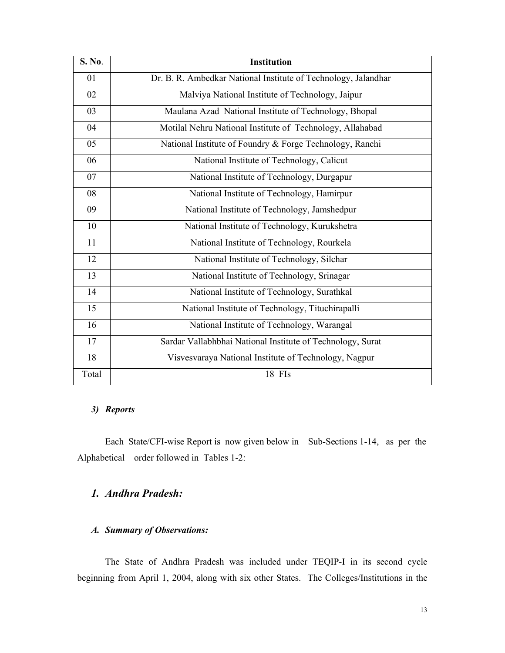| <b>S. No.</b> | <b>Institution</b>                                             |
|---------------|----------------------------------------------------------------|
| 01            | Dr. B. R. Ambedkar National Institute of Technology, Jalandhar |
| 02            | Malviya National Institute of Technology, Jaipur               |
| 03            | Maulana Azad National Institute of Technology, Bhopal          |
| 04            | Motilal Nehru National Institute of Technology, Allahabad      |
| 05            | National Institute of Foundry & Forge Technology, Ranchi       |
| 06            | National Institute of Technology, Calicut                      |
| 07            | National Institute of Technology, Durgapur                     |
| 08            | National Institute of Technology, Hamirpur                     |
| 09            | National Institute of Technology, Jamshedpur                   |
| 10            | National Institute of Technology, Kurukshetra                  |
| 11            | National Institute of Technology, Rourkela                     |
| 12            | National Institute of Technology, Silchar                      |
| 13            | National Institute of Technology, Srinagar                     |
| 14            | National Institute of Technology, Surathkal                    |
| 15            | National Institute of Technology, Tituchirapalli               |
| 16            | National Institute of Technology, Warangal                     |
| 17            | Sardar Vallabhbhai National Institute of Technology, Surat     |
| 18            | Visvesvaraya National Institute of Technology, Nagpur          |
| Total         | 18 FIs                                                         |

## *3) Reports*

Each State/CFI-wise Report is now given below in Sub-Sections 1-14, as per the Alphabetical order followed in Tables 1-2:

## *1. Andhra Pradesh:*

## *A. Summary of Observations:*

The State of Andhra Pradesh was included under TEQIP-I in its second cycle beginning from April 1, 2004, along with six other States. The Colleges/Institutions in the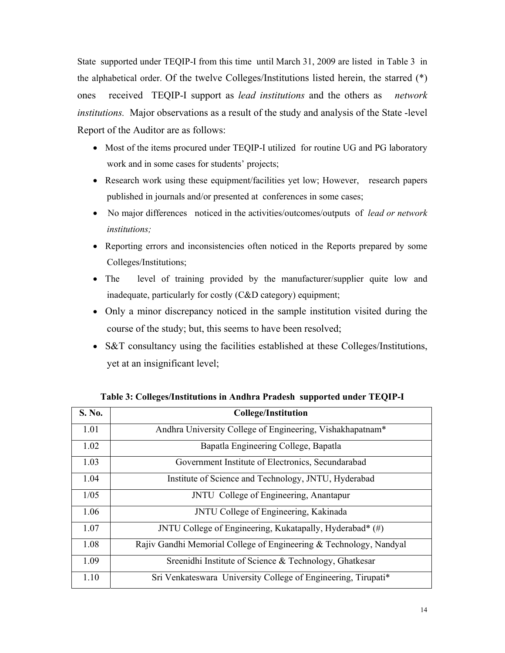State supported under TEQIP-I from this time until March 31, 2009 are listed in Table 3 in the alphabetical order. Of the twelve Colleges/Institutions listed herein, the starred (\*) ones received TEQIP-I support as *lead institutions* and the others as *network institutions.* Major observations as a result of the study and analysis of the State -level Report of the Auditor are as follows:

- Most of the items procured under TEQIP-I utilized for routine UG and PG laboratory work and in some cases for students' projects;
- Research work using these equipment/facilities yet low; However, research papers published in journals and/or presented at conferences in some cases;
- No major differences noticed in the activities/outcomes/outputs of *lead or network institutions;*
- Reporting errors and inconsistencies often noticed in the Reports prepared by some Colleges/Institutions;
- The level of training provided by the manufacturer/supplier quite low and inadequate, particularly for costly (C&D category) equipment;
- Only a minor discrepancy noticed in the sample institution visited during the course of the study; but, this seems to have been resolved;
- S&T consultancy using the facilities established at these Colleges/Institutions, yet at an insignificant level;

| S. No. | <b>College/Institution</b>                                         |
|--------|--------------------------------------------------------------------|
| 1.01   | Andhra University College of Engineering, Vishakhapatnam*          |
| 1.02   | Bapatla Engineering College, Bapatla                               |
| 1.03   | Government Institute of Electronics, Secundarabad                  |
| 1.04   | Institute of Science and Technology, JNTU, Hyderabad               |
| 1/05   | JNTU College of Engineering, Anantapur                             |
| 1.06   | JNTU College of Engineering, Kakinada                              |
| 1.07   | JNTU College of Engineering, Kukatapally, Hyderabad* (#)           |
| 1.08   | Rajiv Gandhi Memorial College of Engineering & Technology, Nandyal |
| 1.09   | Sreenidhi Institute of Science & Technology, Ghatkesar             |
| 1.10   | Sri Venkateswara University College of Engineering, Tirupati*      |

**Table 3: Colleges/Institutions in Andhra Pradesh supported under TEQIP-I**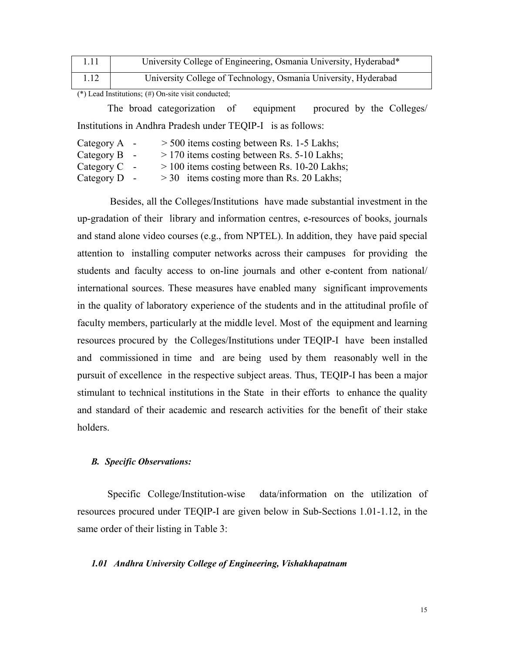|                                                           | University College of Engineering, Osmania University, Hyderabad* |
|-----------------------------------------------------------|-------------------------------------------------------------------|
| 1.12                                                      | University College of Technology, Osmania University, Hyderabad   |
| $\sim$ . The set of $\sim$ and $\sim$ . The set of $\sim$ |                                                                   |

(\*) Lead Institutions; (#) On-site visit conducted;

 The broad categorization of equipment procured by the Colleges/ Institutions in Andhra Pradesh under TEQIP-I is as follows:

| Category $A -$ |        | $>$ 500 items costing between Rs. 1-5 Lakhs;   |
|----------------|--------|------------------------------------------------|
| Category B     | $\sim$ | $>$ 170 items costing between Rs. 5-10 Lakhs;  |
| Category C     |        | $> 100$ items costing between Rs. 10-20 Lakhs; |
| Category $D -$ |        | $>$ 30 items costing more than Rs. 20 Lakhs;   |

 Besides, all the Colleges/Institutions have made substantial investment in the up-gradation of their library and information centres, e-resources of books, journals and stand alone video courses (e.g., from NPTEL). In addition, they have paid special attention to installing computer networks across their campuses for providing the students and faculty access to on-line journals and other e-content from national/ international sources. These measures have enabled many significant improvements in the quality of laboratory experience of the students and in the attitudinal profile of faculty members, particularly at the middle level. Most of the equipment and learning resources procured by the Colleges/Institutions under TEQIP-I have been installed and commissioned in time and are being used by them reasonably well in the pursuit of excellence in the respective subject areas. Thus, TEQIP-I has been a major stimulant to technical institutions in the State in their efforts to enhance the quality and standard of their academic and research activities for the benefit of their stake holders.

## *B. Specific Observations:*

 Specific College/Institution-wise data/information on the utilization of resources procured under TEQIP-I are given below in Sub-Sections 1.01-1.12, in the same order of their listing in Table 3:

## *1.01 Andhra University College of Engineering, Vishakhapatnam*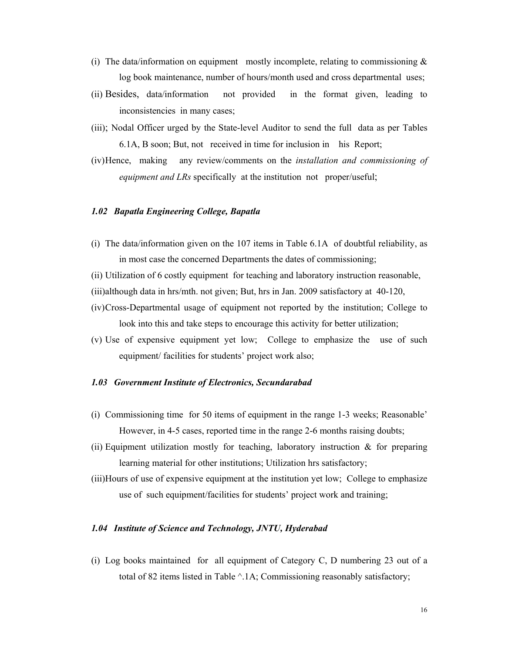- (i) The data/information on equipment mostly incomplete, relating to commissioning  $\&$ log book maintenance, number of hours/month used and cross departmental uses;
- (ii) Besides, data/information not provided in the format given, leading to inconsistencies in many cases;
- (iii); Nodal Officer urged by the State-level Auditor to send the full data as per Tables 6.1A, B soon; But, not received in time for inclusion in his Report;
- (iv)Hence, making any review/comments on the *installation and commissioning of equipment and LRs* specifically at the institution not proper/useful;

#### *1.02 Bapatla Engineering College, Bapatla*

- (i) The data/information given on the 107 items in Table 6.1A of doubtful reliability, as in most case the concerned Departments the dates of commissioning;
- (ii) Utilization of 6 costly equipment for teaching and laboratory instruction reasonable,
- (iii)although data in hrs/mth. not given; But, hrs in Jan. 2009 satisfactory at 40-120,
- (iv)Cross-Departmental usage of equipment not reported by the institution; College to look into this and take steps to encourage this activity for better utilization;
- (v) Use of expensive equipment yet low; College to emphasize the use of such equipment/ facilities for students' project work also;

#### *1.03 Government Institute of Electronics, Secundarabad*

- (i) Commissioning time for 50 items of equipment in the range 1-3 weeks; Reasonable' However, in 4-5 cases, reported time in the range 2-6 months raising doubts;
- (ii) Equipment utilization mostly for teaching, laboratory instruction  $\&$  for preparing learning material for other institutions; Utilization hrs satisfactory;
- (iii)Hours of use of expensive equipment at the institution yet low; College to emphasize use of such equipment/facilities for students' project work and training;

#### *1.04 Institute of Science and Technology, JNTU, Hyderabad*

(i) Log books maintained for all equipment of Category C, D numbering 23 out of a total of 82 items listed in Table  $\triangle$  1A; Commissioning reasonably satisfactory;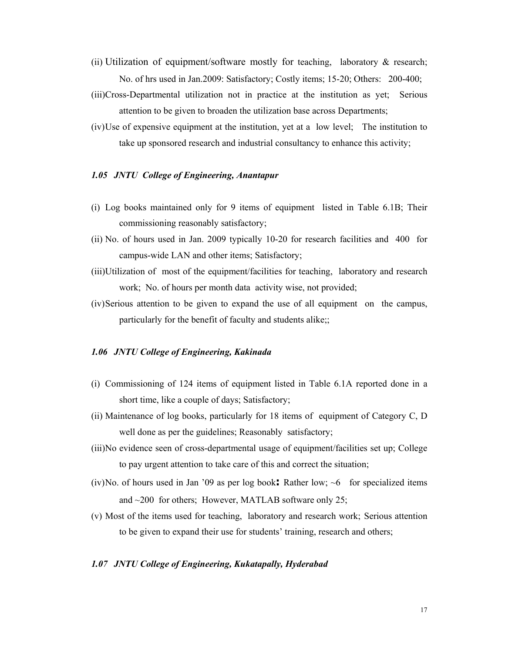- (ii) Utilization of equipment/software mostly for teaching, laboratory  $\&$  research; No. of hrs used in Jan.2009: Satisfactory; Costly items; 15-20; Others: 200-400;
- (iii)Cross-Departmental utilization not in practice at the institution as yet; Serious attention to be given to broaden the utilization base across Departments;
- (iv)Use of expensive equipment at the institution, yet at a low level; The institution to take up sponsored research and industrial consultancy to enhance this activity;

#### *1.05 JNTU College of Engineering, Anantapur*

- (i) Log books maintained only for 9 items of equipment listed in Table 6.1B; Their commissioning reasonably satisfactory;
- (ii) No. of hours used in Jan. 2009 typically 10-20 for research facilities and 400 for campus-wide LAN and other items; Satisfactory;
- (iii)Utilization of most of the equipment/facilities for teaching, laboratory and research work; No. of hours per month data activity wise, not provided;
- (iv)Serious attention to be given to expand the use of all equipment on the campus, particularly for the benefit of faculty and students alike;;

#### *1.06 JNTU College of Engineering, Kakinada*

- (i) Commissioning of 124 items of equipment listed in Table 6.1A reported done in a short time, like a couple of days; Satisfactory;
- (ii) Maintenance of log books, particularly for 18 items of equipment of Category C, D well done as per the guidelines; Reasonably satisfactory;
- (iii)No evidence seen of cross-departmental usage of equipment/facilities set up; College to pay urgent attention to take care of this and correct the situation;
- (iv)No. of hours used in Jan '09 as per log book: Rather low;  $\sim 6$  for specialized items and  $\sim$ 200 for others; However, MATLAB software only 25;
- (v) Most of the items used for teaching, laboratory and research work; Serious attention to be given to expand their use for students' training, research and others;

#### *1.07 JNTU College of Engineering, Kukatapally, Hyderabad*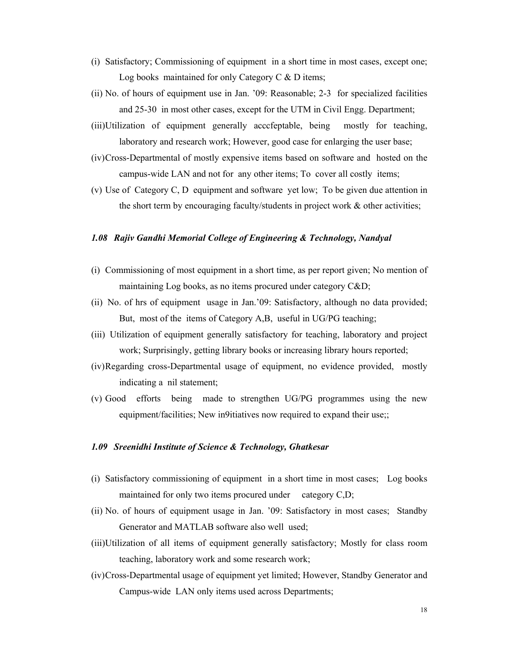- (i) Satisfactory; Commissioning of equipment in a short time in most cases, except one; Log books maintained for only Category  $C & D$  items;
- (ii) No. of hours of equipment use in Jan. '09: Reasonable; 2-3 for specialized facilities and 25-30 in most other cases, except for the UTM in Civil Engg. Department;
- (iii)Utilization of equipment generally acccfeptable, being mostly for teaching, laboratory and research work; However, good case for enlarging the user base;
- (iv)Cross-Departmental of mostly expensive items based on software and hosted on the campus-wide LAN and not for any other items; To cover all costly items;
- (v) Use of Category C, D equipment and software yet low; To be given due attention in the short term by encouraging faculty/students in project work & other activities;

#### *1.08 Rajiv Gandhi Memorial College of Engineering & Technology, Nandyal*

- (i) Commissioning of most equipment in a short time, as per report given; No mention of maintaining Log books, as no items procured under category C&D;
- (ii) No. of hrs of equipment usage in Jan.'09: Satisfactory, although no data provided; But, most of the items of Category A,B, useful in UG/PG teaching;
- (iii) Utilization of equipment generally satisfactory for teaching, laboratory and project work; Surprisingly, getting library books or increasing library hours reported;
- (iv)Regarding cross-Departmental usage of equipment, no evidence provided, mostly indicating a nil statement;
- (v) Good efforts being made to strengthen UG/PG programmes using the new equipment/facilities; New in9itiatives now required to expand their use;;

#### *1.09 Sreenidhi Institute of Science & Technology, Ghatkesar*

- (i) Satisfactory commissioning of equipment in a short time in most cases; Log books maintained for only two items procured under category C,D;
- (ii) No. of hours of equipment usage in Jan. '09: Satisfactory in most cases; Standby Generator and MATLAB software also well used;
- (iii)Utilization of all items of equipment generally satisfactory; Mostly for class room teaching, laboratory work and some research work;
- (iv)Cross-Departmental usage of equipment yet limited; However, Standby Generator and Campus-wide LAN only items used across Departments;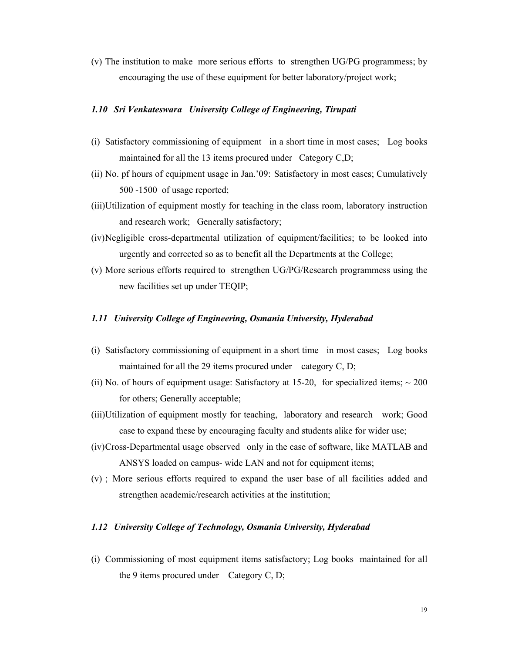(v) The institution to make more serious efforts to strengthen UG/PG programmess; by encouraging the use of these equipment for better laboratory/project work;

## *1.10 Sri Venkateswara University College of Engineering, Tirupati*

- (i) Satisfactory commissioning of equipment in a short time in most cases; Log books maintained for all the 13 items procured under Category C,D;
- (ii) No. pf hours of equipment usage in Jan.'09: Satisfactory in most cases; Cumulatively 500 -1500 of usage reported;
- (iii)Utilization of equipment mostly for teaching in the class room, laboratory instruction and research work; Generally satisfactory;
- (iv)Negligible cross-departmental utilization of equipment/facilities; to be looked into urgently and corrected so as to benefit all the Departments at the College;
- (v) More serious efforts required to strengthen UG/PG/Research programmess using the new facilities set up under TEQIP;

## *1.11 University College of Engineering, Osmania University, Hyderabad*

- (i) Satisfactory commissioning of equipment in a short time in most cases; Log books maintained for all the 29 items procured under category C, D;
- (ii) No. of hours of equipment usage: Satisfactory at 15-20, for specialized items;  $\sim$  200 for others; Generally acceptable;
- (iii)Utilization of equipment mostly for teaching, laboratory and research work; Good case to expand these by encouraging faculty and students alike for wider use;
- (iv)Cross-Departmental usage observedonly in the case of software, like MATLAB and ANSYS loaded on campus- wide LAN and not for equipment items;
- (v) ; More serious efforts required to expand the user base of all facilities added and strengthen academic/research activities at the institution;

#### *1.12 University College of Technology, Osmania University, Hyderabad*

(i) Commissioning of most equipment items satisfactory; Log books maintained for all the 9 items procured under Category C, D;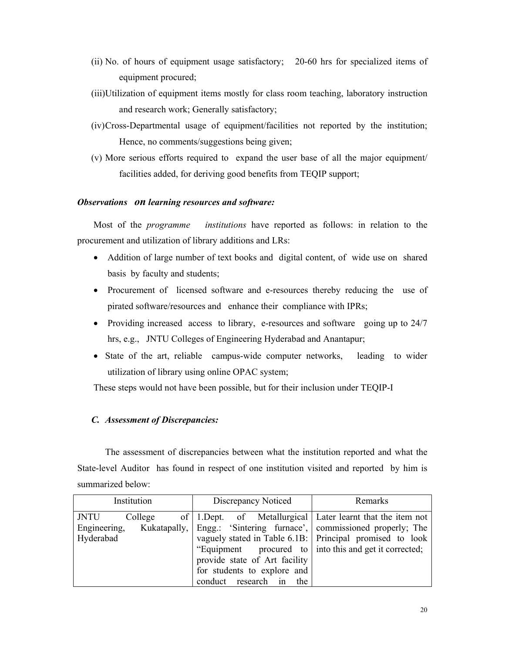- (ii) No. of hours of equipment usage satisfactory; 20-60 hrs for specialized items of equipment procured;
- (iii)Utilization of equipment items mostly for class room teaching, laboratory instruction and research work; Generally satisfactory;
- (iv)Cross-Departmental usage of equipment/facilities not reported by the institution; Hence, no comments/suggestions being given;
- (v) More serious efforts required to expand the user base of all the major equipment/ facilities added, for deriving good benefits from TEQIP support;

## *Observations on learning resources and software:*

 Most of the *programme institutions* have reported as follows: in relation to the procurement and utilization of library additions and LRs:

- Addition of large number of text books and digital content, of wide use on shared basis by faculty and students;
- Procurement of licensed software and e-resources thereby reducing the use of pirated software/resources and enhance their compliance with IPRs;
- Providing increased access to library, e-resources and software going up to 24/7 hrs, e.g., JNTU Colleges of Engineering Hyderabad and Anantapur;
- State of the art, reliable campus-wide computer networks, leading to wider utilization of library using online OPAC system;

These steps would not have been possible, but for their inclusion under TEQIP-I

## *C. Assessment of Discrepancies:*

 The assessment of discrepancies between what the institution reported and what the State-level Auditor has found in respect of one institution visited and reported by him is summarized below:

| Institution            | Discrepancy Noticed                                                 | Remarks                                                  |
|------------------------|---------------------------------------------------------------------|----------------------------------------------------------|
| <b>JNTU</b><br>College | of   1. Dept. of Metallurgical   Later learnt that the item not     |                                                          |
| Engineering,           | Kukatapally, Engg.: 'Sintering furnace', commissioned properly; The |                                                          |
| Hyderabad              |                                                                     | vaguely stated in Table 6.1B: Principal promised to look |
|                        | "Equipment procured to   into this and get it corrected;            |                                                          |
|                        | provide state of Art facility                                       |                                                          |
|                        | for students to explore and                                         |                                                          |
|                        | conduct research in the                                             |                                                          |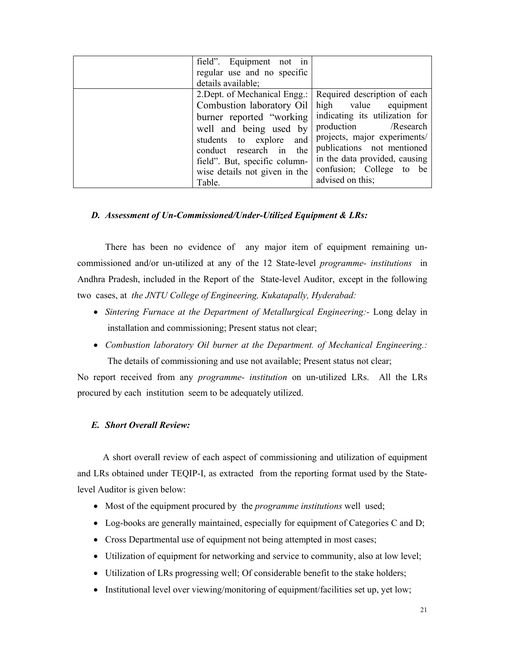| field". Equipment not in<br>regular use and no specific<br>details available;                                                                                                                                                                       |                                                                                                                                                                                                                                                               |
|-----------------------------------------------------------------------------------------------------------------------------------------------------------------------------------------------------------------------------------------------------|---------------------------------------------------------------------------------------------------------------------------------------------------------------------------------------------------------------------------------------------------------------|
| 2. Dept. of Mechanical Engg.:<br>Combustion laboratory Oil<br>burner reported "working"<br>well and being used by<br>students to explore and<br>conduct research in the<br>field". But, specific column-<br>wise details not given in the<br>Table. | Required description of each<br>high value equipment<br>indicating its utilization for<br>production /Research<br>projects, major experiments/<br>publications not mentioned<br>in the data provided, causing<br>confusion; College to be<br>advised on this; |

## *D. Assessment of Un-Commissioned/Under-Utilized Equipment & LRs:*

 There has been no evidence of any major item of equipment remaining uncommissioned and/or un-utilized at any of the 12 State-level *programme- institutions* in Andhra Pradesh, included in the Report of the State-level Auditor, except in the following two cases, at *the JNTU College of Engineering, Kukatapally, Hyderabad:*

- *Sintering Furnace at the Department of Metallurgical Engineering:-* Long delay in installation and commissioning; Present status not clear;
- *Combustion laboratory Oil burner at the Department. of Mechanical Engineering.:*  The details of commissioning and use not available; Present status not clear;

No report received from any *programme- institution* on un-utilized LRs. All the LRs procured by each institution seem to be adequately utilized.

## *E. Short Overall Review:*

 A short overall review of each aspect of commissioning and utilization of equipment and LRs obtained under TEQIP-I, as extracted from the reporting format used by the Statelevel Auditor is given below:

- Most of the equipment procured by the *programme institutions* well used;
- Log-books are generally maintained, especially for equipment of Categories C and D;
- Cross Departmental use of equipment not being attempted in most cases;
- Utilization of equipment for networking and service to community, also at low level;
- Utilization of LRs progressing well; Of considerable benefit to the stake holders;
- Institutional level over viewing/monitoring of equipment/facilities set up, yet low;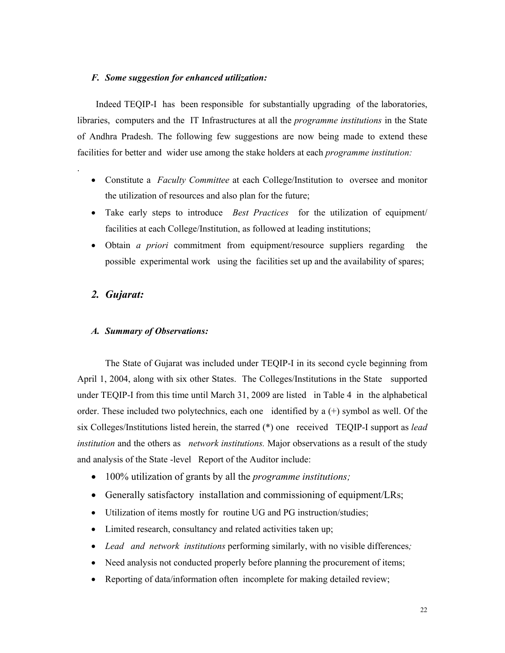#### *F. Some suggestion for enhanced utilization:*

 Indeed TEQIP-I has been responsible for substantially upgrading of the laboratories, libraries, computers and the IT Infrastructures at all the *programme institutions* in the State of Andhra Pradesh. The following few suggestions are now being made to extend these facilities for better and wider use among the stake holders at each *programme institution:*

- Constitute a *Faculty Committee* at each College/Institution to oversee and monitor the utilization of resources and also plan for the future;
- Take early steps to introduce *Best Practices* for the utilization of equipment/ facilities at each College/Institution, as followed at leading institutions;
- Obtain *a priori* commitment from equipment/resource suppliers regarding the possible experimental work using the facilities set up and the availability of spares;

## *2. Gujarat:*

.

#### *A. Summary of Observations:*

The State of Gujarat was included under TEQIP-I in its second cycle beginning from April 1, 2004, along with six other States. The Colleges/Institutions in the State supported under TEQIP-I from this time until March 31, 2009 are listed in Table 4 in the alphabetical order. These included two polytechnics, each one identified by  $a (+)$  symbol as well. Of the six Colleges/Institutions listed herein, the starred (\*) one received TEQIP-I support as *lead institution* and the others as *network institutions.* Major observations as a result of the study and analysis of the State -level Report of the Auditor include:

- 100% utilization of grants by all the *programme institutions;*
- Generally satisfactory installation and commissioning of equipment/LRs;
- Utilization of items mostly for routine UG and PG instruction/studies;
- Limited research, consultancy and related activities taken up;
- *Lead and network institutions* performing similarly, with no visible differences*;*
- Need analysis not conducted properly before planning the procurement of items;
- Reporting of data/information often incomplete for making detailed review;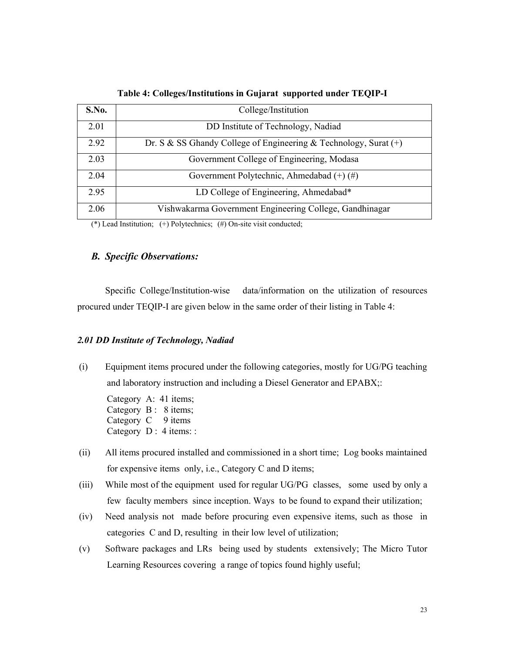| S.No. | College/Institution                                                |
|-------|--------------------------------------------------------------------|
| 2.01  | DD Institute of Technology, Nadiad                                 |
| 2.92  | Dr. S & SS Ghandy College of Engineering & Technology, Surat $(+)$ |
| 2.03  | Government College of Engineering, Modasa                          |
| 2.04  | Government Polytechnic, Ahmedabad $(+)$ (#)                        |
| 2.95  | LD College of Engineering, Ahmedabad*                              |
| 2.06  | Vishwakarma Government Engineering College, Gandhinagar            |

**Table 4: Colleges/Institutions in Gujarat supported under TEQIP-I** 

(\*) Lead Institution;  $(+)$  Polytechnics;  $(+)$  On-site visit conducted;

## *B. Specific Observations:*

 Specific College/Institution-wise data/information on the utilization of resources procured under TEQIP-I are given below in the same order of their listing in Table 4:

#### *2.01 DD Institute of Technology, Nadiad*

(i) Equipment items procured under the following categories, mostly for UG/PG teaching and laboratory instruction and including a Diesel Generator and EPABX;:

Category A: 41 items; Category B : 8 items; Category  $C \quad 9$  items Category D: 4 items: :

- (ii) All items procured installed and commissioned in a short time; Log books maintained for expensive items only, i.e., Category C and D items;
- (iii) While most of the equipment used for regular UG/PG classes, some used by only a few faculty members since inception. Ways to be found to expand their utilization;
- (iv) Need analysis not made before procuring even expensive items, such as those in categories C and D, resulting in their low level of utilization;
- (v) Software packages and LRs being used by students extensively; The Micro Tutor Learning Resources covering a range of topics found highly useful;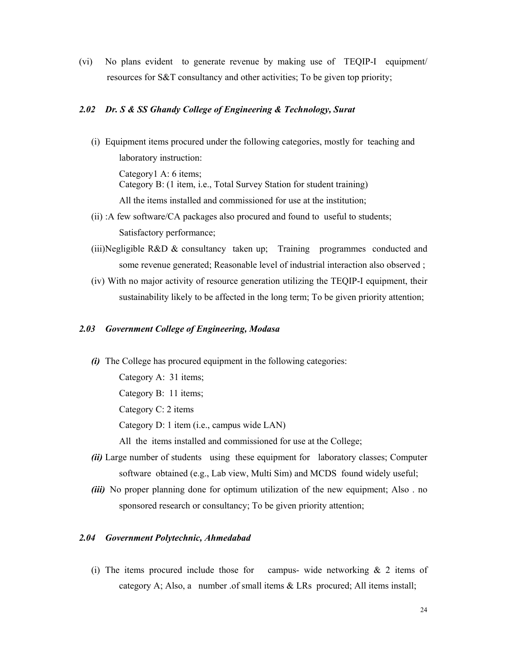(vi) No plans evident to generate revenue by making use of TEQIP-I equipment/ resources for S&T consultancy and other activities; To be given top priority;

## *2.02 Dr. S & SS Ghandy College of Engineering & Technology, Surat*

(i) Equipment items procured under the following categories, mostly for teaching and laboratory instruction:

Category1 A: 6 items; Category B: (1 item, i.e., Total Survey Station for student training) All the items installed and commissioned for use at the institution;

- (ii) :A few software/CA packages also procured and found to useful to students; Satisfactory performance;
- (iii)Negligible R&D & consultancy taken up; Training programmes conducted and some revenue generated; Reasonable level of industrial interaction also observed ;
- (iv) With no major activity of resource generation utilizing the TEQIP-I equipment, their sustainability likely to be affected in the long term; To be given priority attention;

#### *2.03 Government College of Engineering, Modasa*

*(i)* The College has procured equipment in the following categories: Category A: 31 items; Category B: 11 items; Category C: 2 items

Category D: 1 item (i.e., campus wide LAN)

All the items installed and commissioned for use at the College;

- *(ii)* Large number of students using these equipment for laboratory classes; Computer software obtained (e.g., Lab view, Multi Sim) and MCDS found widely useful;
- *(iii)* No proper planning done for optimum utilization of the new equipment; Also . no sponsored research or consultancy; To be given priority attention;

#### *2.04 Government Polytechnic, Ahmedabad*

(i) The items procured include those for campus- wide networking  $\&$  2 items of category A; Also, a number .of small items  $\&$  LRs procured; All items install;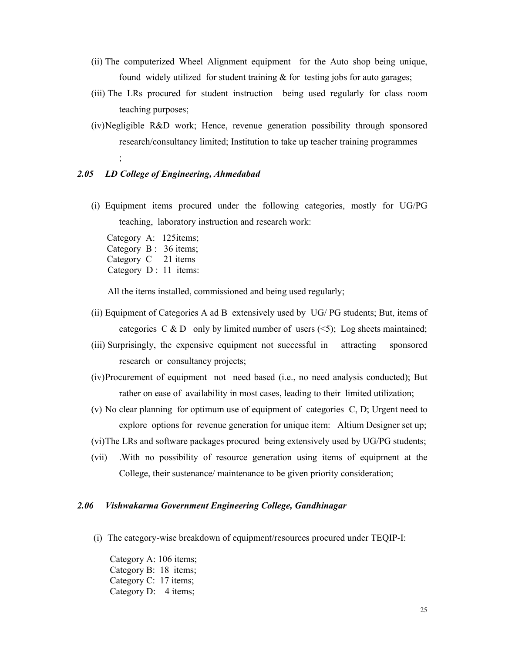- (ii) The computerized Wheel Alignment equipment for the Auto shop being unique, found widely utilized for student training  $&$  for testing jobs for auto garages;
- (iii) The LRs procured for student instruction being used regularly for class room teaching purposes;
- (iv)Negligible R&D work; Hence, revenue generation possibility through sponsored research/consultancy limited; Institution to take up teacher training programmes ;

#### *2.05 LD College of Engineering, Ahmedabad*

(i) Equipment items procured under the following categories, mostly for UG/PG teaching, laboratory instruction and research work:

Category A: 125items; Category B : 36 items; Category C 21 items Category D : 11 items:

All the items installed, commissioned and being used regularly;

- (ii) Equipment of Categories A ad B extensively used by UG/ PG students; But, items of categories C & D only by limited number of users  $(5)$ ; Log sheets maintained;
- (iii) Surprisingly, the expensive equipment not successful in attracting sponsored research or consultancy projects;
- (iv)Procurement of equipment not need based (i.e., no need analysis conducted); But rather on ease of availability in most cases, leading to their limited utilization;
- (v) No clear planning for optimum use of equipment of categories C, D; Urgent need to explore options for revenue generation for unique item: Altium Designer set up;
- (vi)The LRs and software packages procured being extensively used by UG/PG students;
- (vii) .With no possibility of resource generation using items of equipment at the College, their sustenance/ maintenance to be given priority consideration;

#### *2.06 Vishwakarma Government Engineering College, Gandhinagar*

(i) The category-wise breakdown of equipment/resources procured under TEQIP-I:

 Category A: 106 items; Category B: 18 items; Category C: 17 items; Category D: 4 items;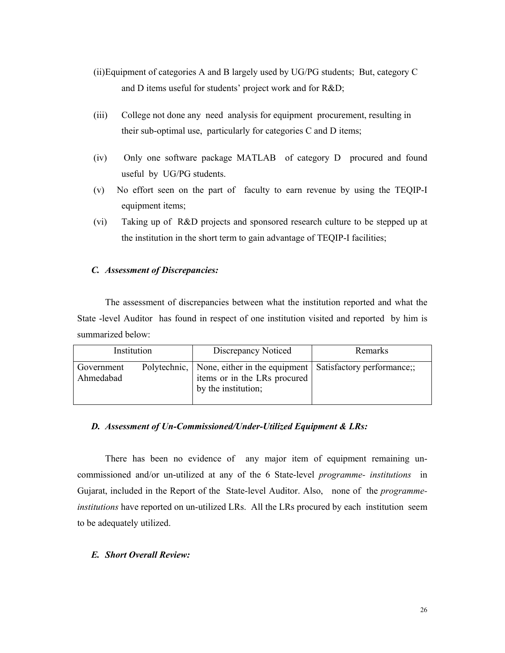- (ii)Equipment of categories A and B largely used by UG/PG students; But, category C and D items useful for students' project work and for R&D;
- (iii) College not done any need analysis for equipment procurement, resulting in their sub-optimal use, particularly for categories C and D items;
- (iv) Only one software package MATLAB of category D procured and found useful by UG/PG students.
- (v) No effort seen on the part of faculty to earn revenue by using the TEQIP-I equipment items;
- (vi) Taking up of R&D projects and sponsored research culture to be stepped up at the institution in the short term to gain advantage of TEQIP-I facilities;

## *C. Assessment of Discrepancies:*

 The assessment of discrepancies between what the institution reported and what the State -level Auditor has found in respect of one institution visited and reported by him is summarized below:

| Institution             |  | Discrepancy Noticed                                                                                                              | Remarks |
|-------------------------|--|----------------------------------------------------------------------------------------------------------------------------------|---------|
| Government<br>Ahmedabad |  | Polytechnic,   None, either in the equipment   Satisfactory performance;;<br>items or in the LRs procured<br>by the institution; |         |

#### *D. Assessment of Un-Commissioned/Under-Utilized Equipment & LRs:*

 There has been no evidence of any major item of equipment remaining uncommissioned and/or un-utilized at any of the 6 State-level *programme- institutions* in Gujarat, included in the Report of the State-level Auditor. Also, none of the *programmeinstitutions* have reported on un-utilized LRs. All the LRs procured by each institution seem to be adequately utilized.

#### *E. Short Overall Review:*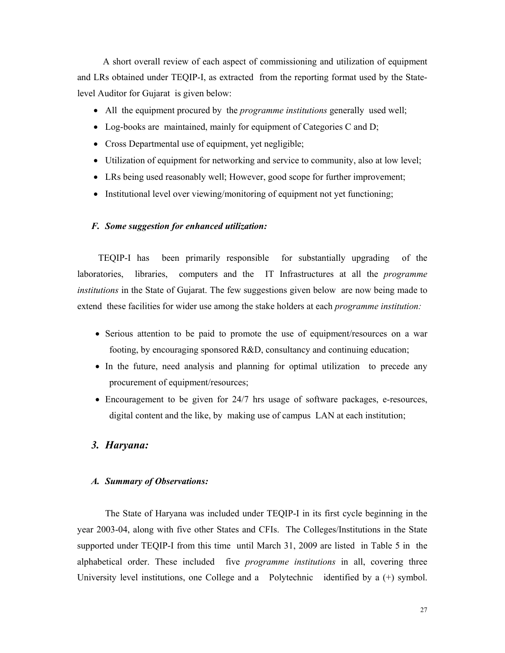A short overall review of each aspect of commissioning and utilization of equipment and LRs obtained under TEQIP-I, as extracted from the reporting format used by the Statelevel Auditor for Gujarat is given below:

- All the equipment procured by the *programme institutions* generally used well;
- Log-books are maintained, mainly for equipment of Categories C and D;
- Cross Departmental use of equipment, yet negligible;
- Utilization of equipment for networking and service to community, also at low level;
- LRs being used reasonably well; However, good scope for further improvement;
- Institutional level over viewing/monitoring of equipment not yet functioning;

#### *F. Some suggestion for enhanced utilization:*

 TEQIP-I has been primarily responsible for substantially upgrading of the laboratories, libraries, computers and the IT Infrastructures at all the *programme institutions* in the State of Gujarat. The few suggestions given below are now being made to extend these facilities for wider use among the stake holders at each *programme institution:*

- Serious attention to be paid to promote the use of equipment/resources on a war footing, by encouraging sponsored R&D, consultancy and continuing education;
- In the future, need analysis and planning for optimal utilization to precede any procurement of equipment/resources;
- Encouragement to be given for 24/7 hrs usage of software packages, e-resources, digital content and the like, by making use of campus LAN at each institution;

## *3. Haryana:*

### *A. Summary of Observations:*

The State of Haryana was included under TEQIP-I in its first cycle beginning in the year 2003-04, along with five other States and CFIs. The Colleges/Institutions in the State supported under TEQIP-I from this time until March 31, 2009 are listed in Table 5 in the alphabetical order. These included five *programme institutions* in all, covering three University level institutions, one College and a Polytechnic identified by a  $(+)$  symbol.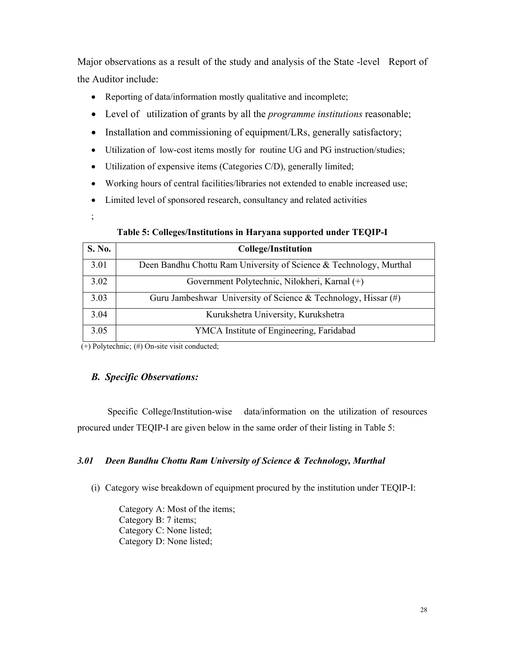Major observations as a result of the study and analysis of the State -level Report of the Auditor include:

- Reporting of data/information mostly qualitative and incomplete;
- Level of utilization of grants by all the *programme institutions* reasonable;
- Installation and commissioning of equipment/LRs, generally satisfactory;
- Utilization of low-cost items mostly for routine UG and PG instruction/studies;
- Utilization of expensive items (Categories C/D), generally limited;
- Working hours of central facilities/libraries not extended to enable increased use;
- Limited level of sponsored research, consultancy and related activities

;<br>;

## **Table 5: Colleges/Institutions in Haryana supported under TEQIP-I**

| S. No. | <b>College/Institution</b>                                         |
|--------|--------------------------------------------------------------------|
| 3.01   | Deen Bandhu Chottu Ram University of Science & Technology, Murthal |
| 3.02   | Government Polytechnic, Nilokheri, Karnal (+)                      |
| 3.03   | Guru Jambeshwar University of Science & Technology, Hissar $(\#)$  |
| 3.04   | Kurukshetra University, Kurukshetra                                |
| 3.05   | YMCA Institute of Engineering, Faridabad                           |

 $(+)$  Polytechnic;  $(+)$  On-site visit conducted;

## *B. Specific Observations:*

 Specific College/Institution-wise data/information on the utilization of resources procured under TEQIP-I are given below in the same order of their listing in Table 5:

## *3.01 Deen Bandhu Chottu Ram University of Science & Technology, Murthal*

(i) Category wise breakdown of equipment procured by the institution under TEQIP-I:

Category A: Most of the items; Category B: 7 items; Category C: None listed; Category D: None listed;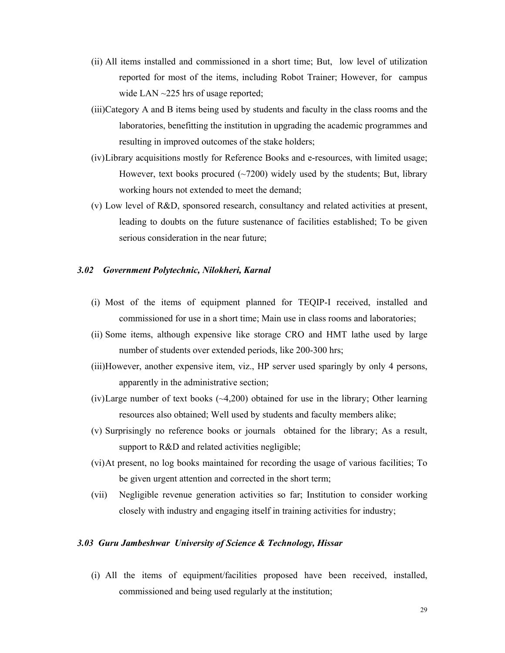- (ii) All items installed and commissioned in a short time; But, low level of utilization reported for most of the items, including Robot Trainer; However, for campus wide LAN ~225 hrs of usage reported;
- (iii)Category A and B items being used by students and faculty in the class rooms and the laboratories, benefitting the institution in upgrading the academic programmes and resulting in improved outcomes of the stake holders;
- (iv)Library acquisitions mostly for Reference Books and e-resources, with limited usage; However, text books procured  $(\sim 7200)$  widely used by the students; But, library working hours not extended to meet the demand;
- (v) Low level of R&D, sponsored research, consultancy and related activities at present, leading to doubts on the future sustenance of facilities established; To be given serious consideration in the near future;

#### *3.02 Government Polytechnic, Nilokheri, Karnal*

- (i) Most of the items of equipment planned for TEQIP-I received, installed and commissioned for use in a short time; Main use in class rooms and laboratories;
- (ii) Some items, although expensive like storage CRO and HMT lathe used by large number of students over extended periods, like 200-300 hrs;
- (iii)However, another expensive item, viz., HP server used sparingly by only 4 persons, apparently in the administrative section;
- (iv)Large number of text books  $(-4,200)$  obtained for use in the library; Other learning resources also obtained; Well used by students and faculty members alike;
- (v) Surprisingly no reference books or journals obtained for the library; As a result, support to R&D and related activities negligible;
- (vi)At present, no log books maintained for recording the usage of various facilities; To be given urgent attention and corrected in the short term;
- (vii) Negligible revenue generation activities so far; Institution to consider working closely with industry and engaging itself in training activities for industry;

#### *3.03 Guru Jambeshwar University of Science & Technology, Hissar*

(i) All the items of equipment/facilities proposed have been received, installed, commissioned and being used regularly at the institution;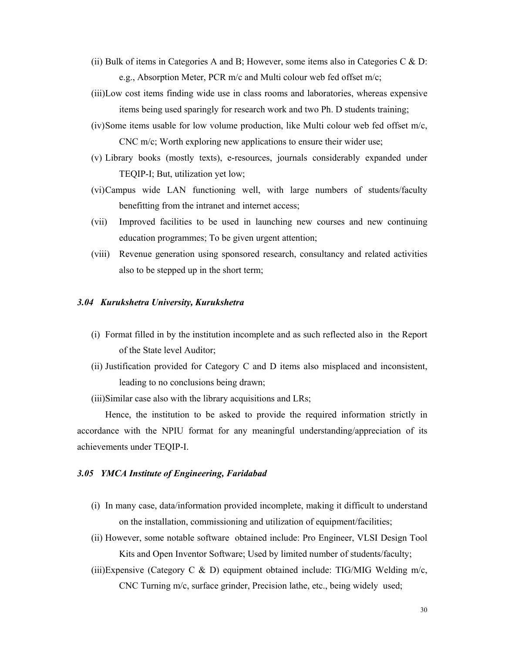- (ii) Bulk of items in Categories A and B; However, some items also in Categories C  $\&$  D: e.g., Absorption Meter, PCR m/c and Multi colour web fed offset m/c;
- (iii)Low cost items finding wide use in class rooms and laboratories, whereas expensive items being used sparingly for research work and two Ph. D students training;
- (iv)Some items usable for low volume production, like Multi colour web fed offset m/c, CNC m/c; Worth exploring new applications to ensure their wider use;
- (v) Library books (mostly texts), e-resources, journals considerably expanded under TEQIP-I; But, utilization yet low;
- (vi)Campus wide LAN functioning well, with large numbers of students/faculty benefitting from the intranet and internet access;
- (vii) Improved facilities to be used in launching new courses and new continuing education programmes; To be given urgent attention;
- (viii) Revenue generation using sponsored research, consultancy and related activities also to be stepped up in the short term;

#### *3.04 Kurukshetra University, Kurukshetra*

- (i) Format filled in by the institution incomplete and as such reflected also in the Report of the State level Auditor;
- (ii) Justification provided for Category C and D items also misplaced and inconsistent, leading to no conclusions being drawn;
- (iii)Similar case also with the library acquisitions and LRs;

 Hence, the institution to be asked to provide the required information strictly in accordance with the NPIU format for any meaningful understanding/appreciation of its achievements under TEQIP-I.

#### *3.05 YMCA Institute of Engineering, Faridabad*

- (i) In many case, data/information provided incomplete, making it difficult to understand on the installation, commissioning and utilization of equipment/facilities;
- (ii) However, some notable software obtained include: Pro Engineer, VLSI Design Tool Kits and Open Inventor Software; Used by limited number of students/faculty;
- (iii)Expensive (Category C & D) equipment obtained include: TIG/MIG Welding m/c, CNC Turning m/c, surface grinder, Precision lathe, etc., being widely used;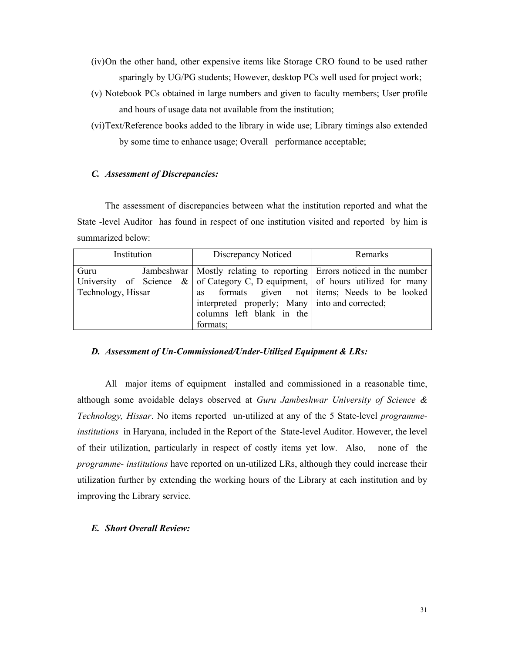- (iv)On the other hand, other expensive items like Storage CRO found to be used rather sparingly by UG/PG students; However, desktop PCs well used for project work;
- (v) Notebook PCs obtained in large numbers and given to faculty members; User profile and hours of usage data not available from the institution;
- (vi)Text/Reference books added to the library in wide use; Library timings also extended by some time to enhance usage; Overall performance acceptable;

## *C. Assessment of Discrepancies:*

 The assessment of discrepancies between what the institution reported and what the State -level Auditor has found in respect of one institution visited and reported by him is summarized below:

| Institution        |  | Discrepancy Noticed                                                               | Remarks                                        |
|--------------------|--|-----------------------------------------------------------------------------------|------------------------------------------------|
| Guru               |  | Jambeshwar   Mostly relating to reporting   Errors noticed in the number          |                                                |
|                    |  | University of Science $\&$ of Category C, D equipment, of hours utilized for many |                                                |
| Technology, Hissar |  |                                                                                   | as formats given not items; Needs to be looked |
|                    |  | interpreted properly; Many into and corrected;                                    |                                                |
|                    |  | columns left blank in the                                                         |                                                |
|                    |  | formats;                                                                          |                                                |

#### *D. Assessment of Un-Commissioned/Under-Utilized Equipment & LRs:*

 All major items of equipment installed and commissioned in a reasonable time, although some avoidable delays observed at *Guru Jambeshwar University of Science & Technology, Hissar*. No items reported un-utilized at any of the 5 State-level *programmeinstitutions* in Haryana, included in the Report of the State-level Auditor. However, the level of their utilization, particularly in respect of costly items yet low. Also, none of the *programme- institutions* have reported on un-utilized LRs, although they could increase their utilization further by extending the working hours of the Library at each institution and by improving the Library service.

#### *E. Short Overall Review:*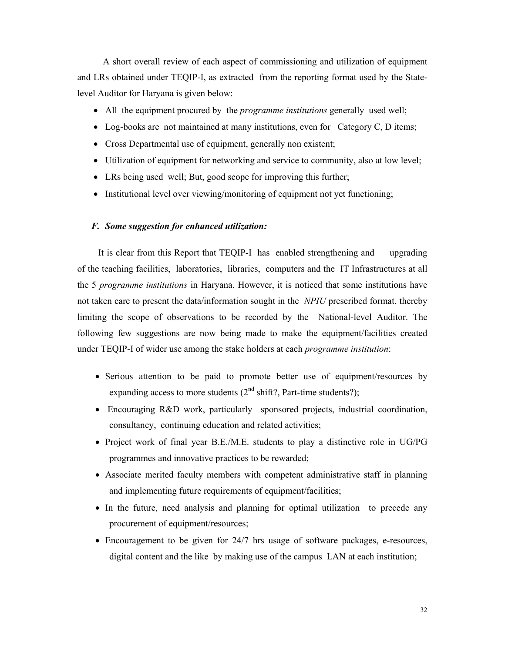A short overall review of each aspect of commissioning and utilization of equipment and LRs obtained under TEQIP-I, as extracted from the reporting format used by the Statelevel Auditor for Haryana is given below:

- All the equipment procured by the *programme institutions* generally used well;
- Log-books are not maintained at many institutions, even for Category C, D items;
- Cross Departmental use of equipment, generally non existent;
- Utilization of equipment for networking and service to community, also at low level;
- LRs being used well; But, good scope for improving this further;
- Institutional level over viewing/monitoring of equipment not yet functioning;

#### *F. Some suggestion for enhanced utilization:*

 It is clear from this Report that TEQIP-I has enabled strengthening and upgrading of the teaching facilities, laboratories, libraries, computers and the IT Infrastructures at all the 5 *programme institutions* in Haryana. However, it is noticed that some institutions have not taken care to present the data/information sought in the *NPIU* prescribed format, thereby limiting the scope of observations to be recorded by the National-level Auditor. The following few suggestions are now being made to make the equipment/facilities created under TEQIP-I of wider use among the stake holders at each *programme institution*:

- Serious attention to be paid to promote better use of equipment/resources by expanding access to more students  $(2<sup>nd</sup> shift?$ , Part-time students?);
- Encouraging R&D work, particularly sponsored projects, industrial coordination, consultancy, continuing education and related activities;
- Project work of final year B.E./M.E. students to play a distinctive role in UG/PG programmes and innovative practices to be rewarded;
- Associate merited faculty members with competent administrative staff in planning and implementing future requirements of equipment/facilities;
- In the future, need analysis and planning for optimal utilization to precede any procurement of equipment/resources;
- Encouragement to be given for 24/7 hrs usage of software packages, e-resources, digital content and the like by making use of the campus LAN at each institution;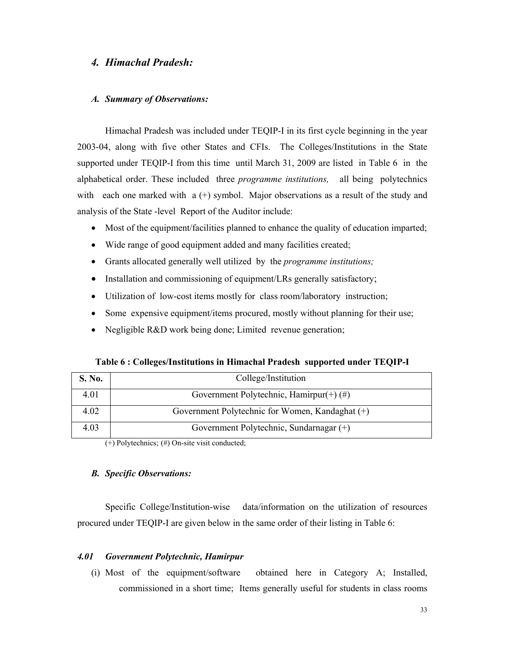## *4. Himachal Pradesh:*

#### *A. Summary of Observations:*

Himachal Pradesh was included under TEQIP-I in its first cycle beginning in the year 2003-04, along with five other States and CFIs. The Colleges/Institutions in the State supported under TEQIP-I from this time until March 31, 2009 are listed in Table 6 in the alphabetical order. These included three *programme institutions,* all being polytechnics with each one marked with  $a (+)$  symbol. Major observations as a result of the study and analysis of the State -level Report of the Auditor include:

- Most of the equipment/facilities planned to enhance the quality of education imparted;
- Wide range of good equipment added and many facilities created;
- Grants allocated generally well utilized by the *programme institutions;*
- Installation and commissioning of equipment/LRs generally satisfactory;
- Utilization of low-cost items mostly for class room/laboratory instruction;
- Some expensive equipment/items procured, mostly without planning for their use;
- Negligible R&D work being done; Limited revenue generation;

**Table 6 : Colleges/Institutions in Himachal Pradesh supported under TEQIP-I** 

| S. No. | College/Institution                             |  |  |
|--------|-------------------------------------------------|--|--|
| 4.01   | Government Polytechnic, Hamirpur(+) $(\#)$      |  |  |
| 4.02   | Government Polytechnic for Women, Kandaghat (+) |  |  |
| 4.03   | Government Polytechnic, Sundarnagar (+)         |  |  |

(+) Polytechnics; (#) On-site visit conducted;

#### *B. Specific Observations:*

 Specific College/Institution-wise data/information on the utilization of resources procured under TEQIP-I are given below in the same order of their listing in Table 6:

#### *4.01 Government Polytechnic, Hamirpur*

(i) Most of the equipment/software obtained here in Category A; Installed, commissioned in a short time; Items generally useful for students in class rooms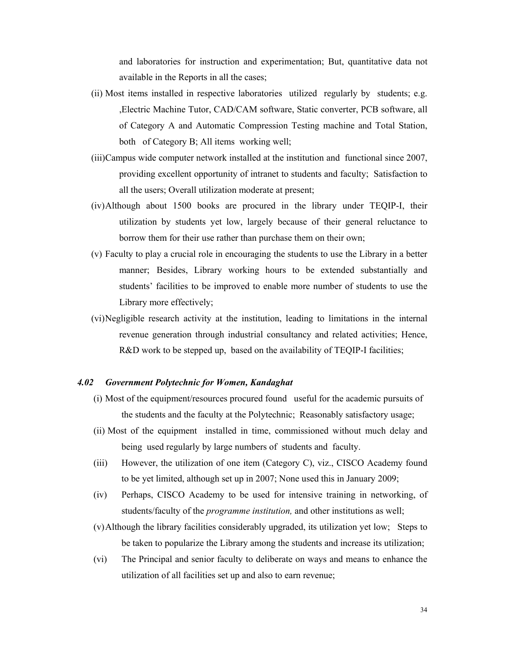and laboratories for instruction and experimentation; But, quantitative data not available in the Reports in all the cases;

- (ii) Most items installed in respective laboratories utilized regularly by students; e.g. ,Electric Machine Tutor, CAD/CAM software, Static converter, PCB software, all of Category A and Automatic Compression Testing machine and Total Station, both of Category B; All items working well;
- (iii)Campus wide computer network installed at the institution and functional since 2007, providing excellent opportunity of intranet to students and faculty; Satisfaction to all the users; Overall utilization moderate at present;
- (iv)Although about 1500 books are procured in the library under TEQIP-I, their utilization by students yet low, largely because of their general reluctance to borrow them for their use rather than purchase them on their own;
- (v) Faculty to play a crucial role in encouraging the students to use the Library in a better manner; Besides, Library working hours to be extended substantially and students' facilities to be improved to enable more number of students to use the Library more effectively;
- (vi)Negligible research activity at the institution, leading to limitations in the internal revenue generation through industrial consultancy and related activities; Hence, R&D work to be stepped up, based on the availability of TEQIP-I facilities;

#### *4.02 Government Polytechnic for Women, Kandaghat*

- (i) Most of the equipment/resources procured found useful for the academic pursuits of the students and the faculty at the Polytechnic; Reasonably satisfactory usage;
- (ii) Most of the equipment installed in time, commissioned without much delay and being used regularly by large numbers of students and faculty.
- (iii) However, the utilization of one item (Category C), viz., CISCO Academy found to be yet limited, although set up in 2007; None used this in January 2009;
- (iv) Perhaps, CISCO Academy to be used for intensive training in networking, of students/faculty of the *programme institution,* and other institutions as well;
- (v)Although the library facilities considerably upgraded, its utilization yet low; Steps to be taken to popularize the Library among the students and increase its utilization;
- (vi) The Principal and senior faculty to deliberate on ways and means to enhance the utilization of all facilities set up and also to earn revenue;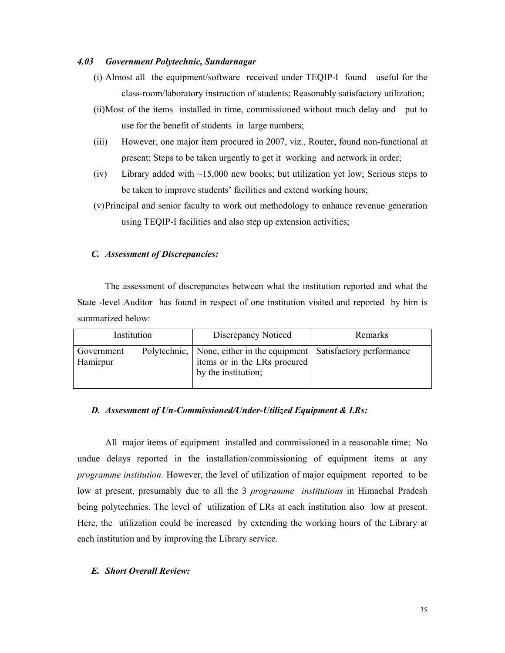#### *4.03 Government Polytechnic, Sundarnagar*

- (i) Almost all the equipment/software received under TEQIP-I found useful for the class-room/laboratory instruction of students; Reasonably satisfactory utilization;
- (ii)Most of the items installed in time, commissioned without much delay and put to use for the benefit of students in large numbers;
- (iii) However, one major item procured in 2007, viz., Router, found non-functional at present; Steps to be taken urgently to get it working and network in order;
- (iv) Library added with  $\sim$ 15,000 new books; but utilization yet low; Serious steps to be taken to improve students' facilities and extend working hours;
- (v)Principal and senior faculty to work out methodology to enhance revenue generation using TEQIP-I facilities and also step up extension activities;

## *C. Assessment of Discrepancies:*

 The assessment of discrepancies between what the institution reported and what the State -level Auditor has found in respect of one institution visited and reported by him is summarized below:

| Institution            |  | Discrepancy Noticed                                                                                                            | Remarks |
|------------------------|--|--------------------------------------------------------------------------------------------------------------------------------|---------|
| Government<br>Hamirpur |  | Polytechnic,   None, either in the equipment   Satisfactory performance<br>items or in the LRs procured<br>by the institution; |         |

#### *D. Assessment of Un-Commissioned/Under-Utilized Equipment & LRs:*

 All major items of equipment installed and commissioned in a reasonable time; No undue delays reported in the installation/commissioning of equipment items at any *programme institution.* However, the level of utilization of major equipment reported to be low at present, presumably due to all the 3 *programme institutions* in Himachal Pradesh being polytechnics. The level of utilization of LRs at each institution also low at present. Here, the utilization could be increased by extending the working hours of the Library at each institution and by improving the Library service.

#### *E. Short Overall Review:*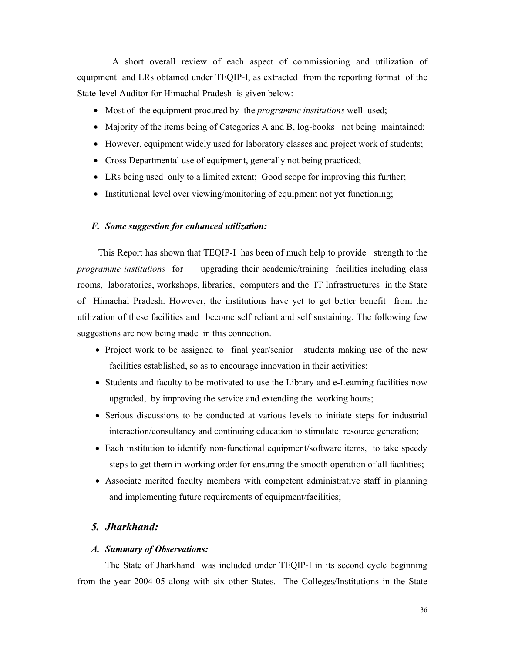A short overall review of each aspect of commissioning and utilization of equipment and LRs obtained under TEQIP-I, as extracted from the reporting format of the State-level Auditor for Himachal Pradesh is given below:

- Most of the equipment procured by the *programme institutions* well used;
- Majority of the items being of Categories A and B, log-books not being maintained;
- However, equipment widely used for laboratory classes and project work of students;
- Cross Departmental use of equipment, generally not being practiced;
- LRs being used only to a limited extent; Good scope for improving this further;
- Institutional level over viewing/monitoring of equipment not yet functioning;

#### *F. Some suggestion for enhanced utilization:*

 This Report has shown that TEQIP-I has been of much help to provide strength to the *programme institutions* for upgrading their academic/training facilities including class rooms, laboratories, workshops, libraries, computers and the IT Infrastructures in the State of Himachal Pradesh. However, the institutions have yet to get better benefit from the utilization of these facilities and become self reliant and self sustaining. The following few suggestions are now being made in this connection.

- Project work to be assigned to final year/senior students making use of the new facilities established, so as to encourage innovation in their activities;
- Students and faculty to be motivated to use the Library and e-Learning facilities now upgraded, by improving the service and extending the working hours;
- Serious discussions to be conducted at various levels to initiate steps for industrial interaction/consultancy and continuing education to stimulate resource generation;
- Each institution to identify non-functional equipment/software items, to take speedy steps to get them in working order for ensuring the smooth operation of all facilities;
- Associate merited faculty members with competent administrative staff in planning and implementing future requirements of equipment/facilities;

## *5. Jharkhand:*

#### *A. Summary of Observations:*

The State of Jharkhand was included under TEQIP-I in its second cycle beginning from the year 2004-05 along with six other States. The Colleges/Institutions in the State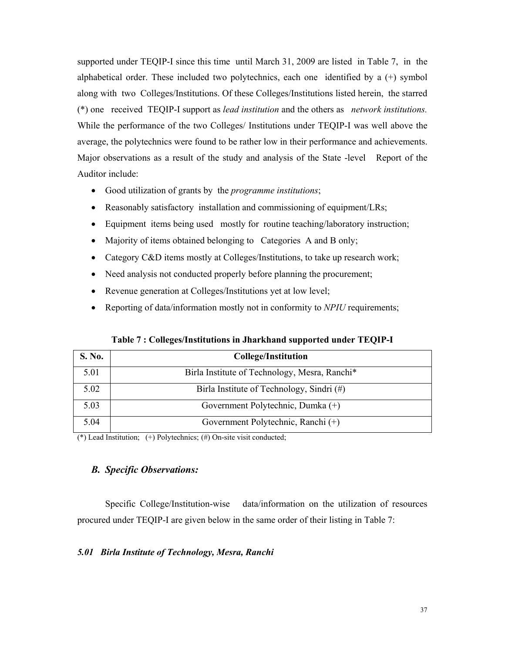supported under TEQIP-I since this time until March 31, 2009 are listed in Table 7, in the alphabetical order. These included two polytechnics, each one identified by a (+) symbol along with two Colleges/Institutions. Of these Colleges/Institutions listed herein, the starred (\*) one received TEQIP-I support as *lead institution* and the others as *network institutions.*  While the performance of the two Colleges/ Institutions under TEQIP-I was well above the average, the polytechnics were found to be rather low in their performance and achievements. Major observations as a result of the study and analysis of the State -level Report of the Auditor include:

- Good utilization of grants by the *programme institutions*;
- Reasonably satisfactory installation and commissioning of equipment/LRs;
- Equipment items being used mostly for routine teaching/laboratory instruction;
- Majority of items obtained belonging to Categories A and B only;
- Category C&D items mostly at Colleges/Institutions, to take up research work;
- Need analysis not conducted properly before planning the procurement;
- Revenue generation at Colleges/Institutions yet at low level;
- Reporting of data/information mostly not in conformity to *NPIU* requirements;

| S. No. | <b>College/Institution</b>                    |
|--------|-----------------------------------------------|
| 5.01   | Birla Institute of Technology, Mesra, Ranchi* |
| 5.02   | Birla Institute of Technology, Sindri (#)     |
| 5.03   | Government Polytechnic, Dumka (+)             |
| 5.04   | Government Polytechnic, Ranchi (+)            |

(\*) Lead Institution;  $(+)$  Polytechnics;  $()$  On-site visit conducted;

### *B. Specific Observations:*

 Specific College/Institution-wise data/information on the utilization of resources procured under TEQIP-I are given below in the same order of their listing in Table 7:

### *5.01 Birla Institute of Technology, Mesra, Ranchi*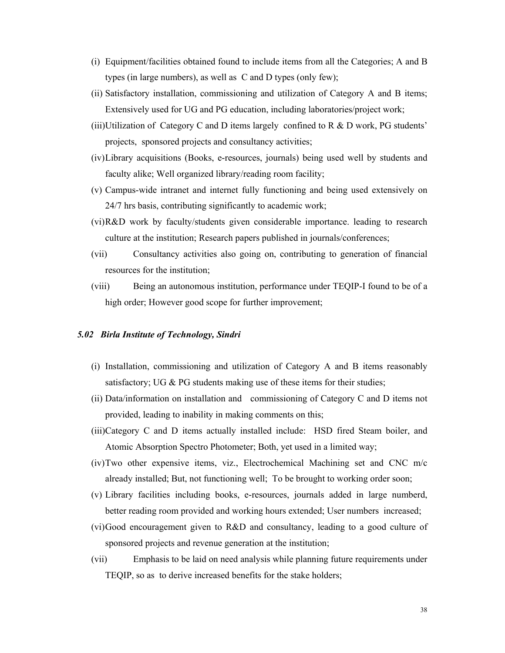- (i) Equipment/facilities obtained found to include items from all the Categories; A and B types (in large numbers), as well as C and D types (only few);
- (ii) Satisfactory installation, commissioning and utilization of Category A and B items; Extensively used for UG and PG education, including laboratories/project work;
- (iii)Utilization of Category C and D items largely confined to R  $\&$  D work, PG students' projects, sponsored projects and consultancy activities;
- (iv)Library acquisitions (Books, e-resources, journals) being used well by students and faculty alike; Well organized library/reading room facility;
- (v) Campus-wide intranet and internet fully functioning and being used extensively on 24/7 hrs basis, contributing significantly to academic work;
- (vi)R&D work by faculty/students given considerable importance. leading to research culture at the institution; Research papers published in journals/conferences;
- (vii) Consultancy activities also going on, contributing to generation of financial resources for the institution;
- (viii) Being an autonomous institution, performance under TEQIP-I found to be of a high order; However good scope for further improvement;

### *5.02 Birla Institute of Technology, Sindri*

- (i) Installation, commissioning and utilization of Category A and B items reasonably satisfactory; UG & PG students making use of these items for their studies;
- (ii) Data/information on installation and commissioning of Category C and D items not provided, leading to inability in making comments on this;
- (iii)Category C and D items actually installed include: HSD fired Steam boiler, and Atomic Absorption Spectro Photometer; Both, yet used in a limited way;
- (iv)Two other expensive items, viz., Electrochemical Machining set and CNC m/c already installed; But, not functioning well; To be brought to working order soon;
- (v) Library facilities including books, e-resources, journals added in large numberd, better reading room provided and working hours extended; User numbers increased;
- (vi)Good encouragement given to R&D and consultancy, leading to a good culture of sponsored projects and revenue generation at the institution;
- (vii) Emphasis to be laid on need analysis while planning future requirements under TEQIP, so as to derive increased benefits for the stake holders;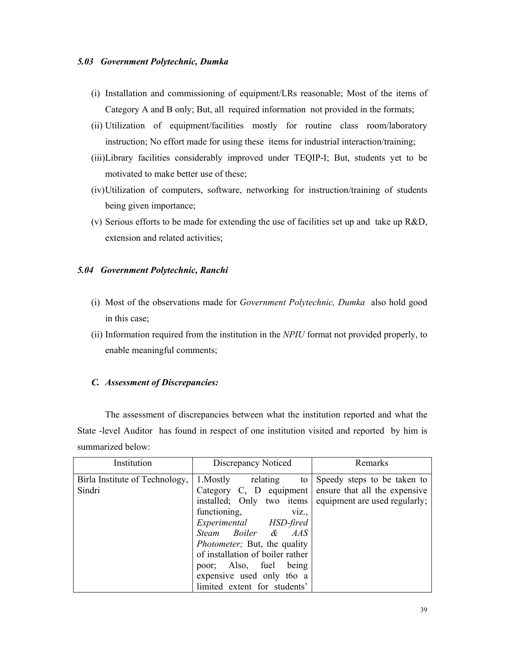### *5.03 Government Polytechnic, Dumka*

- (i) Installation and commissioning of equipment/LRs reasonable; Most of the items of Category A and B only; But, all required information not provided in the formats;
- (ii) Utilization of equipment/facilities mostly for routine class room/laboratory instruction; No effort made for using these items for industrial interaction/training;
- (iii)Library facilities considerably improved under TEQIP-I; But, students yet to be motivated to make better use of these;
- (iv)Utilization of computers, software, networking for instruction/training of students being given importance;
- (v) Serious efforts to be made for extending the use of facilities set up and take up R&D, extension and related activities;

### *5.04 Government Polytechnic, Ranchi*

- (i) Most of the observations made for *Government Polytechnic, Dumka* also hold good in this case;
- (ii) Information required from the institution in the *NPIU* format not provided properly, to enable meaningful comments;

### *C. Assessment of Discrepancies:*

 The assessment of discrepancies between what the institution reported and what the State -level Auditor has found in respect of one institution visited and reported by him is summarized below:

| Institution                    | Discrepancy Noticed                                     | Remarks                       |
|--------------------------------|---------------------------------------------------------|-------------------------------|
| Birla Institute of Technology, | 1. Mostly relating<br>to                                | Speedy steps to be taken to   |
| Sindri                         | Category C, D equipment                                 | ensure that all the expensive |
|                                | installed; Only two items equipment are used regularly; |                               |
|                                | functioning,<br>V1Z.,                                   |                               |
|                                | Experimental HSD-fired                                  |                               |
|                                | Steam Boiler & AAS                                      |                               |
|                                | Photometer; But, the quality                            |                               |
|                                | of installation of boiler rather                        |                               |
|                                | poor; Also, fuel<br>being                               |                               |
|                                | expensive used only t60 a                               |                               |
|                                | limited extent for students'                            |                               |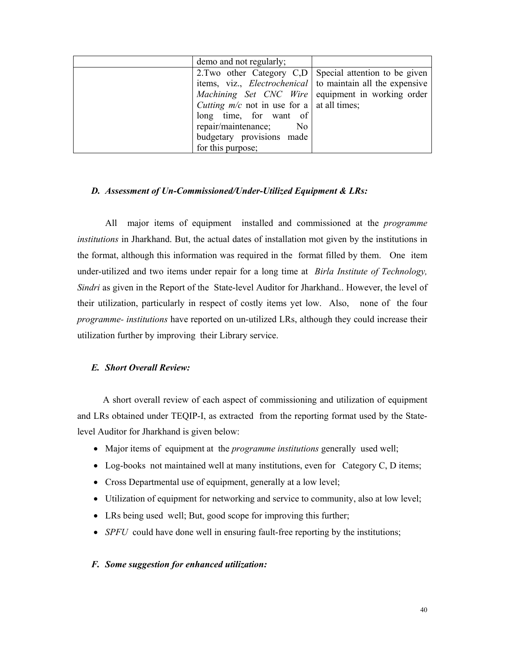| demo and not regularly;                                           |  |
|-------------------------------------------------------------------|--|
| 2. Two other Category C,D Special attention to be given           |  |
| items, viz., <i>Electrochenical</i> to maintain all the expensive |  |
| Machining Set CNC Wire equipment in working order                 |  |
| <i>Cutting m/c</i> not in use for a   at all times;               |  |
| long time, for want of                                            |  |
| repair/maintenance; No                                            |  |
| budgetary provisions made                                         |  |
| for this purpose;                                                 |  |

### *D. Assessment of Un-Commissioned/Under-Utilized Equipment & LRs:*

 All major items of equipment installed and commissioned at the *programme institutions* in Jharkhand. But, the actual dates of installation mot given by the institutions in the format, although this information was required in the format filled by them. One item under-utilized and two items under repair for a long time at *Birla Institute of Technology, Sindri* as given in the Report of the State-level Auditor for Jharkhand.. However, the level of their utilization, particularly in respect of costly items yet low. Also, none of the four *programme- institutions* have reported on un-utilized LRs, although they could increase their utilization further by improving their Library service.

## *E. Short Overall Review:*

 A short overall review of each aspect of commissioning and utilization of equipment and LRs obtained under TEQIP-I, as extracted from the reporting format used by the Statelevel Auditor for Jharkhand is given below:

- Major items of equipment at the *programme institutions* generally used well;
- Log-books not maintained well at many institutions, even for Category C, D items;
- Cross Departmental use of equipment, generally at a low level;
- Utilization of equipment for networking and service to community, also at low level;
- LRs being used well; But, good scope for improving this further;
- *SPFU* could have done well in ensuring fault-free reporting by the institutions;

#### *F. Some suggestion for enhanced utilization:*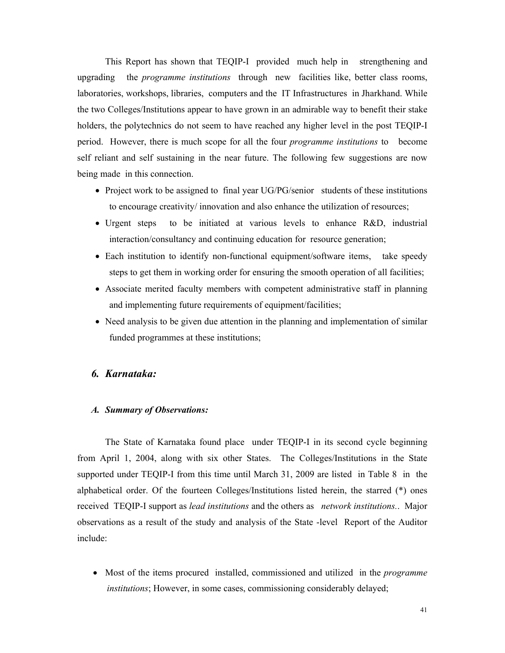This Report has shown that TEQIP-I provided much help in strengthening and upgrading the *programme institutions* through new facilities like, better class rooms, laboratories, workshops, libraries, computers and the IT Infrastructures in Jharkhand. While the two Colleges/Institutions appear to have grown in an admirable way to benefit their stake holders, the polytechnics do not seem to have reached any higher level in the post TEQIP-I period. However, there is much scope for all the four *programme institutions* to become self reliant and self sustaining in the near future. The following few suggestions are now being made in this connection.

- Project work to be assigned to final year UG/PG/senior students of these institutions to encourage creativity/ innovation and also enhance the utilization of resources;
- Urgent steps to be initiated at various levels to enhance R&D, industrial interaction/consultancy and continuing education for resource generation;
- Each institution to identify non-functional equipment/software items, take speedy steps to get them in working order for ensuring the smooth operation of all facilities;
- Associate merited faculty members with competent administrative staff in planning and implementing future requirements of equipment/facilities;
- Need analysis to be given due attention in the planning and implementation of similar funded programmes at these institutions;

# *6. Karnataka:*

### *A. Summary of Observations:*

The State of Karnataka found place under TEQIP-I in its second cycle beginning from April 1, 2004, along with six other States. The Colleges/Institutions in the State supported under TEQIP-I from this time until March 31, 2009 are listed in Table 8 in the alphabetical order. Of the fourteen Colleges/Institutions listed herein, the starred (\*) ones received TEQIP-I support as *lead institutions* and the others as *network institutions.*. Major observations as a result of the study and analysis of the State -level Report of the Auditor include:

• Most of the items procured installed, commissioned and utilized in the *programme institutions*; However, in some cases, commissioning considerably delayed;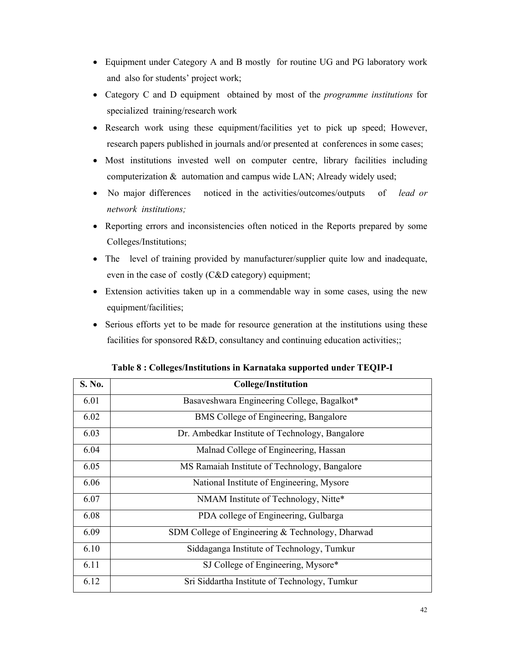- Equipment under Category A and B mostly for routine UG and PG laboratory work and also for students' project work;
- Category C and D equipment obtained by most of the *programme institutions* for specialized training/research work
- Research work using these equipment/facilities yet to pick up speed; However, research papers published in journals and/or presented at conferences in some cases;
- Most institutions invested well on computer centre, library facilities including computerization & automation and campus wide LAN; Already widely used;
- No major differences noticed in the activities/outcomes/outputs of *lead or network institutions;*
- Reporting errors and inconsistencies often noticed in the Reports prepared by some Colleges/Institutions;
- The level of training provided by manufacturer/supplier quite low and inadequate, even in the case of costly (C&D category) equipment;
- Extension activities taken up in a commendable way in some cases, using the new equipment/facilities;
- Serious efforts yet to be made for resource generation at the institutions using these facilities for sponsored R&D, consultancy and continuing education activities;;

| S. No. | <b>College/Institution</b>                       |
|--------|--------------------------------------------------|
| 6.01   | Basaveshwara Engineering College, Bagalkot*      |
| 6.02   | BMS College of Engineering, Bangalore            |
| 6.03   | Dr. Ambedkar Institute of Technology, Bangalore  |
| 6.04   | Malnad College of Engineering, Hassan            |
| 6.05   | MS Ramaiah Institute of Technology, Bangalore    |
| 6.06   | National Institute of Engineering, Mysore        |
| 6.07   | NMAM Institute of Technology, Nitte*             |
| 6.08   | PDA college of Engineering, Gulbarga             |
| 6.09   | SDM College of Engineering & Technology, Dharwad |
| 6.10   | Siddaganga Institute of Technology, Tumkur       |
| 6.11   | SJ College of Engineering, Mysore*               |
| 6.12   | Sri Siddartha Institute of Technology, Tumkur    |

**Table 8 : Colleges/Institutions in Karnataka supported under TEQIP-I**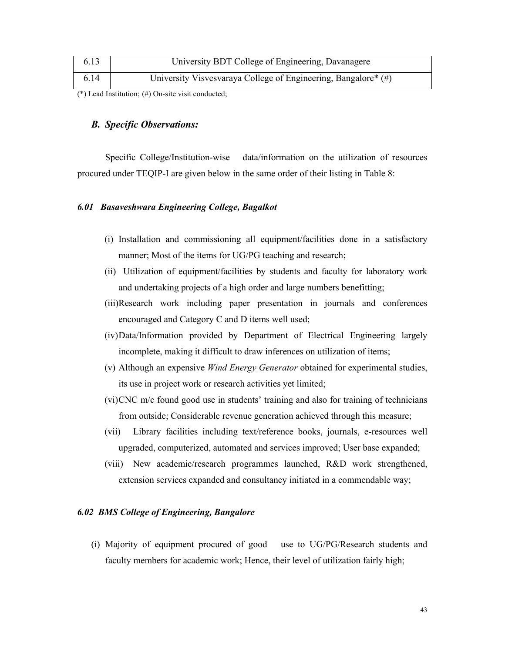| 6.13 | University BDT College of Engineering, Davanagere              |
|------|----------------------------------------------------------------|
| 6.14 | University Visvesvaraya College of Engineering, Bangalore* (#) |

(\*) Lead Institution; (#) On-site visit conducted;

### *B. Specific Observations:*

 Specific College/Institution-wise data/information on the utilization of resources procured under TEQIP-I are given below in the same order of their listing in Table 8:

### *6.01 Basaveshwara Engineering College, Bagalkot*

- (i) Installation and commissioning all equipment/facilities done in a satisfactory manner; Most of the items for UG/PG teaching and research;
- (ii) Utilization of equipment/facilities by students and faculty for laboratory work and undertaking projects of a high order and large numbers benefitting;
- (iii)Research work including paper presentation in journals and conferences encouraged and Category C and D items well used;
- (iv)Data/Information provided by Department of Electrical Engineering largely incomplete, making it difficult to draw inferences on utilization of items;
- (v) Although an expensive *Wind Energy Generator* obtained for experimental studies, its use in project work or research activities yet limited;
- (vi)CNC m/c found good use in students' training and also for training of technicians from outside; Considerable revenue generation achieved through this measure;
- (vii) Library facilities including text/reference books, journals, e-resources well upgraded, computerized, automated and services improved; User base expanded;
- (viii) New academic/research programmes launched, R&D work strengthened, extension services expanded and consultancy initiated in a commendable way;

# *6.02 BMS College of Engineering, Bangalore*

(i) Majority of equipment procured of good use to UG/PG/Research students and faculty members for academic work; Hence, their level of utilization fairly high;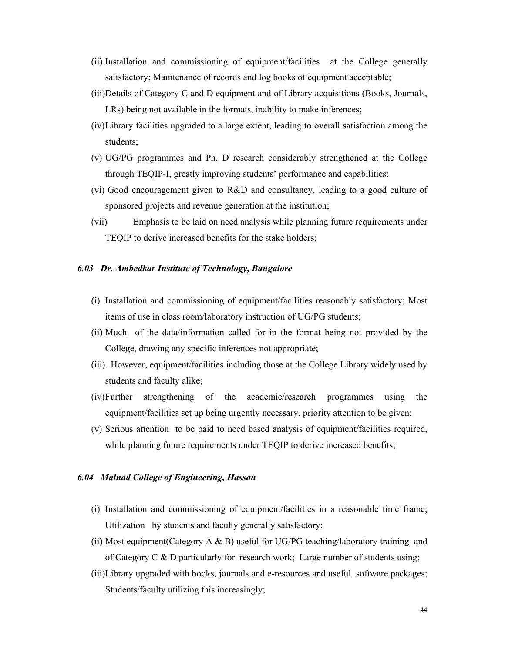- (ii) Installation and commissioning of equipment/facilities at the College generally satisfactory; Maintenance of records and log books of equipment acceptable;
- (iii)Details of Category C and D equipment and of Library acquisitions (Books, Journals, LRs) being not available in the formats, inability to make inferences;
- (iv)Library facilities upgraded to a large extent, leading to overall satisfaction among the students;
- (v) UG/PG programmes and Ph. D research considerably strengthened at the College through TEQIP-I, greatly improving students' performance and capabilities;
- (vi) Good encouragement given to R&D and consultancy, leading to a good culture of sponsored projects and revenue generation at the institution;
- (vii) Emphasis to be laid on need analysis while planning future requirements under TEQIP to derive increased benefits for the stake holders;

## *6.03 Dr. Ambedkar Institute of Technology, Bangalore*

- (i) Installation and commissioning of equipment/facilities reasonably satisfactory; Most items of use in class room/laboratory instruction of UG/PG students;
- (ii) Much of the data/information called for in the format being not provided by the College, drawing any specific inferences not appropriate;
- (iii). However, equipment/facilities including those at the College Library widely used by students and faculty alike;
- (iv)Further strengthening of the academic/research programmes using the equipment/facilities set up being urgently necessary, priority attention to be given;
- (v) Serious attention to be paid to need based analysis of equipment/facilities required, while planning future requirements under TEQIP to derive increased benefits;

# *6.04 Malnad College of Engineering, Hassan*

- (i) Installation and commissioning of equipment/facilities in a reasonable time frame; Utilization by students and faculty generally satisfactory;
- (ii) Most equipment(Category A & B) useful for UG/PG teaching/laboratory training and of Category C  $\&$  D particularly for research work; Large number of students using;
- (iii)Library upgraded with books, journals and e-resources and useful software packages; Students/faculty utilizing this increasingly;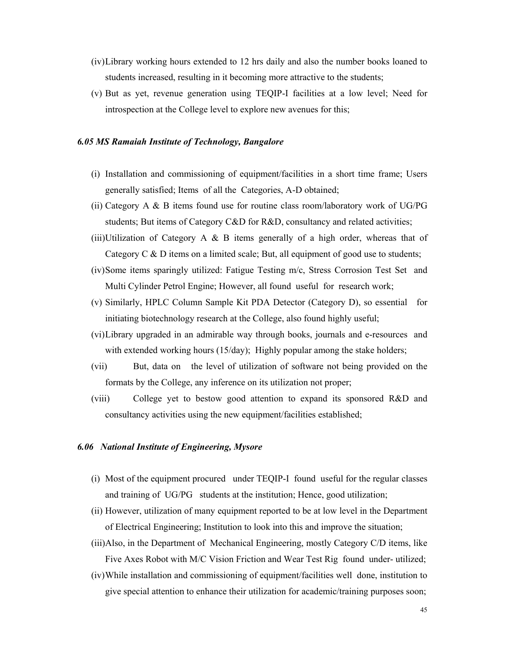- (iv)Library working hours extended to 12 hrs daily and also the number books loaned to students increased, resulting in it becoming more attractive to the students;
- (v) But as yet, revenue generation using TEQIP-I facilities at a low level; Need for introspection at the College level to explore new avenues for this;

#### *6.05 MS Ramaiah Institute of Technology, Bangalore*

- (i) Installation and commissioning of equipment/facilities in a short time frame; Users generally satisfied; Items of all the Categories, A-D obtained;
- (ii) Category A & B items found use for routine class room/laboratory work of UG/PG students; But items of Category C&D for R&D, consultancy and related activities;
- (iii)Utilization of Category A  $\&$  B items generally of a high order, whereas that of Category  $C \& D$  items on a limited scale; But, all equipment of good use to students;
- (iv)Some items sparingly utilized: Fatigue Testing m/c, Stress Corrosion Test Set and Multi Cylinder Petrol Engine; However, all found useful for research work;
- (v) Similarly, HPLC Column Sample Kit PDA Detector (Category D), so essential for initiating biotechnology research at the College, also found highly useful;
- (vi)Library upgraded in an admirable way through books, journals and e-resources and with extended working hours (15/day); Highly popular among the stake holders;
- (vii) But, data on the level of utilization of software not being provided on the formats by the College, any inference on its utilization not proper;
- (viii) College yet to bestow good attention to expand its sponsored R&D and consultancy activities using the new equipment/facilities established;

#### *6.06 National Institute of Engineering, Mysore*

- (i) Most of the equipment procured under TEQIP-I found useful for the regular classes and training of UG/PG students at the institution; Hence, good utilization;
- (ii) However, utilization of many equipment reported to be at low level in the Department of Electrical Engineering; Institution to look into this and improve the situation;
- (iii)Also, in the Department of Mechanical Engineering, mostly Category C/D items, like Five Axes Robot with M/C Vision Friction and Wear Test Rig found under- utilized;
- (iv)While installation and commissioning of equipment/facilities well done, institution to give special attention to enhance their utilization for academic/training purposes soon;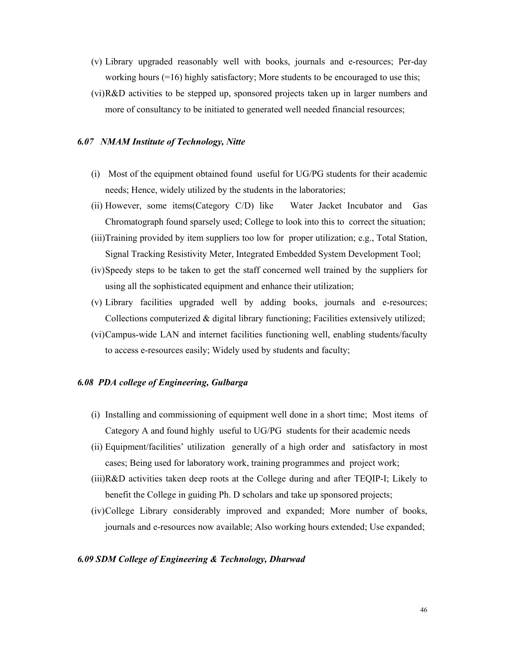- (v) Library upgraded reasonably well with books, journals and e-resources; Per-day working hours (=16) highly satisfactory; More students to be encouraged to use this;
- (vi)R&D activities to be stepped up, sponsored projects taken up in larger numbers and more of consultancy to be initiated to generated well needed financial resources;

#### *6.07 NMAM Institute of Technology, Nitte*

- (i) Most of the equipment obtained found useful for UG/PG students for their academic needs; Hence, widely utilized by the students in the laboratories;
- (ii) However, some items(Category C/D) like Water Jacket Incubator and Gas Chromatograph found sparsely used; College to look into this to correct the situation;
- (iii)Training provided by item suppliers too low for proper utilization; e.g., Total Station, Signal Tracking Resistivity Meter, Integrated Embedded System Development Tool;
- (iv)Speedy steps to be taken to get the staff concerned well trained by the suppliers for using all the sophisticated equipment and enhance their utilization;
- (v) Library facilities upgraded well by adding books, journals and e-resources; Collections computerized & digital library functioning; Facilities extensively utilized;
- (vi)Campus-wide LAN and internet facilities functioning well, enabling students/faculty to access e-resources easily; Widely used by students and faculty;

### *6.08 PDA college of Engineering, Gulbarga*

- (i) Installing and commissioning of equipment well done in a short time; Most items of Category A and found highly useful to UG/PG students for their academic needs
- (ii) Equipment/facilities' utilization generally of a high order and satisfactory in most cases; Being used for laboratory work, training programmes and project work;
- (iii)R&D activities taken deep roots at the College during and after TEQIP-I; Likely to benefit the College in guiding Ph. D scholars and take up sponsored projects;
- (iv)College Library considerably improved and expanded; More number of books, journals and e-resources now available; Also working hours extended; Use expanded;

#### *6.09 SDM College of Engineering & Technology, Dharwad*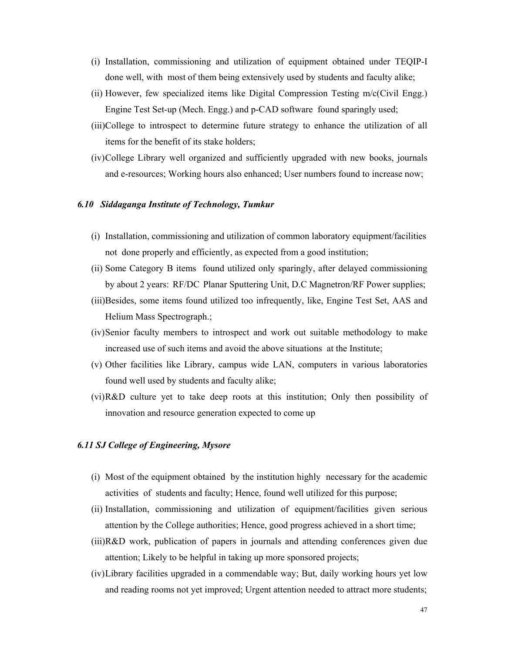- (i) Installation, commissioning and utilization of equipment obtained under TEQIP-I done well, with most of them being extensively used by students and faculty alike;
- (ii) However, few specialized items like Digital Compression Testing m/c(Civil Engg.) Engine Test Set-up (Mech. Engg.) and p-CAD software found sparingly used;
- (iii)College to introspect to determine future strategy to enhance the utilization of all items for the benefit of its stake holders;
- (iv)College Library well organized and sufficiently upgraded with new books, journals and e-resources; Working hours also enhanced; User numbers found to increase now;

### *6.10 Siddaganga Institute of Technology, Tumkur*

- (i) Installation, commissioning and utilization of common laboratory equipment/facilities not done properly and efficiently, as expected from a good institution;
- (ii) Some Category B items found utilized only sparingly, after delayed commissioning by about 2 years: RF/DC Planar Sputtering Unit, D.C Magnetron/RF Power supplies;
- (iii)Besides, some items found utilized too infrequently, like, Engine Test Set, AAS and Helium Mass Spectrograph.;
- (iv)Senior faculty members to introspect and work out suitable methodology to make increased use of such items and avoid the above situations at the Institute;
- (v) Other facilities like Library, campus wide LAN, computers in various laboratories found well used by students and faculty alike;
- (vi)R&D culture yet to take deep roots at this institution; Only then possibility of innovation and resource generation expected to come up

### *6.11 SJ College of Engineering, Mysore*

- (i) Most of the equipment obtained by the institution highly necessary for the academic activities of students and faculty; Hence, found well utilized for this purpose;
- (ii) Installation, commissioning and utilization of equipment/facilities given serious attention by the College authorities; Hence, good progress achieved in a short time;
- (iii)R&D work, publication of papers in journals and attending conferences given due attention; Likely to be helpful in taking up more sponsored projects;
- (iv)Library facilities upgraded in a commendable way; But, daily working hours yet low and reading rooms not yet improved; Urgent attention needed to attract more students;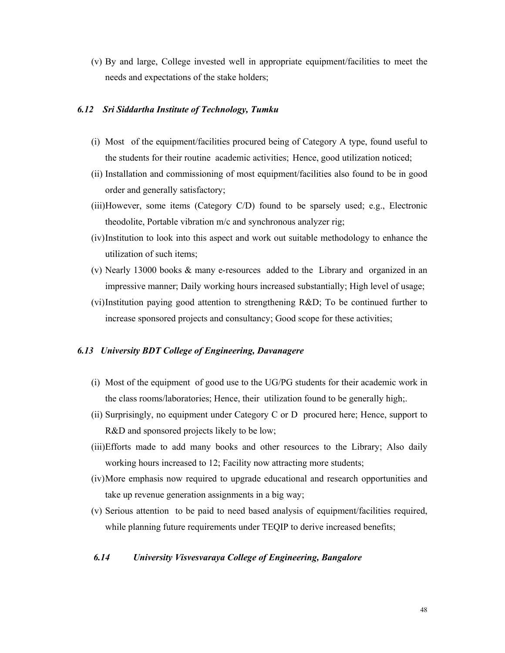(v) By and large, College invested well in appropriate equipment/facilities to meet the needs and expectations of the stake holders;

### *6.12 Sri Siddartha Institute of Technology, Tumku*

- (i) Most of the equipment/facilities procured being of Category A type, found useful to the students for their routine academic activities; Hence, good utilization noticed;
- (ii) Installation and commissioning of most equipment/facilities also found to be in good order and generally satisfactory;
- (iii)However, some items (Category C/D) found to be sparsely used; e.g., Electronic theodolite, Portable vibration m/c and synchronous analyzer rig;
- (iv)Institution to look into this aspect and work out suitable methodology to enhance the utilization of such items;
- (v) Nearly 13000 books & many e-resources added to the Library and organized in an impressive manner; Daily working hours increased substantially; High level of usage;
- (vi)Institution paying good attention to strengthening R&D; To be continued further to increase sponsored projects and consultancy; Good scope for these activities;

### *6.13 University BDT College of Engineering, Davanagere*

- (i) Most of the equipment of good use to the UG/PG students for their academic work in the class rooms/laboratories; Hence, their utilization found to be generally high;.
- (ii) Surprisingly, no equipment under Category C or D procured here; Hence, support to R&D and sponsored projects likely to be low;
- (iii)Efforts made to add many books and other resources to the Library; Also daily working hours increased to 12; Facility now attracting more students;
- (iv)More emphasis now required to upgrade educational and research opportunities and take up revenue generation assignments in a big way;
- (v) Serious attention to be paid to need based analysis of equipment/facilities required, while planning future requirements under TEQIP to derive increased benefits;

### *6.14 University Visvesvaraya College of Engineering, Bangalore*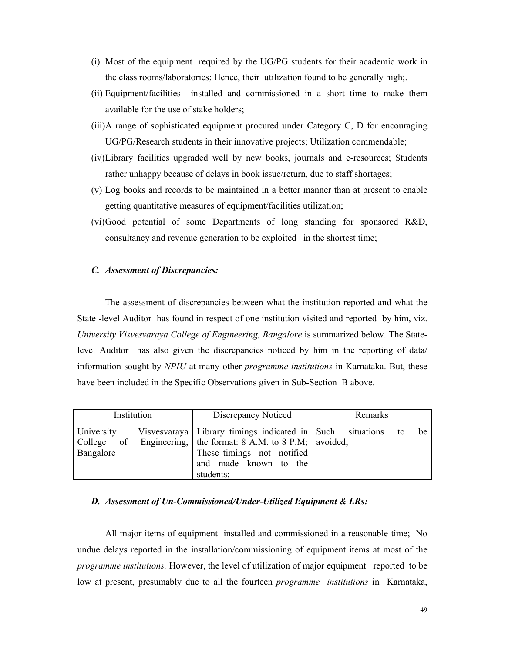- (i) Most of the equipment required by the UG/PG students for their academic work in the class rooms/laboratories; Hence, their utilization found to be generally high;.
- (ii) Equipment/facilities installed and commissioned in a short time to make them available for the use of stake holders;
- (iii)A range of sophisticated equipment procured under Category C, D for encouraging UG/PG/Research students in their innovative projects; Utilization commendable;
- (iv)Library facilities upgraded well by new books, journals and e-resources; Students rather unhappy because of delays in book issue/return, due to staff shortages;
- (v) Log books and records to be maintained in a better manner than at present to enable getting quantitative measures of equipment/facilities utilization;
- (vi)Good potential of some Departments of long standing for sponsored R&D, consultancy and revenue generation to be exploited in the shortest time;

### *C. Assessment of Discrepancies:*

The assessment of discrepancies between what the institution reported and what the State -level Auditor has found in respect of one institution visited and reported by him, viz. *University Visvesvaraya College of Engineering, Bangalore* is summarized below. The Statelevel Auditor has also given the discrepancies noticed by him in the reporting of data/ information sought by *NPIU* at many other *programme institutions* in Karnataka. But, these have been included in the Specific Observations given in Sub-Section B above.

| Institution             | Discrepancy Noticed                                                                                                                                                                            | Remarks  |  |  |
|-------------------------|------------------------------------------------------------------------------------------------------------------------------------------------------------------------------------------------|----------|--|--|
| University<br>Bangalore | Visvesvaraya Library timings indicated in Such situations<br>College of Engineering, the format: 8 A.M. to 8 P.M; avoided;<br>These timings not notified<br>and made known to the<br>students; | be<br>to |  |  |

### *D. Assessment of Un-Commissioned/Under-Utilized Equipment & LRs:*

 All major items of equipment installed and commissioned in a reasonable time; No undue delays reported in the installation/commissioning of equipment items at most of the *programme institutions.* However, the level of utilization of major equipment reported to be low at present, presumably due to all the fourteen *programme institutions* in Karnataka,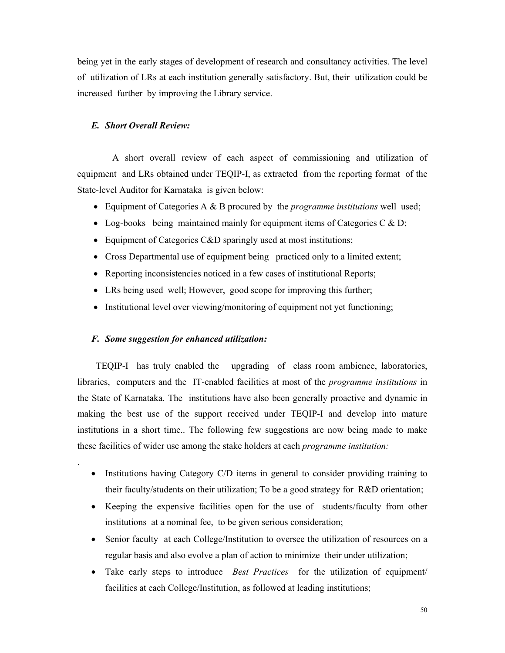being yet in the early stages of development of research and consultancy activities. The level of utilization of LRs at each institution generally satisfactory. But, their utilization could be increased further by improving the Library service.

### *E. Short Overall Review:*

A short overall review of each aspect of commissioning and utilization of equipment and LRs obtained under TEQIP-I, as extracted from the reporting format of the State-level Auditor for Karnataka is given below:

- Equipment of Categories A & B procured by the *programme institutions* well used;
- Log-books being maintained mainly for equipment items of Categories C  $\&$  D;
- Equipment of Categories C&D sparingly used at most institutions;
- Cross Departmental use of equipment being practiced only to a limited extent;
- Reporting inconsistencies noticed in a few cases of institutional Reports;
- LRs being used well; However, good scope for improving this further;
- Institutional level over viewing/monitoring of equipment not yet functioning;

### *F. Some suggestion for enhanced utilization:*

.

 TEQIP-I has truly enabled the upgrading of class room ambience, laboratories, libraries, computers and the IT-enabled facilities at most of the *programme institutions* in the State of Karnataka. The institutions have also been generally proactive and dynamic in making the best use of the support received under TEQIP-I and develop into mature institutions in a short time.. The following few suggestions are now being made to make these facilities of wider use among the stake holders at each *programme institution:*

- Institutions having Category C/D items in general to consider providing training to their faculty/students on their utilization; To be a good strategy for R&D orientation;
- Keeping the expensive facilities open for the use of students/faculty from other institutions at a nominal fee, to be given serious consideration;
- Senior faculty at each College/Institution to oversee the utilization of resources on a regular basis and also evolve a plan of action to minimize their under utilization;
- Take early steps to introduce *Best Practices* for the utilization of equipment/ facilities at each College/Institution, as followed at leading institutions;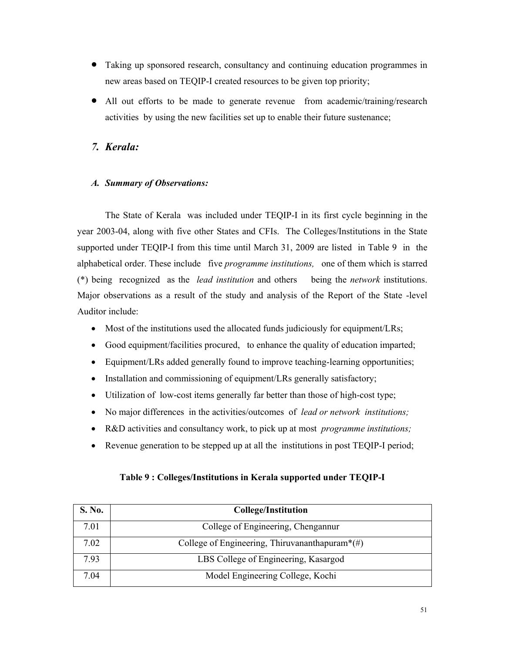- Taking up sponsored research, consultancy and continuing education programmes in new areas based on TEQIP-I created resources to be given top priority;
- All out efforts to be made to generate revenue from academic/training/research activities by using the new facilities set up to enable their future sustenance;

# *7. Kerala:*

# *A. Summary of Observations:*

The State of Kerala was included under TEQIP-I in its first cycle beginning in the year 2003-04, along with five other States and CFIs. The Colleges/Institutions in the State supported under TEQIP-I from this time until March 31, 2009 are listed in Table 9 in the alphabetical order. These include five *programme institutions,* one of them which is starred (\*) being recognized as the *lead institution* and others being the *network* institutions. Major observations as a result of the study and analysis of the Report of the State -level Auditor include:

- Most of the institutions used the allocated funds judiciously for equipment/LRs;
- Good equipment/facilities procured, to enhance the quality of education imparted;
- Equipment/LRs added generally found to improve teaching-learning opportunities;
- Installation and commissioning of equipment/LRs generally satisfactory;
- Utilization of low-cost items generally far better than those of high-cost type;
- No major differences in the activities/outcomes of *lead or network institutions;*
- R&D activities and consultancy work, to pick up at most *programme institutions;*
- Revenue generation to be stepped up at all the institutions in post TEOIP-I period;

| S. No. | <b>College/Institution</b>                                     |
|--------|----------------------------------------------------------------|
| 7.01   | College of Engineering, Chengannur                             |
| 7.02   | College of Engineering, Thiruvananthapuram <sup>*</sup> $(\#)$ |
| 7.93   | LBS College of Engineering, Kasargod                           |
| 7.04   | Model Engineering College, Kochi                               |

# **Table 9 : Colleges/Institutions in Kerala supported under TEQIP-I**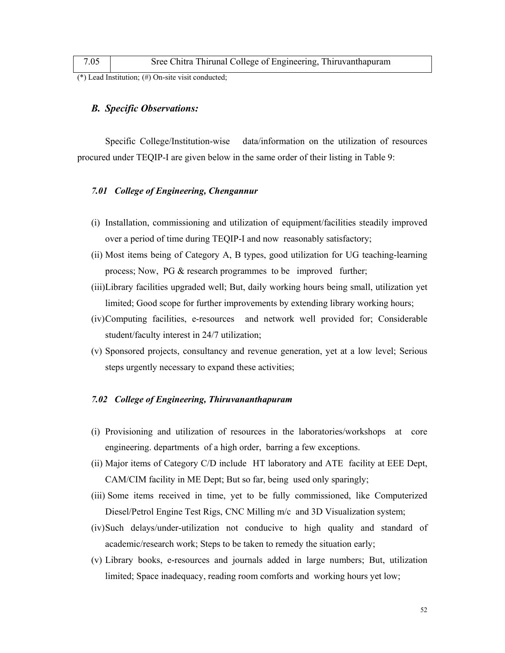| 7.05 | Sree Chitra Thirunal College of Engineering, Thiruvanthapuram |
|------|---------------------------------------------------------------|
|------|---------------------------------------------------------------|

(\*) Lead Institution; (#) On-site visit conducted;

### *B. Specific Observations:*

 Specific College/Institution-wise data/information on the utilization of resources procured under TEQIP-I are given below in the same order of their listing in Table 9:

### *7.01 College of Engineering, Chengannur*

- (i) Installation, commissioning and utilization of equipment/facilities steadily improved over a period of time during TEQIP-I and now reasonably satisfactory;
- (ii) Most items being of Category A, B types, good utilization for UG teaching-learning process; Now, PG & research programmes to be improved further;
- (iii)Library facilities upgraded well; But, daily working hours being small, utilization yet limited; Good scope for further improvements by extending library working hours;
- (iv)Computing facilities, e-resources and network well provided for; Considerable student/faculty interest in 24/7 utilization;
- (v) Sponsored projects, consultancy and revenue generation, yet at a low level; Serious steps urgently necessary to expand these activities;

### *7.02 College of Engineering, Thiruvananthapuram*

- (i) Provisioning and utilization of resources in the laboratories/workshops at core engineering. departments of a high order, barring a few exceptions.
- (ii) Major items of Category C/D include HT laboratory and ATE facility at EEE Dept, CAM/CIM facility in ME Dept; But so far, being used only sparingly;
- (iii) Some items received in time, yet to be fully commissioned, like Computerized Diesel/Petrol Engine Test Rigs, CNC Milling m/c and 3D Visualization system;
- (iv)Such delays/under-utilization not conducive to high quality and standard of academic/research work; Steps to be taken to remedy the situation early;
- (v) Library books, e-resources and journals added in large numbers; But, utilization limited; Space inadequacy, reading room comforts and working hours yet low;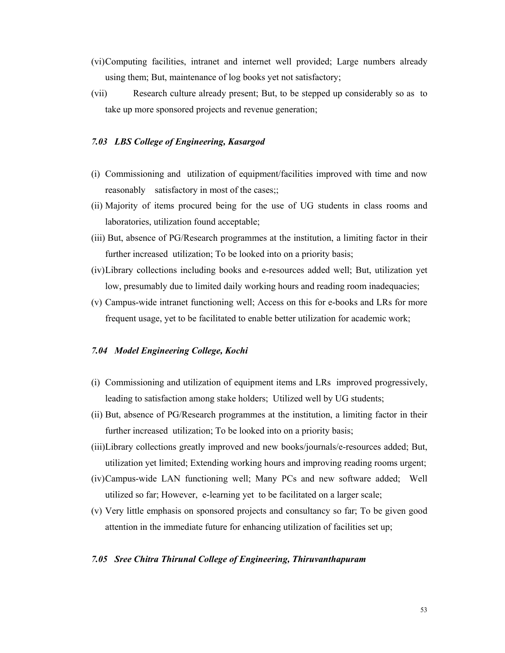- (vi)Computing facilities, intranet and internet well provided; Large numbers already using them; But, maintenance of log books yet not satisfactory;
- (vii) Research culture already present; But, to be stepped up considerably so as to take up more sponsored projects and revenue generation;

### *7.03 LBS College of Engineering, Kasargod*

- (i) Commissioning and utilization of equipment/facilities improved with time and now reasonably satisfactory in most of the cases;;
- (ii) Majority of items procured being for the use of UG students in class rooms and laboratories, utilization found acceptable;
- (iii) But, absence of PG/Research programmes at the institution, a limiting factor in their further increased utilization; To be looked into on a priority basis;
- (iv)Library collections including books and e-resources added well; But, utilization yet low, presumably due to limited daily working hours and reading room inadequacies;
- (v) Campus-wide intranet functioning well; Access on this for e-books and LRs for more frequent usage, yet to be facilitated to enable better utilization for academic work;

#### *7.04 Model Engineering College, Kochi*

- (i) Commissioning and utilization of equipment items and LRs improved progressively, leading to satisfaction among stake holders; Utilized well by UG students;
- (ii) But, absence of PG/Research programmes at the institution, a limiting factor in their further increased utilization; To be looked into on a priority basis;
- (iii)Library collections greatly improved and new books/journals/e-resources added; But, utilization yet limited; Extending working hours and improving reading rooms urgent;
- (iv)Campus-wide LAN functioning well; Many PCs and new software added; Well utilized so far; However, e-learning yet to be facilitated on a larger scale;
- (v) Very little emphasis on sponsored projects and consultancy so far; To be given good attention in the immediate future for enhancing utilization of facilities set up;

#### *7.05 Sree Chitra Thirunal College of Engineering, Thiruvanthapuram*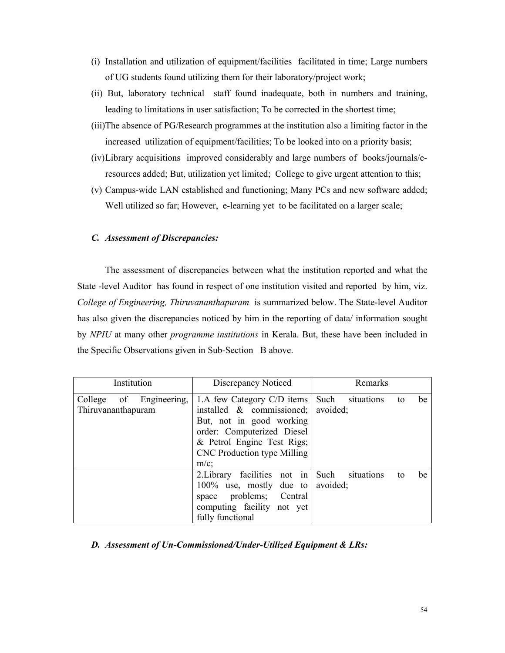- (i) Installation and utilization of equipment/facilities facilitated in time; Large numbers of UG students found utilizing them for their laboratory/project work;
- (ii) But, laboratory technical staff found inadequate, both in numbers and training, leading to limitations in user satisfaction; To be corrected in the shortest time;
- (iii)The absence of PG/Research programmes at the institution also a limiting factor in the increased utilization of equipment/facilities; To be looked into on a priority basis;
- (iv)Library acquisitions improved considerably and large numbers of books/journals/eresources added; But, utilization yet limited; College to give urgent attention to this;
- (v) Campus-wide LAN established and functioning; Many PCs and new software added; Well utilized so far; However, e-learning yet to be facilitated on a larger scale;

### *C. Assessment of Discrepancies:*

The assessment of discrepancies between what the institution reported and what the State -level Auditor has found in respect of one institution visited and reported by him, viz. *College of Engineering, Thiruvananthapuram* is summarized below. The State-level Auditor has also given the discrepancies noticed by him in the reporting of data/ information sought by *NPIU* at many other *programme institutions* in Kerala. But, these have been included in the Specific Observations given in Sub-Section B above.

| Institution                                   | Discrepancy Noticed                                                                                                                                                                                 | Remarks                                    |  |  |
|-----------------------------------------------|-----------------------------------------------------------------------------------------------------------------------------------------------------------------------------------------------------|--------------------------------------------|--|--|
| College of Engineering,<br>Thiruvananthapuram | 1.A few Category C/D items<br>installed $\&$ commissioned;<br>But, not in good working<br>order: Computerized Diesel<br>& Petrol Engine Test Rigs;<br><b>CNC</b> Production type Milling<br>$m/c$ ; | Such<br>situations<br>be<br>to<br>avoided; |  |  |
|                                               | 2. Library facilities not in<br>$100\%$ use, mostly due to<br>space problems; Central<br>computing facility not yet<br>fully functional                                                             | Such<br>situations<br>be<br>to<br>avoided: |  |  |

### *D. Assessment of Un-Commissioned/Under-Utilized Equipment & LRs:*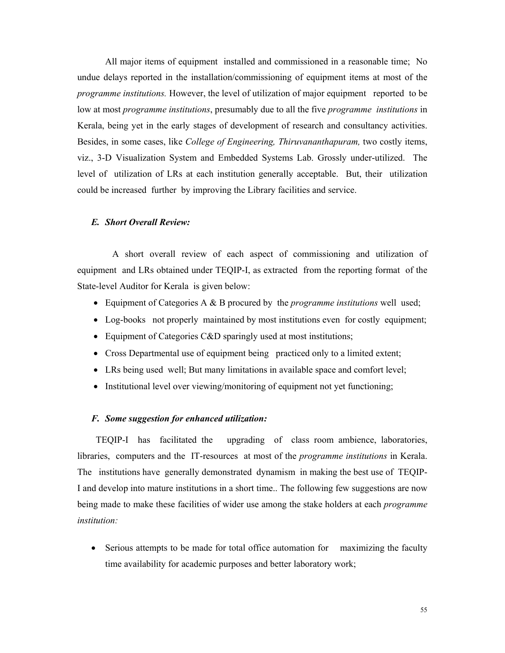All major items of equipment installed and commissioned in a reasonable time; No undue delays reported in the installation/commissioning of equipment items at most of the *programme institutions.* However, the level of utilization of major equipment reported to be low at most *programme institutions*, presumably due to all the five *programme institutions* in Kerala, being yet in the early stages of development of research and consultancy activities. Besides, in some cases, like *College of Engineering, Thiruvananthapuram,* two costly items, viz., 3-D Visualization System and Embedded Systems Lab. Grossly under-utilized. The level of utilization of LRs at each institution generally acceptable. But, their utilization could be increased further by improving the Library facilities and service.

### *E. Short Overall Review:*

A short overall review of each aspect of commissioning and utilization of equipment and LRs obtained under TEQIP-I, as extracted from the reporting format of the State-level Auditor for Kerala is given below:

- Equipment of Categories A & B procured by the *programme institutions* well used;
- Log-books not properly maintained by most institutions even for costly equipment;
- Equipment of Categories C&D sparingly used at most institutions;
- Cross Departmental use of equipment being practiced only to a limited extent;
- LRs being used well; But many limitations in available space and comfort level;
- Institutional level over viewing/monitoring of equipment not yet functioning;

### *F. Some suggestion for enhanced utilization:*

 TEQIP-I has facilitated the upgrading of class room ambience, laboratories, libraries, computers and the IT-resources at most of the *programme institutions* in Kerala. The institutions have generally demonstrated dynamism in making the best use of TEQIP-I and develop into mature institutions in a short time.. The following few suggestions are now being made to make these facilities of wider use among the stake holders at each *programme institution:*

• Serious attempts to be made for total office automation for maximizing the faculty time availability for academic purposes and better laboratory work;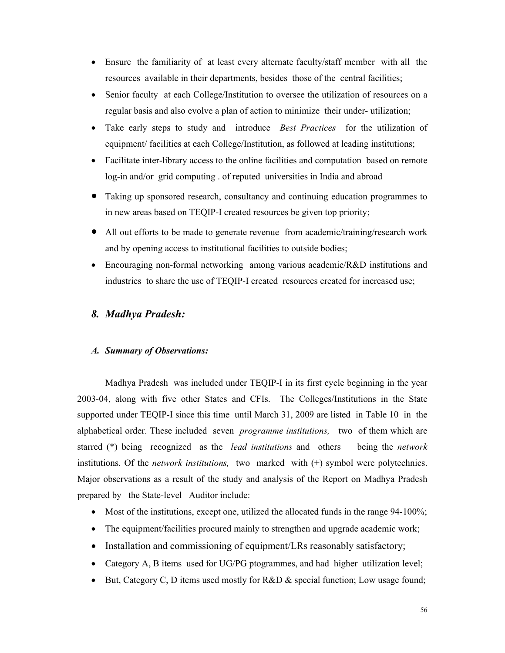- Ensure the familiarity of at least every alternate faculty/staff member with all the resources available in their departments, besides those of the central facilities;
- Senior faculty at each College/Institution to oversee the utilization of resources on a regular basis and also evolve a plan of action to minimize their under- utilization;
- Take early steps to study and introduce *Best Practices* for the utilization of equipment/ facilities at each College/Institution, as followed at leading institutions;
- Facilitate inter-library access to the online facilities and computation based on remote log-in and/or grid computing . of reputed universities in India and abroad
- Taking up sponsored research, consultancy and continuing education programmes to in new areas based on TEQIP-I created resources be given top priority;
- All out efforts to be made to generate revenue from academic/training/research work and by opening access to institutional facilities to outside bodies;
- Encouraging non-formal networking among various academic/R&D institutions and industries to share the use of TEQIP-I created resources created for increased use;

# *8. Madhya Pradesh:*

## *A. Summary of Observations:*

Madhya Pradesh was included under TEQIP-I in its first cycle beginning in the year 2003-04, along with five other States and CFIs. The Colleges/Institutions in the State supported under TEQIP-I since this time until March 31, 2009 are listed in Table 10 in the alphabetical order. These included seven *programme institutions,* two of them which are starred (\*) being recognized as the *lead institutions* and others being the *network*  institutions. Of the *network institutions,* two marked with (+) symbol were polytechnics. Major observations as a result of the study and analysis of the Report on Madhya Pradesh prepared by the State-level Auditor include:

- Most of the institutions, except one, utilized the allocated funds in the range 94-100%;
- The equipment/facilities procured mainly to strengthen and upgrade academic work;
- Installation and commissioning of equipment/LRs reasonably satisfactory;
- Category A, B items used for UG/PG ptogrammes, and had higher utilization level;
- But, Category C, D items used mostly for R&D & special function; Low usage found;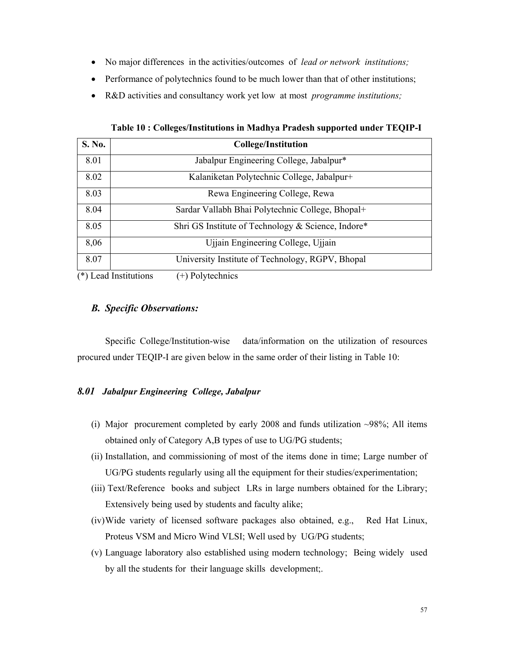- No major differences in the activities/outcomes of *lead or network institutions;*
- Performance of polytechnics found to be much lower than that of other institutions;
- R&D activities and consultancy work yet low at most *programme institutions;*

| <b>S. No.</b>                                               | <b>College/Institution</b>                               |
|-------------------------------------------------------------|----------------------------------------------------------|
| 8.01                                                        | Jabalpur Engineering College, Jabalpur*                  |
| 8.02                                                        | Kalaniketan Polytechnic College, Jabalpur+               |
| 8.03                                                        | Rewa Engineering College, Rewa                           |
| 8.04                                                        | Sardar Vallabh Bhai Polytechnic College, Bhopal+         |
| 8.05                                                        | Shri GS Institute of Technology & Science, Indore*       |
| 8,06                                                        | Ujjain Engineering College, Ujjain                       |
| 8.07                                                        | University Institute of Technology, RGPV, Bhopal         |
| $(\mathbf{A} \setminus \mathbf{T}) = \mathbf{I} \mathbf{T}$ | $(1)$ $\mathbb{R}$ $1$ $\mathbb{R}$ $1$ $\mathbb{R}$ $1$ |

**Table 10 : Colleges/Institutions in Madhya Pradesh supported under TEQIP-I** 

(\*) Lead Institutions (+) Polytechnics

# *B. Specific Observations:*

 Specific College/Institution-wise data/information on the utilization of resources procured under TEQIP-I are given below in the same order of their listing in Table 10:

# *8.01 Jabalpur Engineering College, Jabalpur*

- (i) Major procurement completed by early 2008 and funds utilization  $\sim$ 98%; All items obtained only of Category A,B types of use to UG/PG students;
- (ii) Installation, and commissioning of most of the items done in time; Large number of UG/PG students regularly using all the equipment for their studies/experimentation;
- (iii) Text/Reference books and subject LRs in large numbers obtained for the Library; Extensively being used by students and faculty alike;
- (iv)Wide variety of licensed software packages also obtained, e.g., Red Hat Linux, Proteus VSM and Micro Wind VLSI; Well used by UG/PG students;
- (v) Language laboratory also established using modern technology; Being widely used by all the students for their language skills development;.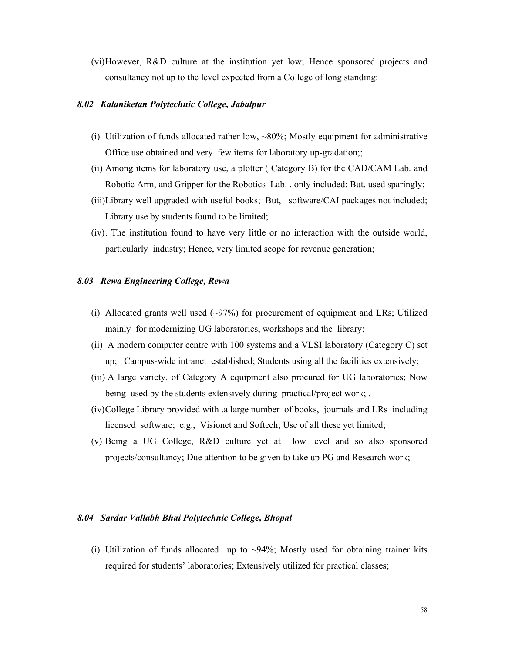(vi)However, R&D culture at the institution yet low; Hence sponsored projects and consultancy not up to the level expected from a College of long standing:

### *8.02 Kalaniketan Polytechnic College, Jabalpur*

- (i) Utilization of funds allocated rather low,  $\sim 80\%$ ; Mostly equipment for administrative Office use obtained and very few items for laboratory up-gradation;;
- (ii) Among items for laboratory use, a plotter ( Category B) for the CAD/CAM Lab. and Robotic Arm, and Gripper for the Robotics Lab. , only included; But, used sparingly;
- (iii)Library well upgraded with useful books; But, software/CAI packages not included; Library use by students found to be limited;
- (iv). The institution found to have very little or no interaction with the outside world, particularly industry; Hence, very limited scope for revenue generation;

### *8.03 Rewa Engineering College, Rewa*

- (i) Allocated grants well used  $(\sim)97\%$ ) for procurement of equipment and LRs; Utilized mainly for modernizing UG laboratories, workshops and the library;
- (ii) A modern computer centre with 100 systems and a VLSI laboratory (Category C) set up; Campus-wide intranet established; Students using all the facilities extensively;
- (iii) A large variety. of Category A equipment also procured for UG laboratories; Now being used by the students extensively during practical/project work;
- (iv)College Library provided with .a large number of books, journals and LRs including licensed software; e.g., Visionet and Softech; Use of all these yet limited;
- (v) Being a UG College, R&D culture yet at low level and so also sponsored projects/consultancy; Due attention to be given to take up PG and Research work;

#### *8.04 Sardar Vallabh Bhai Polytechnic College, Bhopal*

(i) Utilization of funds allocated up to  $\sim$ 94%; Mostly used for obtaining trainer kits required for students' laboratories; Extensively utilized for practical classes;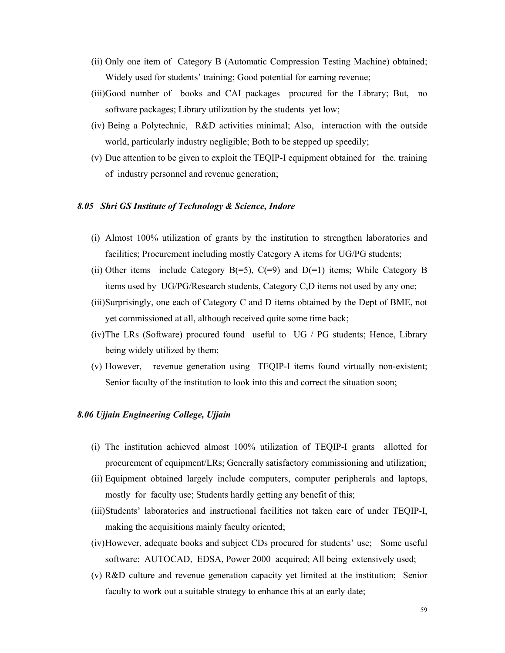- (ii) Only one item of Category B (Automatic Compression Testing Machine) obtained; Widely used for students' training; Good potential for earning revenue;
- (iii)Good number of books and CAI packages procured for the Library; But, no software packages; Library utilization by the students yet low;
- (iv) Being a Polytechnic, R&D activities minimal; Also, interaction with the outside world, particularly industry negligible; Both to be stepped up speedily;
- (v) Due attention to be given to exploit the TEQIP-I equipment obtained for the. training of industry personnel and revenue generation;

### *8.05 Shri GS Institute of Technology & Science, Indore*

- (i) Almost 100% utilization of grants by the institution to strengthen laboratories and facilities; Procurement including mostly Category A items for UG/PG students;
- (ii) Other items include Category  $B(=5)$ ,  $C(=9)$  and  $D(=1)$  items; While Category B items used by UG/PG/Research students, Category C,D items not used by any one;
- (iii)Surprisingly, one each of Category C and D items obtained by the Dept of BME, not yet commissioned at all, although received quite some time back;
- (iv)The LRs (Software) procured found useful to UG / PG students; Hence, Library being widely utilized by them;
- (v) However, revenue generation using TEQIP-I items found virtually non-existent; Senior faculty of the institution to look into this and correct the situation soon;

## *8.06 Ujjain Engineering College, Ujjain*

- (i) The institution achieved almost 100% utilization of TEQIP-I grants allotted for procurement of equipment/LRs; Generally satisfactory commissioning and utilization;
- (ii) Equipment obtained largely include computers, computer peripherals and laptops, mostly for faculty use; Students hardly getting any benefit of this;
- (iii)Students' laboratories and instructional facilities not taken care of under TEQIP-I, making the acquisitions mainly faculty oriented;
- (iv)However, adequate books and subject CDs procured for students' use; Some useful software: AUTOCAD, EDSA, Power 2000 acquired; All being extensively used;
- (v) R&D culture and revenue generation capacity yet limited at the institution; Senior faculty to work out a suitable strategy to enhance this at an early date;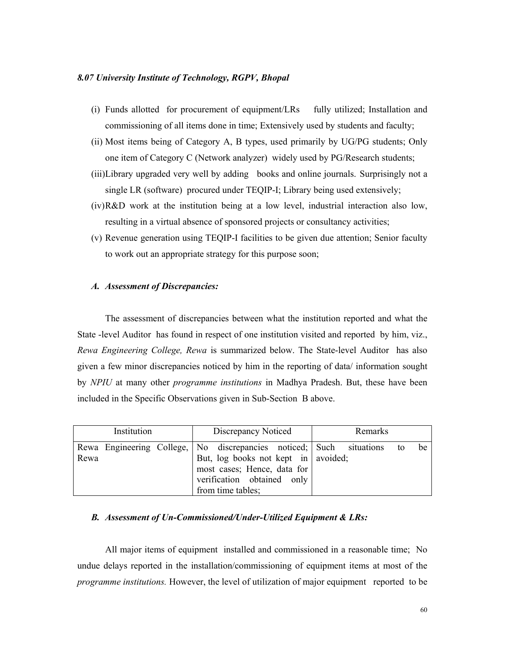### *8.07 University Institute of Technology, RGPV, Bhopal*

- (i) Funds allotted for procurement of equipment/LRs fully utilized; Installation and commissioning of all items done in time; Extensively used by students and faculty;
- (ii) Most items being of Category A, B types, used primarily by UG/PG students; Only one item of Category C (Network analyzer) widely used by PG/Research students;
- (iii)Library upgraded very well by adding books and online journals. Surprisingly not a single LR (software) procured under TEQIP-I; Library being used extensively;
- (iv)R&D work at the institution being at a low level, industrial interaction also low, resulting in a virtual absence of sponsored projects or consultancy activities;
- (v) Revenue generation using TEQIP-I facilities to be given due attention; Senior faculty to work out an appropriate strategy for this purpose soon;

#### *A. Assessment of Discrepancies:*

The assessment of discrepancies between what the institution reported and what the State -level Auditor has found in respect of one institution visited and reported by him, viz., *Rewa Engineering College, Rewa* is summarized below. The State-level Auditor has also given a few minor discrepancies noticed by him in the reporting of data/ information sought by *NPIU* at many other *programme institutions* in Madhya Pradesh. But, these have been included in the Specific Observations given in Sub-Section B above.

| Institution                                                                     |  |  |  | Discrepancy Noticed                                                                                                     |  |  | Remarks |  |  |    |    |
|---------------------------------------------------------------------------------|--|--|--|-------------------------------------------------------------------------------------------------------------------------|--|--|---------|--|--|----|----|
| Rewa Engineering College,   No discrepancies noticed;   Such situations<br>Rewa |  |  |  | But, log books not kept in   avoided;<br>most cases; Hence, data for<br>verification obtained only<br>from time tables; |  |  |         |  |  | to | be |

#### *B. Assessment of Un-Commissioned/Under-Utilized Equipment & LRs:*

 All major items of equipment installed and commissioned in a reasonable time; No undue delays reported in the installation/commissioning of equipment items at most of the *programme institutions.* However, the level of utilization of major equipment reported to be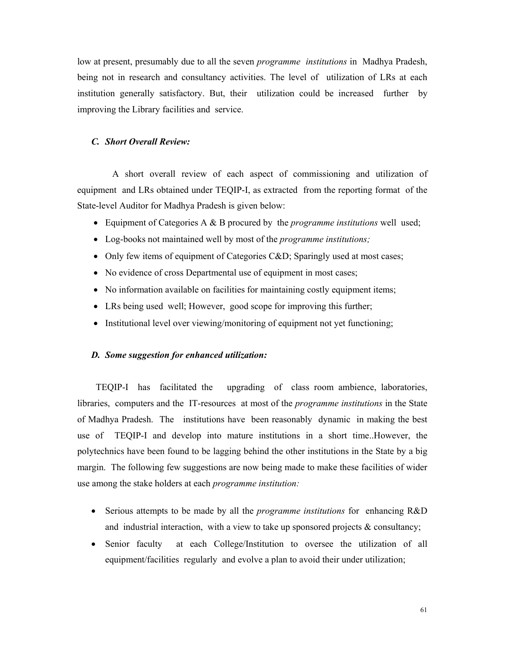low at present, presumably due to all the seven *programme institutions* in Madhya Pradesh, being not in research and consultancy activities. The level of utilization of LRs at each institution generally satisfactory. But, their utilization could be increased further by improving the Library facilities and service.

#### *C. Short Overall Review:*

A short overall review of each aspect of commissioning and utilization of equipment and LRs obtained under TEQIP-I, as extracted from the reporting format of the State-level Auditor for Madhya Pradesh is given below:

- Equipment of Categories A & B procured by the *programme institutions* well used;
- Log-books not maintained well by most of the *programme institutions;*
- Only few items of equipment of Categories C&D; Sparingly used at most cases;
- No evidence of cross Departmental use of equipment in most cases;
- No information available on facilities for maintaining costly equipment items;
- LRs being used well; However, good scope for improving this further;
- Institutional level over viewing/monitoring of equipment not yet functioning;

#### *D. Some suggestion for enhanced utilization:*

 TEQIP-I has facilitated the upgrading of class room ambience, laboratories, libraries, computers and the IT-resources at most of the *programme institutions* in the State of Madhya Pradesh. The institutions have been reasonably dynamic in making the best use of TEQIP-I and develop into mature institutions in a short time..However, the polytechnics have been found to be lagging behind the other institutions in the State by a big margin. The following few suggestions are now being made to make these facilities of wider use among the stake holders at each *programme institution:*

- Serious attempts to be made by all the *programme institutions* for enhancing R&D and industrial interaction, with a view to take up sponsored projects  $\&$  consultancy;
- Senior faculty at each College/Institution to oversee the utilization of all equipment/facilities regularly and evolve a plan to avoid their under utilization;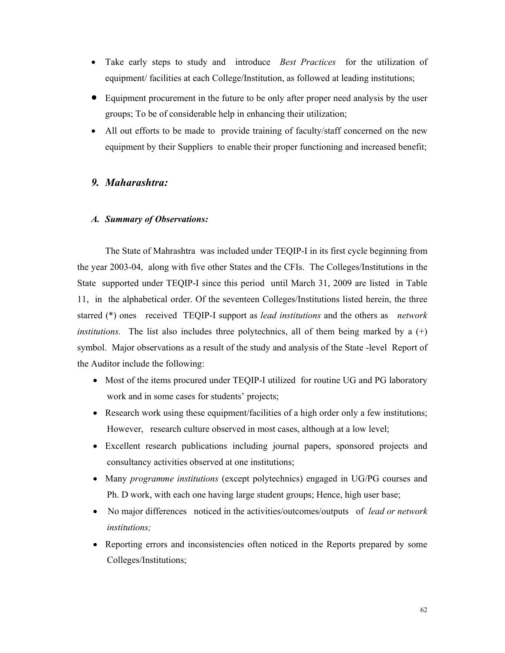- Take early steps to study and introduce *Best Practices* for the utilization of equipment/ facilities at each College/Institution, as followed at leading institutions;
- Equipment procurement in the future to be only after proper need analysis by the user groups; To be of considerable help in enhancing their utilization;
- All out efforts to be made to provide training of faculty/staff concerned on the new equipment by their Suppliers to enable their proper functioning and increased benefit;

# *9. Maharashtra:*

# *A. Summary of Observations:*

The State of Mahrashtra was included under TEQIP-I in its first cycle beginning from the year 2003-04, along with five other States and the CFIs. The Colleges/Institutions in the State supported under TEQIP-I since this period until March 31, 2009 are listed in Table 11, in the alphabetical order. Of the seventeen Colleges/Institutions listed herein, the three starred (\*) ones received TEQIP-I support as *lead institutions* and the others as *network institutions.* The list also includes three polytechnics, all of them being marked by a  $(+)$ symbol. Major observations as a result of the study and analysis of the State -level Report of the Auditor include the following:

- Most of the items procured under TEQIP-I utilized for routine UG and PG laboratory work and in some cases for students' projects;
- Research work using these equipment/facilities of a high order only a few institutions; However, research culture observed in most cases, although at a low level;
- Excellent research publications including journal papers, sponsored projects and consultancy activities observed at one institutions;
- Many *programme institutions* (except polytechnics) engaged in UG/PG courses and Ph. D work, with each one having large student groups; Hence, high user base;
- No major differences noticed in the activities/outcomes/outputs of *lead or network institutions;*
- Reporting errors and inconsistencies often noticed in the Reports prepared by some Colleges/Institutions;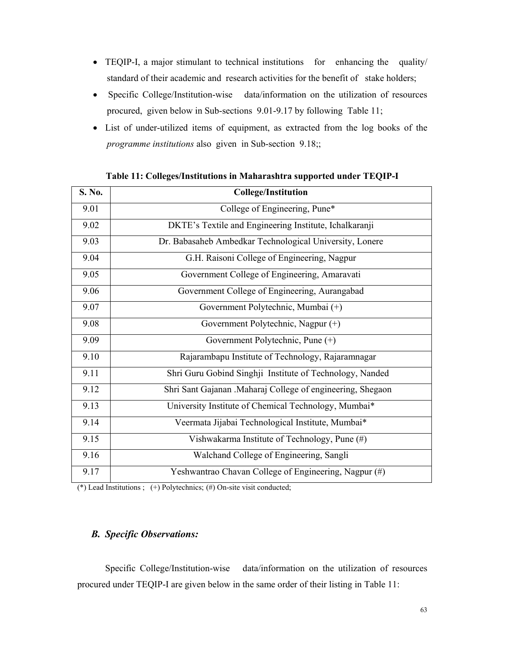- TEQIP-I, a major stimulant to technical institutions for enhancing the quality/ standard of their academic and research activities for the benefit of stake holders;
- Specific College/Institution-wise data/information on the utilization of resources procured, given below in Sub-sections 9.01-9.17 by following Table 11;
- List of under-utilized items of equipment, as extracted from the log books of the *programme institutions* also given in Sub-section 9.18;;

| S. No. | <b>College/Institution</b>                                 |
|--------|------------------------------------------------------------|
| 9.01   | College of Engineering, Pune*                              |
| 9.02   | DKTE's Textile and Engineering Institute, Ichalkaranji     |
| 9.03   | Dr. Babasaheb Ambedkar Technological University, Lonere    |
| 9.04   | G.H. Raisoni College of Engineering, Nagpur                |
| 9.05   | Government College of Engineering, Amaravati               |
| 9.06   | Government College of Engineering, Aurangabad              |
| 9.07   | Government Polytechnic, Mumbai (+)                         |
| 9.08   | Government Polytechnic, Nagpur (+)                         |
| 9.09   | Government Polytechnic, Pune (+)                           |
| 9.10   | Rajarambapu Institute of Technology, Rajaramnagar          |
| 9.11   | Shri Guru Gobind Singhji Institute of Technology, Nanded   |
| 9.12   | Shri Sant Gajanan .Maharaj College of engineering, Shegaon |
| 9.13   | University Institute of Chemical Technology, Mumbai*       |
| 9.14   | Veermata Jijabai Technological Institute, Mumbai*          |
| 9.15   | Vishwakarma Institute of Technology, Pune (#)              |
| 9.16   | Walchand College of Engineering, Sangli                    |
| 9.17   | Yeshwantrao Chavan College of Engineering, Nagpur (#)      |

**Table 11: Colleges/Institutions in Maharashtra supported under TEQIP-I** 

(\*) Lead Institutions;  $(+)$  Polytechnics;  $(+)$  On-site visit conducted;

### *B. Specific Observations:*

 Specific College/Institution-wise data/information on the utilization of resources procured under TEQIP-I are given below in the same order of their listing in Table 11: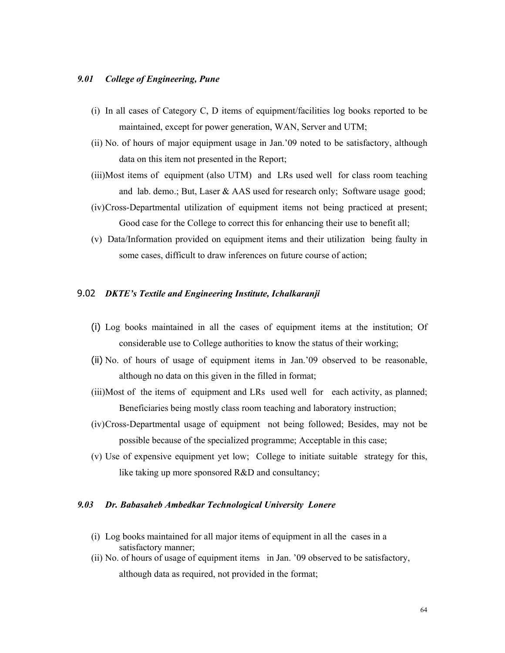### *9.01 College of Engineering, Pune*

- (i) In all cases of Category C, D items of equipment/facilities log books reported to be maintained, except for power generation, WAN, Server and UTM;
- (ii) No. of hours of major equipment usage in Jan.'09 noted to be satisfactory, although data on this item not presented in the Report;
- (iii)Most items of equipment (also UTM) and LRs used well for class room teaching and lab. demo.; But, Laser & AAS used for research only; Software usage good;
- (iv)Cross-Departmental utilization of equipment items not being practiced at present; Good case for the College to correct this for enhancing their use to benefit all;
- (v) Data/Information provided on equipment items and their utilization being faulty in some cases, difficult to draw inferences on future course of action;

### 9.02 *DKTE's Textile and Engineering Institute, Ichalkaranji*

- (i) Log books maintained in all the cases of equipment items at the institution; Of considerable use to College authorities to know the status of their working;
- (ii) No. of hours of usage of equipment items in Jan.'09 observed to be reasonable, although no data on this given in the filled in format;
- (iii)Most of the items of equipment and LRs used well for each activity, as planned; Beneficiaries being mostly class room teaching and laboratory instruction;
- (iv)Cross-Departmental usage of equipment not being followed; Besides, may not be possible because of the specialized programme; Acceptable in this case;
- (v) Use of expensive equipment yet low; College to initiate suitable strategy for this, like taking up more sponsored R&D and consultancy;

#### *9.03 Dr. Babasaheb Ambedkar Technological University Lonere*

- (i) Log books maintained for all major items of equipment in all the cases in a satisfactory manner;
- (ii) No. of hours of usage of equipment items in Jan. '09 observed to be satisfactory, although data as required, not provided in the format;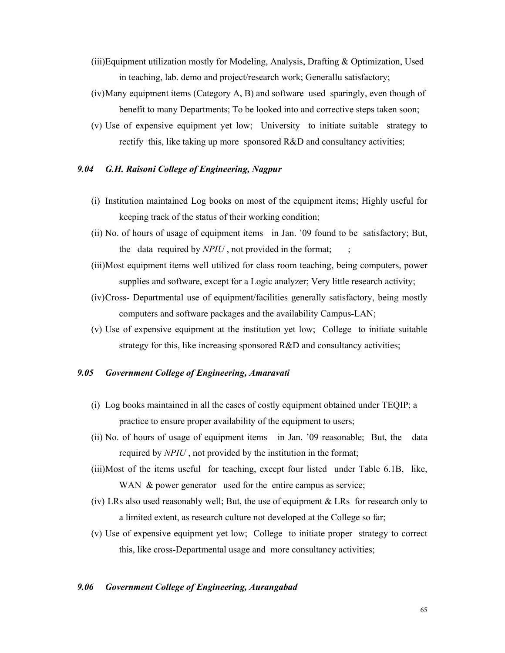- (iii)Equipment utilization mostly for Modeling, Analysis, Drafting & Optimization, Used in teaching, lab. demo and project/research work; Generallu satisfactory;
- (iv)Many equipment items (Category A, B) and software used sparingly, even though of benefit to many Departments; To be looked into and corrective steps taken soon;
- (v) Use of expensive equipment yet low; University to initiate suitable strategy to rectify this, like taking up more sponsored R&D and consultancy activities;

# *9.04 G.H. Raisoni College of Engineering, Nagpur*

- (i) Institution maintained Log books on most of the equipment items; Highly useful for keeping track of the status of their working condition;
- (ii) No. of hours of usage of equipment items in Jan. '09 found to be satisfactory; But, the data required by *NPIU*, not provided in the format;
- (iii)Most equipment items well utilized for class room teaching, being computers, power supplies and software, except for a Logic analyzer; Very little research activity;
- (iv)Cross- Departmental use of equipment/facilities generally satisfactory, being mostly computers and software packages and the availability Campus-LAN;
- (v) Use of expensive equipment at the institution yet low; College to initiate suitable strategy for this, like increasing sponsored R&D and consultancy activities;

## *9.05 Government College of Engineering, Amaravati*

- (i) Log books maintained in all the cases of costly equipment obtained under TEQIP; a practice to ensure proper availability of the equipment to users;
- (ii) No. of hours of usage of equipment items in Jan. '09 reasonable; But, the data required by *NPIU* , not provided by the institution in the format;
- (iii)Most of the items useful for teaching, except four listed under Table 6.1B, like, WAN & power generator used for the entire campus as service;
- (iv) LRs also used reasonably well; But, the use of equipment & LRs for research only to a limited extent, as research culture not developed at the College so far;
- (v) Use of expensive equipment yet low; College to initiate proper strategy to correct this, like cross-Departmental usage and more consultancy activities;

# *9.06 Government College of Engineering, Aurangabad*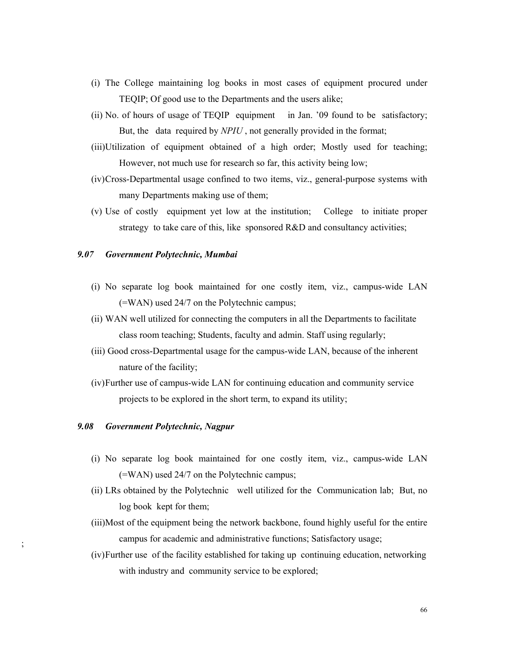- (i) The College maintaining log books in most cases of equipment procured under TEQIP; Of good use to the Departments and the users alike;
- (ii) No. of hours of usage of TEQIP equipment in Jan. '09 found to be satisfactory; But, the data required by *NPIU* , not generally provided in the format;
- (iii)Utilization of equipment obtained of a high order; Mostly used for teaching; However, not much use for research so far, this activity being low;
- (iv)Cross-Departmental usage confined to two items, viz., general-purpose systems with many Departments making use of them;
- (v) Use of costly equipment yet low at the institution; College to initiate proper strategy to take care of this, like sponsored R&D and consultancy activities;

### *9.07 Government Polytechnic, Mumbai*

- (i) No separate log book maintained for one costly item, viz., campus-wide LAN (=WAN) used 24/7 on the Polytechnic campus;
- (ii) WAN well utilized for connecting the computers in all the Departments to facilitate class room teaching; Students, faculty and admin. Staff using regularly;
- (iii) Good cross-Departmental usage for the campus-wide LAN, because of the inherent nature of the facility;
- (iv)Further use of campus-wide LAN for continuing education and community service projects to be explored in the short term, to expand its utility;

#### *9.08 Government Polytechnic, Nagpur*

;

- (i) No separate log book maintained for one costly item, viz., campus-wide LAN (=WAN) used 24/7 on the Polytechnic campus;
- (ii) LRs obtained by the Polytechnic well utilized for the Communication lab; But, no log book kept for them;
- (iii)Most of the equipment being the network backbone, found highly useful for the entire campus for academic and administrative functions; Satisfactory usage;
- (iv)Further use of the facility established for taking up continuing education, networking with industry and community service to be explored;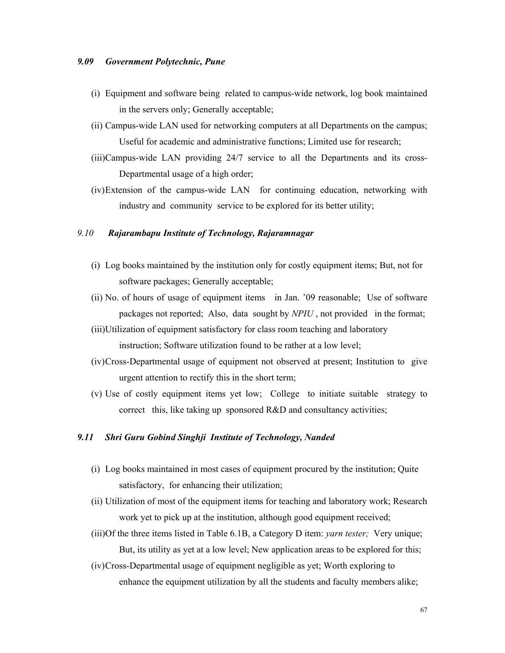#### *9.09 Government Polytechnic, Pune*

- (i) Equipment and software being related to campus-wide network, log book maintained in the servers only; Generally acceptable;
- (ii) Campus-wide LAN used for networking computers at all Departments on the campus; Useful for academic and administrative functions; Limited use for research;
- (iii)Campus-wide LAN providing 24/7 service to all the Departments and its cross-Departmental usage of a high order;
- (iv)Extension of the campus-wide LAN for continuing education, networking with industry and community service to be explored for its better utility;

### *9.10 Rajarambapu Institute of Technology, Rajaramnagar*

- (i) Log books maintained by the institution only for costly equipment items; But, not for software packages; Generally acceptable;
- (ii) No. of hours of usage of equipment items in Jan. '09 reasonable; Use of software packages not reported; Also, data sought by *NPIU* , not provided in the format;
- (iii)Utilization of equipment satisfactory for class room teaching and laboratory instruction; Software utilization found to be rather at a low level;
- (iv)Cross-Departmental usage of equipment not observed at present; Institution to give urgent attention to rectify this in the short term;
- (v) Use of costly equipment items yet low; College to initiate suitable strategy to correct this, like taking up sponsored R&D and consultancy activities;

#### *9.11 Shri Guru Gobind Singhji Institute of Technology, Nanded*

- (i) Log books maintained in most cases of equipment procured by the institution; Quite satisfactory, for enhancing their utilization;
- (ii) Utilization of most of the equipment items for teaching and laboratory work; Research work yet to pick up at the institution, although good equipment received;
- (iii)Of the three items listed in Table 6.1B, a Category D item: *yarn tester;* Very unique; But, its utility as yet at a low level; New application areas to be explored for this;
- (iv)Cross-Departmental usage of equipment negligible as yet; Worth exploring to enhance the equipment utilization by all the students and faculty members alike;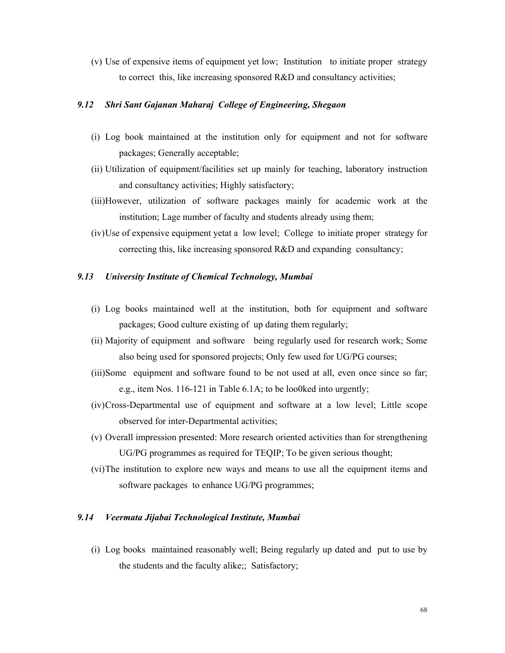(v) Use of expensive items of equipment yet low; Institution to initiate proper strategy to correct this, like increasing sponsored R&D and consultancy activities;

# *9.12 Shri Sant Gajanan Maharaj College of Engineering, Shegaon*

- (i) Log book maintained at the institution only for equipment and not for software packages; Generally acceptable;
- (ii) Utilization of equipment/facilities set up mainly for teaching, laboratory instruction and consultancy activities; Highly satisfactory;
- (iii)However, utilization of software packages mainly for academic work at the institution; Lage number of faculty and students already using them;
- (iv)Use of expensive equipment yetat a low level; College to initiate proper strategy for correcting this, like increasing sponsored R&D and expanding consultancy;

## *9.13 University Institute of Chemical Technology, Mumbai*

- (i) Log books maintained well at the institution, both for equipment and software packages; Good culture existing of up dating them regularly;
- (ii) Majority of equipment and software being regularly used for research work; Some also being used for sponsored projects; Only few used for UG/PG courses;
- (iii)Some equipment and software found to be not used at all, even once since so far; e.g., item Nos. 116-121 in Table 6.1A; to be loo0ked into urgently;
- (iv)Cross-Departmental use of equipment and software at a low level; Little scope observed for inter-Departmental activities;
- (v) Overall impression presented: More research oriented activities than for strengthening UG/PG programmes as required for TEQIP; To be given serious thought;
- (vi)The institution to explore new ways and means to use all the equipment items and software packages to enhance UG/PG programmes;

### *9.14 Veermata Jijabai Technological Institute, Mumbai*

(i) Log books maintained reasonably well; Being regularly up dated and put to use by the students and the faculty alike;; Satisfactory;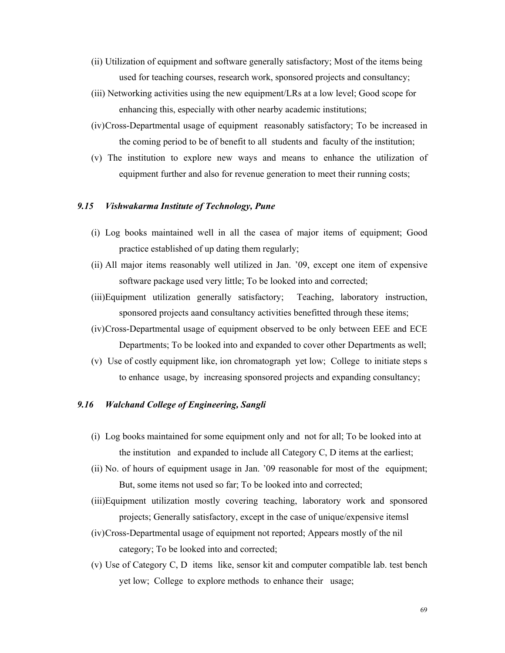- (ii) Utilization of equipment and software generally satisfactory; Most of the items being used for teaching courses, research work, sponsored projects and consultancy;
- (iii) Networking activities using the new equipment/LRs at a low level; Good scope for enhancing this, especially with other nearby academic institutions;
- (iv)Cross-Departmental usage of equipment reasonably satisfactory; To be increased in the coming period to be of benefit to all students and faculty of the institution;
- (v) The institution to explore new ways and means to enhance the utilization of equipment further and also for revenue generation to meet their running costs;

# *9.15 Vishwakarma Institute of Technology, Pune*

- (i) Log books maintained well in all the casea of major items of equipment; Good practice established of up dating them regularly;
- (ii) All major items reasonably well utilized in Jan. '09, except one item of expensive software package used very little; To be looked into and corrected;
- (iii)Equipment utilization generally satisfactory; Teaching, laboratory instruction, sponsored projects aand consultancy activities benefitted through these items;
- (iv)Cross-Departmental usage of equipment observed to be only between EEE and ECE Departments; To be looked into and expanded to cover other Departments as well;
- (v) Use of costly equipment like, ion chromatograph yet low; College to initiate steps s to enhance usage, by increasing sponsored projects and expanding consultancy;

# *9.16 Walchand College of Engineering, Sangli*

- (i) Log books maintained for some equipment only and not for all; To be looked into at the institution and expanded to include all Category C, D items at the earliest;
- (ii) No. of hours of equipment usage in Jan. '09 reasonable for most of the equipment; But, some items not used so far; To be looked into and corrected;
- (iii)Equipment utilization mostly covering teaching, laboratory work and sponsored projects; Generally satisfactory, except in the case of unique/expensive itemsl
- (iv)Cross-Departmental usage of equipment not reported; Appears mostly of the nil category; To be looked into and corrected;
- (v) Use of Category C, D items like, sensor kit and computer compatible lab. test bench yet low; College to explore methods to enhance their usage;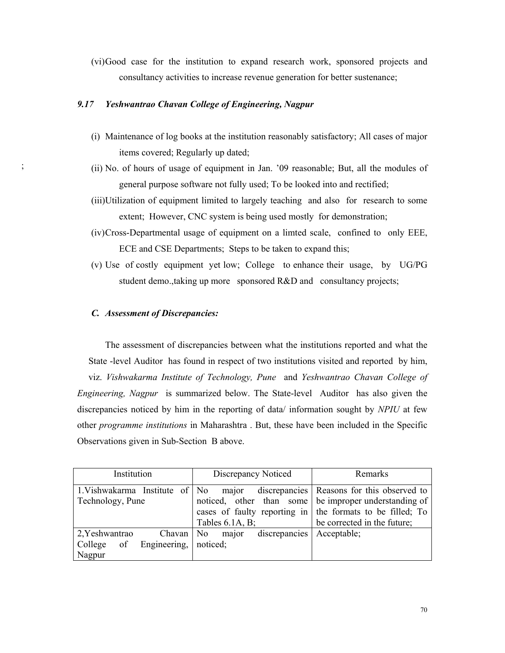(vi)Good case for the institution to expand research work, sponsored projects and consultancy activities to increase revenue generation for better sustenance;

# *9.17 Yeshwantrao Chavan College of Engineering, Nagpur*

- (i) Maintenance of log books at the institution reasonably satisfactory; All cases of major items covered; Regularly up dated;
- (ii) No. of hours of usage of equipment in Jan. '09 reasonable; But, all the modules of general purpose software not fully used; To be looked into and rectified;
- (iii)Utilization of equipment limited to largely teaching and also for research to some extent; However, CNC system is being used mostly for demonstration;
- (iv)Cross-Departmental usage of equipment on a limted scale, confined to only EEE, ECE and CSE Departments; Steps to be taken to expand this;
- (v) Use of costly equipment yet low; College to enhance their usage, by UG/PG student demo.,taking up more sponsored R&D and consultancy projects;

### *C. Assessment of Discrepancies:*

;

 The assessment of discrepancies between what the institutions reported and what the State -level Auditor has found in respect of two institutions visited and reported by him, viz. *Vishwakarma Institute of Technology, Pune* and *Yeshwantrao Chavan College of Engineering, Nagpur* is summarized below. The State-level Auditor has also given the discrepancies noticed by him in the reporting of data/ information sought by *NPIU* at few other *programme institutions* in Maharashtra . But, these have been included in the Specific Observations given in Sub-Section B above.

| Institution                                                              | Discrepancy Noticed                | Remarks                                                                                                                                                                                                   |
|--------------------------------------------------------------------------|------------------------------------|-----------------------------------------------------------------------------------------------------------------------------------------------------------------------------------------------------------|
| 1. Vishwakarma Institute of No<br>Technology, Pune                       | major<br>Tables $6.1A$ , B;        | discrepancies   Reasons for this observed to<br>noticed, other than some be improper understanding of<br>cases of faulty reporting in $\vert$ the formats to be filled; To<br>be corrected in the future; |
| 2. Yeshwantrao<br>Chavan   No<br>Engineering,<br>College<br>of<br>Nagpur | discrepancies<br>major<br>noticed; | Acceptable;                                                                                                                                                                                               |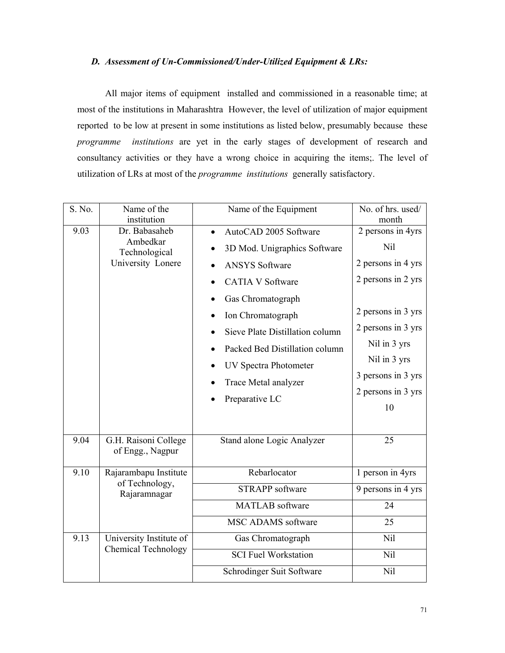### *D. Assessment of Un-Commissioned/Under-Utilized Equipment & LRs:*

 All major items of equipment installed and commissioned in a reasonable time; at most of the institutions in Maharashtra However, the level of utilization of major equipment reported to be low at present in some institutions as listed below, presumably because these *programme institutions* are yet in the early stages of development of research and consultancy activities or they have a wrong choice in acquiring the items;. The level of utilization of LRs at most of the *programme institutions* generally satisfactory.

| S. No. | Name of the<br>institution                                      | Name of the Equipment                                                                                                                                                                                                                                                                              | No. of hrs. used/<br>month                                                                                                                                                                         |
|--------|-----------------------------------------------------------------|----------------------------------------------------------------------------------------------------------------------------------------------------------------------------------------------------------------------------------------------------------------------------------------------------|----------------------------------------------------------------------------------------------------------------------------------------------------------------------------------------------------|
| 9.03   | Dr. Babasaheb<br>Ambedkar<br>Technological<br>University Lonere | AutoCAD 2005 Software<br>3D Mod. Unigraphics Software<br><b>ANSYS Software</b><br><b>CATIA V Software</b><br>Gas Chromatograph<br>Ion Chromatograph<br>Sieve Plate Distillation column<br>Packed Bed Distillation column<br><b>UV Spectra Photometer</b><br>Trace Metal analyzer<br>Preparative LC | 2 persons in 4yrs<br>Nil<br>2 persons in 4 yrs<br>2 persons in 2 yrs<br>2 persons in 3 yrs<br>2 persons in 3 yrs<br>Nil in 3 yrs<br>Nil in 3 yrs<br>3 persons in 3 yrs<br>2 persons in 3 yrs<br>10 |
| 9.04   | G.H. Raisoni College<br>of Engg., Nagpur                        | Stand alone Logic Analyzer                                                                                                                                                                                                                                                                         | 25                                                                                                                                                                                                 |
| 9.10   | Rajarambapu Institute<br>of Technology,<br>Rajaramnagar         | Rebarlocator                                                                                                                                                                                                                                                                                       | 1 person in 4yrs                                                                                                                                                                                   |
|        |                                                                 | <b>STRAPP</b> software                                                                                                                                                                                                                                                                             | 9 persons in 4 yrs                                                                                                                                                                                 |
|        |                                                                 | <b>MATLAB</b> software                                                                                                                                                                                                                                                                             | 24                                                                                                                                                                                                 |
|        |                                                                 | <b>MSC ADAMS</b> software                                                                                                                                                                                                                                                                          | 25                                                                                                                                                                                                 |
| 9.13   | University Institute of<br><b>Chemical Technology</b>           | Gas Chromatograph                                                                                                                                                                                                                                                                                  | Nil                                                                                                                                                                                                |
|        |                                                                 | <b>SCI Fuel Workstation</b>                                                                                                                                                                                                                                                                        | Nil                                                                                                                                                                                                |
|        |                                                                 | Schrodinger Suit Software                                                                                                                                                                                                                                                                          | Nil                                                                                                                                                                                                |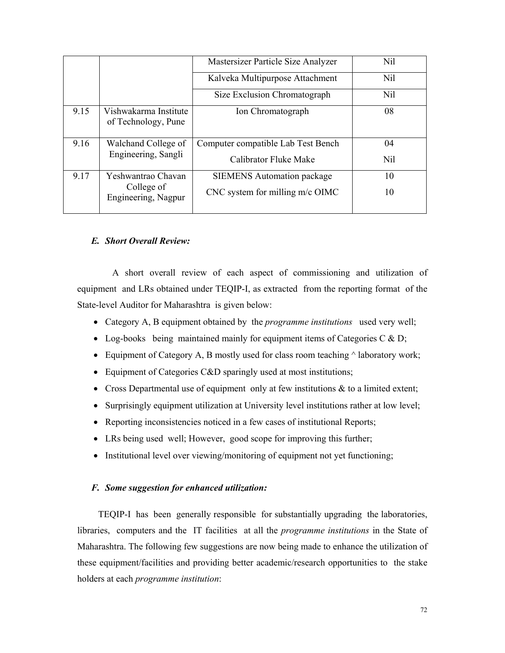|      |                                              | Mastersizer Particle Size Analyzer | Nil |
|------|----------------------------------------------|------------------------------------|-----|
|      |                                              | Kalveka Multipurpose Attachment    | Nil |
|      |                                              | Size Exclusion Chromatograph       | Nil |
| 9.15 | Vishwakarma Institute<br>of Technology, Pune | Ion Chromatograph                  | 08  |
| 9.16 | Walchand College of<br>Engineering, Sangli   | Computer compatible Lab Test Bench | 04  |
|      |                                              | Calibrator Fluke Make              | Nil |
| 9.17 | Yeshwantrao Chavan                           | <b>SIEMENS</b> Automation package  | 10  |
|      | College of<br>Engineering, Nagpur            | CNC system for milling m/c OIMC    | 10  |

# *E. Short Overall Review:*

A short overall review of each aspect of commissioning and utilization of equipment and LRs obtained under TEQIP-I, as extracted from the reporting format of the State-level Auditor for Maharashtra is given below:

- Category A, B equipment obtained by the *programme institutions* used very well;
- Log-books being maintained mainly for equipment items of Categories C & D;
- Equipment of Category A, B mostly used for class room teaching  $\land$  laboratory work;
- Equipment of Categories C&D sparingly used at most institutions;
- Cross Departmental use of equipment only at few institutions  $\&$  to a limited extent;
- Surprisingly equipment utilization at University level institutions rather at low level;
- Reporting inconsistencies noticed in a few cases of institutional Reports;
- LRs being used well; However, good scope for improving this further;
- Institutional level over viewing/monitoring of equipment not yet functioning;

### *F. Some suggestion for enhanced utilization:*

 TEQIP-I has been generally responsible for substantially upgrading the laboratories, libraries, computers and the IT facilities at all the *programme institutions* in the State of Maharashtra. The following few suggestions are now being made to enhance the utilization of these equipment/facilities and providing better academic/research opportunities to the stake holders at each *programme institution*: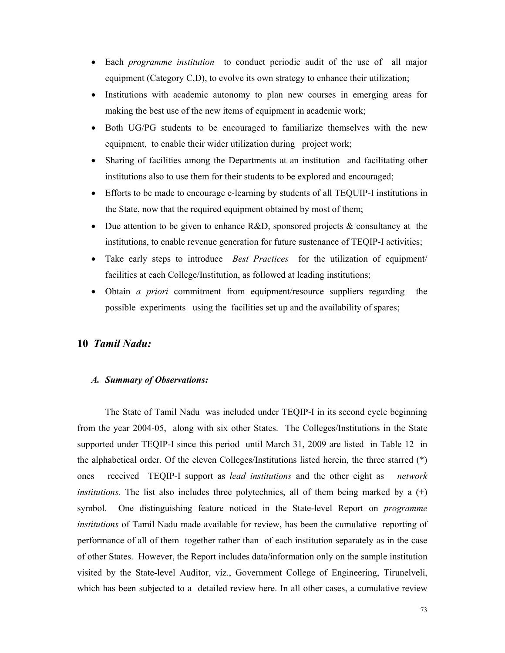- Each *programme institution* to conduct periodic audit of the use of all major equipment (Category C,D), to evolve its own strategy to enhance their utilization;
- Institutions with academic autonomy to plan new courses in emerging areas for making the best use of the new items of equipment in academic work;
- Both UG/PG students to be encouraged to familiarize themselves with the new equipment, to enable their wider utilization during project work;
- Sharing of facilities among the Departments at an institution and facilitating other institutions also to use them for their students to be explored and encouraged;
- Efforts to be made to encourage e-learning by students of all TEOUIP-I institutions in the State, now that the required equipment obtained by most of them;
- Due attention to be given to enhance  $R&D$ , sponsored projects  $&$  consultancy at the institutions, to enable revenue generation for future sustenance of TEQIP-I activities;
- Take early steps to introduce *Best Practices* for the utilization of equipment/ facilities at each College/Institution, as followed at leading institutions;
- Obtain *a priori* commitment from equipment/resource suppliers regarding the possible experiments using the facilities set up and the availability of spares;

## **10** *Tamil Nadu:*

#### *A. Summary of Observations:*

The State of Tamil Nadu was included under TEQIP-I in its second cycle beginning from the year 2004-05, along with six other States. The Colleges/Institutions in the State supported under TEQIP-I since this period until March 31, 2009 are listed in Table 12 in the alphabetical order. Of the eleven Colleges/Institutions listed herein, the three starred (\*) ones received TEQIP-I support as *lead institutions* and the other eight as *network institutions.* The list also includes three polytechnics, all of them being marked by a  $(+)$ symbol. One distinguishing feature noticed in the State-level Report on *programme institutions* of Tamil Nadu made available for review, has been the cumulative reporting of performance of all of them together rather than of each institution separately as in the case of other States. However, the Report includes data/information only on the sample institution visited by the State-level Auditor, viz., Government College of Engineering, Tirunelveli, which has been subjected to a detailed review here. In all other cases, a cumulative review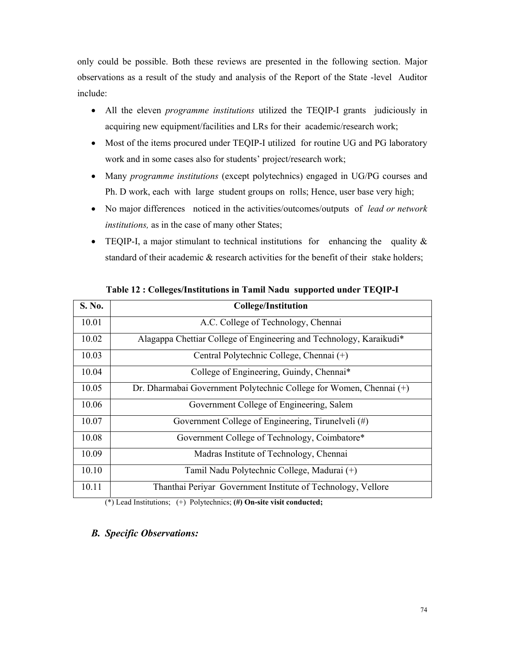only could be possible. Both these reviews are presented in the following section. Major observations as a result of the study and analysis of the Report of the State -level Auditor include:

- All the eleven *programme institutions* utilized the TEQIP-I grants judiciously in acquiring new equipment/facilities and LRs for their academic/research work;
- Most of the items procured under TEQIP-I utilized for routine UG and PG laboratory work and in some cases also for students' project/research work;
- Many *programme institutions* (except polytechnics) engaged in UG/PG courses and Ph. D work, each with large student groups on rolls; Hence, user base very high;
- No major differences noticed in the activities/outcomes/outputs of *lead or network institutions,* as in the case of many other States;
- TEQIP-I, a major stimulant to technical institutions for enhancing the quality  $\&$ standard of their academic & research activities for the benefit of their stake holders;

| S. No. | <b>College/Institution</b>                                          |
|--------|---------------------------------------------------------------------|
| 10.01  | A.C. College of Technology, Chennai                                 |
| 10.02  | Alagappa Chettiar College of Engineering and Technology, Karaikudi* |
| 10.03  | Central Polytechnic College, Chennai (+)                            |
| 10.04  | College of Engineering, Guindy, Chennai*                            |
| 10.05  | Dr. Dharmabai Government Polytechnic College for Women, Chennai (+) |
| 10.06  | Government College of Engineering, Salem                            |
| 10.07  | Government College of Engineering, Tirunelveli (#)                  |
| 10.08  | Government College of Technology, Coimbatore*                       |
| 10.09  | Madras Institute of Technology, Chennai                             |
| 10.10  | Tamil Nadu Polytechnic College, Madurai (+)                         |
| 10.11  | Thanthai Periyar Government Institute of Technology, Vellore        |

**Table 12 : Colleges/Institutions in Tamil Nadu supported under TEQIP-I** 

(\*) Lead Institutions; (+) Polytechnics; **(#) On-site visit conducted;**

## *B. Specific Observations:*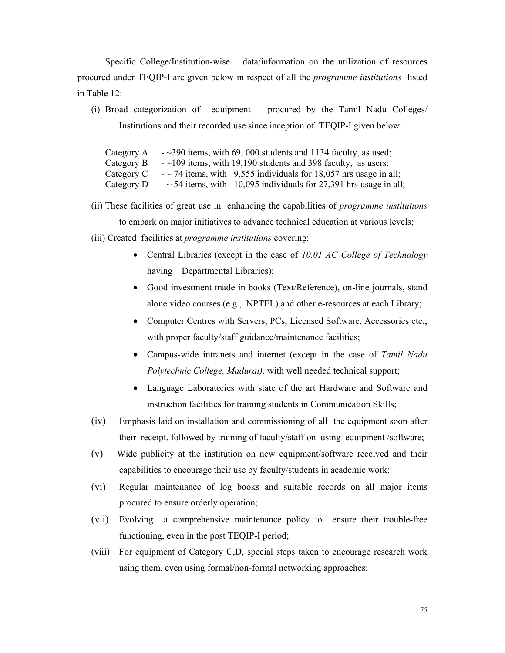Specific College/Institution-wise data/information on the utilization of resources procured under TEQIP-I are given below in respect of all the *programme institutions* listed in Table 12:

(i) Broad categorization of equipment procured by the Tamil Nadu Colleges/ Institutions and their recorded use since inception of TEQIP-I given below:

Category A  $\sim$  -  $\sim$ 390 items, with 69, 000 students and 1134 faculty, as used; Category B  $-$  -  $\sim$  109 items, with 19,190 students and 398 faculty, as users; Category C  $-$  ~ 74 items, with 9,555 individuals for 18,057 hrs usage in all; Category D  $\sim$  54 items, with 10,095 individuals for 27,391 hrs usage in all;

- (ii) These facilities of great use in enhancing the capabilities of *programme institutions* to embark on major initiatives to advance technical education at various levels;
- (iii) Created facilities at *programme institutions* covering:
	- Central Libraries (except in the case of *10.01 AC College of Technology*  having Departmental Libraries);
	- Good investment made in books (Text/Reference), on-line journals, stand alone video courses (e.g., NPTEL).and other e-resources at each Library;
	- Computer Centres with Servers, PCs, Licensed Software, Accessories etc.; with proper faculty/staff guidance/maintenance facilities;
	- Campus-wide intranets and internet (except in the case of *Tamil Nadu Polytechnic College, Madurai),* with well needed technical support;
	- Language Laboratories with state of the art Hardware and Software and instruction facilities for training students in Communication Skills;
- (iv) Emphasis laid on installation and commissioning of all the equipment soon after their receipt, followed by training of faculty/staff on using equipment /software;
- (v) Wide publicity at the institution on new equipment/software received and their capabilities to encourage their use by faculty/students in academic work;
- (vi) Regular maintenance of log books and suitable records on all major items procured to ensure orderly operation;
- (vii) Evolving a comprehensive maintenance policy to ensure their trouble-free functioning, even in the post TEQIP-I period;
- (viii) For equipment of Category C,D, special steps taken to encourage research work using them, even using formal/non-formal networking approaches;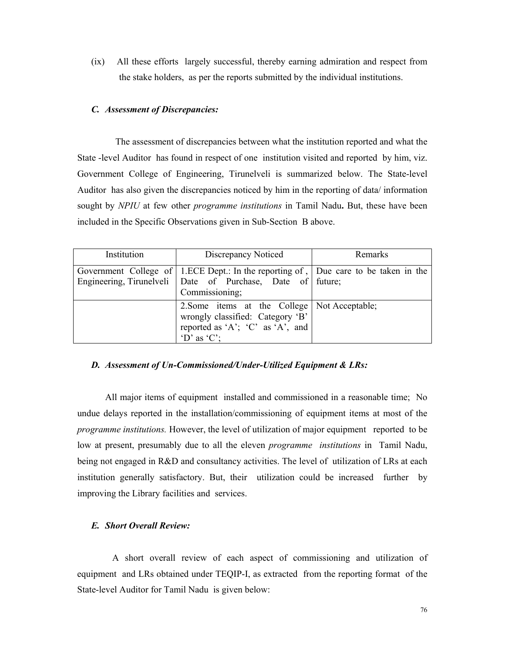(ix) All these efforts largely successful, thereby earning admiration and respect from the stake holders, as per the reports submitted by the individual institutions.

### *C. Assessment of Discrepancies:*

The assessment of discrepancies between what the institution reported and what the State -level Auditor has found in respect of one institution visited and reported by him, viz. Government College of Engineering, Tirunelveli is summarized below. The State-level Auditor has also given the discrepancies noticed by him in the reporting of data/ information sought by *NPIU* at few other *programme institutions* in Tamil Nadu**.** But, these have been included in the Specific Observations given in Sub-Section B above.

| Institution | Discrepancy Noticed                                                                                                                                                     | Remarks |
|-------------|-------------------------------------------------------------------------------------------------------------------------------------------------------------------------|---------|
|             | Government College of   1.ECE Dept.: In the reporting of,   Due care to be taken in the<br>Engineering, Tirunelveli Date of Purchase, Date of future;<br>Commissioning; |         |
|             | 2. Some items at the College   Not Acceptable;<br>wrongly classified: Category 'B'<br>reported as 'A'; 'C' as 'A', and<br>$\Delta$ 'D' as $\Delta$ 'C';                 |         |

### *D. Assessment of Un-Commissioned/Under-Utilized Equipment & LRs:*

 All major items of equipment installed and commissioned in a reasonable time; No undue delays reported in the installation/commissioning of equipment items at most of the *programme institutions.* However, the level of utilization of major equipment reported to be low at present, presumably due to all the eleven *programme institutions* in Tamil Nadu, being not engaged in R&D and consultancy activities. The level of utilization of LRs at each institution generally satisfactory. But, their utilization could be increased further by improving the Library facilities and services.

### *E. Short Overall Review:*

A short overall review of each aspect of commissioning and utilization of equipment and LRs obtained under TEQIP-I, as extracted from the reporting format of the State-level Auditor for Tamil Nadu is given below: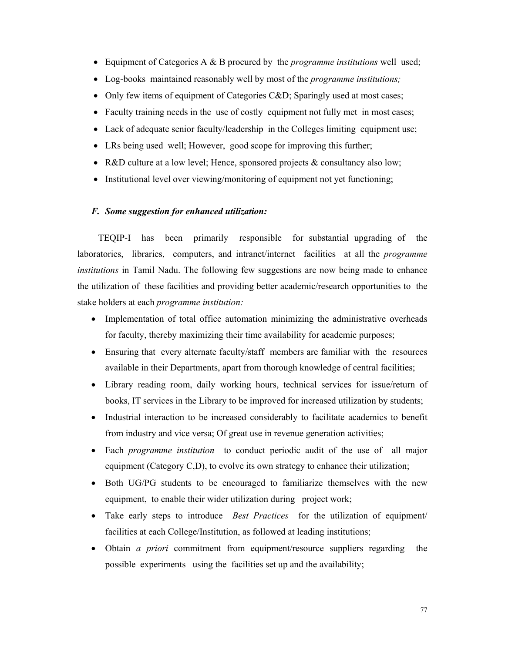- Equipment of Categories A & B procured by the *programme institutions* well used;
- Log-books maintained reasonably well by most of the *programme institutions;*
- Only few items of equipment of Categories C&D; Sparingly used at most cases;
- Faculty training needs in the use of costly equipment not fully met in most cases;
- Lack of adequate senior faculty/leadership in the Colleges limiting equipment use;
- LRs being used well; However, good scope for improving this further;
- R&D culture at a low level; Hence, sponsored projects & consultancy also low;
- Institutional level over viewing/monitoring of equipment not yet functioning;

### *F. Some suggestion for enhanced utilization:*

 TEQIP-I has been primarily responsible for substantial upgrading of the laboratories, libraries, computers, and intranet/internet facilities at all the *programme institutions* in Tamil Nadu. The following few suggestions are now being made to enhance the utilization of these facilities and providing better academic/research opportunities to the stake holders at each *programme institution:*

- Implementation of total office automation minimizing the administrative overheads for faculty, thereby maximizing their time availability for academic purposes;
- Ensuring that every alternate faculty/staff members are familiar with the resources available in their Departments, apart from thorough knowledge of central facilities;
- Library reading room, daily working hours, technical services for issue/return of books, IT services in the Library to be improved for increased utilization by students;
- Industrial interaction to be increased considerably to facilitate academics to benefit from industry and vice versa; Of great use in revenue generation activities;
- Each *programme institution* to conduct periodic audit of the use of all major equipment (Category C,D), to evolve its own strategy to enhance their utilization;
- Both UG/PG students to be encouraged to familiarize themselves with the new equipment, to enable their wider utilization during project work;
- Take early steps to introduce *Best Practices* for the utilization of equipment/ facilities at each College/Institution, as followed at leading institutions;
- Obtain *a priori* commitment from equipment/resource suppliers regarding the possible experiments using the facilities set up and the availability;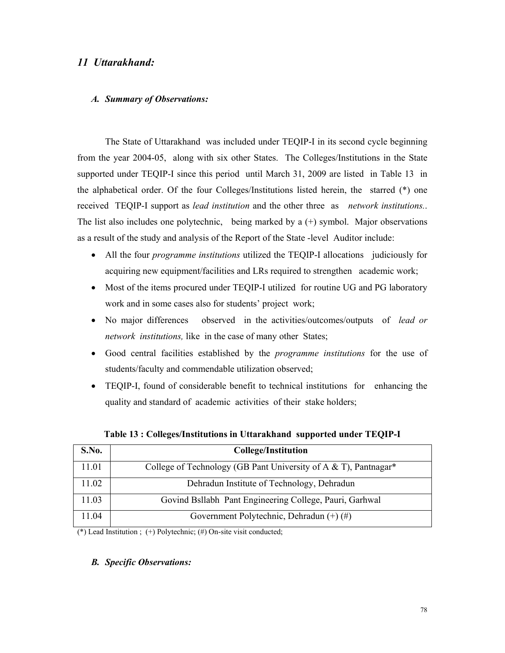# *11 Uttarakhand:*

### *A. Summary of Observations:*

The State of Uttarakhand was included under TEQIP-I in its second cycle beginning from the year 2004-05, along with six other States. The Colleges/Institutions in the State supported under TEQIP-I since this period until March 31, 2009 are listed in Table 13 in the alphabetical order. Of the four Colleges/Institutions listed herein, the starred (\*) one received TEQIP-I support as *lead institution* and the other three as *network institutions.*. The list also includes one polytechnic, being marked by a (+) symbol. Major observations as a result of the study and analysis of the Report of the State -level Auditor include:

- All the four *programme institutions* utilized the TEQIP-I allocations judiciously for acquiring new equipment/facilities and LRs required to strengthen academic work;
- Most of the items procured under TEQIP-I utilized for routine UG and PG laboratory work and in some cases also for students' project work;
- No major differences observed in the activities/outcomes/outputs of *lead or network institutions,* like in the case of many other States;
- Good central facilities established by the *programme institutions* for the use of students/faculty and commendable utilization observed;
- TEQIP-I, found of considerable benefit to technical institutions for enhancing the quality and standard of academic activities of their stake holders;

| S.No. | <b>College/Institution</b>                                                    |
|-------|-------------------------------------------------------------------------------|
| 11.01 | College of Technology (GB Pant University of A $&$ T), Pantnagar <sup>*</sup> |
| 11.02 | Dehradun Institute of Technology, Dehradun                                    |
| 11.03 | Govind Bsllabh Pant Engineering College, Pauri, Garhwal                       |
| 11.04 | Government Polytechnic, Dehradun $(+)$ (#)                                    |

**Table 13 : Colleges/Institutions in Uttarakhand supported under TEQIP-I** 

(\*) Lead Institution ; (+) Polytechnic; (#) On-site visit conducted;

### *B. Specific Observations:*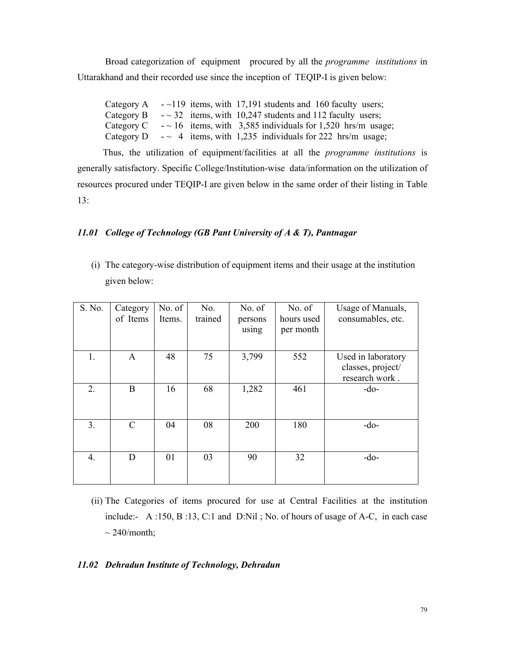Broad categorization of equipment procured by all the *programme institutions* in Uttarakhand and their recorded use since the inception of TEQIP-I is given below:

Category A  $-$  -119 items, with 17,191 students and 160 faculty users; Category B  $\sim$  32 items, with 10,247 students and 112 faculty users; Category C  $-$  -  $\sim$  16 items, with 3,585 individuals for 1,520 hrs/m usage; Category D  $\sim$  4 items, with 1,235 individuals for 222 hrs/m usage;

 Thus, the utilization of equipment/facilities at all the *programme institutions* is generally satisfactory. Specific College/Institution-wise data/information on the utilization of resources procured under TEQIP-I are given below in the same order of their listing in Table 13:

### *11.01 College of Technology (GB Pant University of A & T), Pantnagar*

(i) The category-wise distribution of equipment items and their usage at the institution given below:

| S. No.         | Category<br>of Items | No. of<br>Items. | No.<br>trained | No. of<br>persons<br>using | No. of<br>hours used<br>per month | Usage of Manuals,<br>consumables, etc.                    |
|----------------|----------------------|------------------|----------------|----------------------------|-----------------------------------|-----------------------------------------------------------|
| 1.             | A                    | 48               | 75             | 3,799                      | 552                               | Used in laboratory<br>classes, project/<br>research work. |
| 2.             | $\mathbf B$          | 16               | 68             | 1,282                      | 461                               | -do-                                                      |
| 3 <sub>1</sub> | $\mathcal{C}$        | 04               | 08             | 200                        | 180                               | $-do-$                                                    |
| 4.             | D                    | 01               | 03             | 90                         | 32                                | $-do-$                                                    |

(ii) The Categories of items procured for use at Central Facilities at the institution include:- A :150, B :13, C:1 and D:Nil ; No. of hours of usage of A-C, in each case  $\sim$  240/month;

### *11.02 Dehradun Institute of Technology, Dehradun*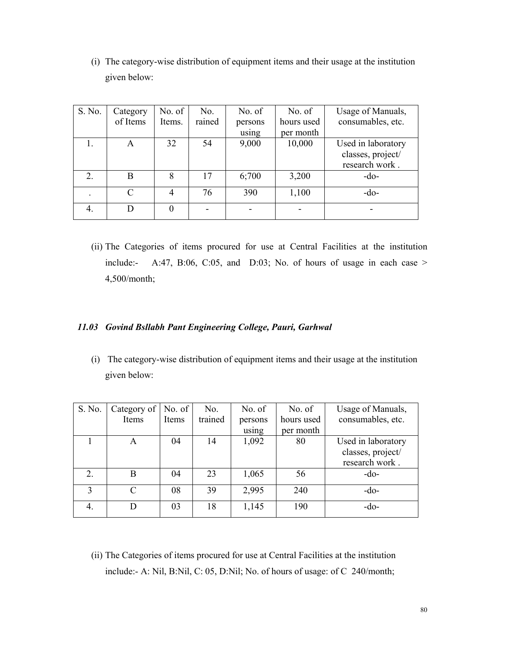(i) The category-wise distribution of equipment items and their usage at the institution given below:

| S. No. | Category | No. of | No.    | No. of  | No. of     | Usage of Manuals,  |
|--------|----------|--------|--------|---------|------------|--------------------|
|        | of Items | Items. | rained | persons | hours used | consumables, etc.  |
|        |          |        |        | using   | per month  |                    |
|        | A        | 32     | 54     | 9,000   | 10,000     | Used in laboratory |
|        |          |        |        |         |            | classes, project/  |
|        |          |        |        |         |            | research work.     |
| 2.     | B        | 8      | 17     | 6;700   | 3,200      | $-do-$             |
|        | C        |        | 76     | 390     | 1,100      | $-do-$             |
| 4.     | D        |        |        |         |            |                    |

(ii) The Categories of items procured for use at Central Facilities at the institution include:- A:47, B:06, C:05, and D:03; No. of hours of usage in each case  $>$ 4,500/month;

## *11.03 Govind Bsllabh Pant Engineering College, Pauri, Garhwal*

(i) The category-wise distribution of equipment items and their usage at the institution given below:

| S. No.       | Category of | No. of | No.     | No. of  | No. of     | Usage of Manuals,  |
|--------------|-------------|--------|---------|---------|------------|--------------------|
|              | Items       | Items  | trained | persons | hours used | consumables, etc.  |
|              |             |        |         | using   | per month  |                    |
|              | A           | 04     | 14      | 1,092   | 80         | Used in laboratory |
|              |             |        |         |         |            | classes, project/  |
|              |             |        |         |         |            | research work.     |
| 2.           | B           | 04     | 23      | 1,065   | 56         | $-do-$             |
| $\mathbf{3}$ | $\subset$   | 08     | 39      | 2,995   | 240        | $-do-$             |
| 4.           |             | 03     | 18      | 1,145   | 190        | $-do-$             |

(ii) The Categories of items procured for use at Central Facilities at the institution include:- A: Nil, B:Nil, C: 05, D:Nil; No. of hours of usage: of C 240/month;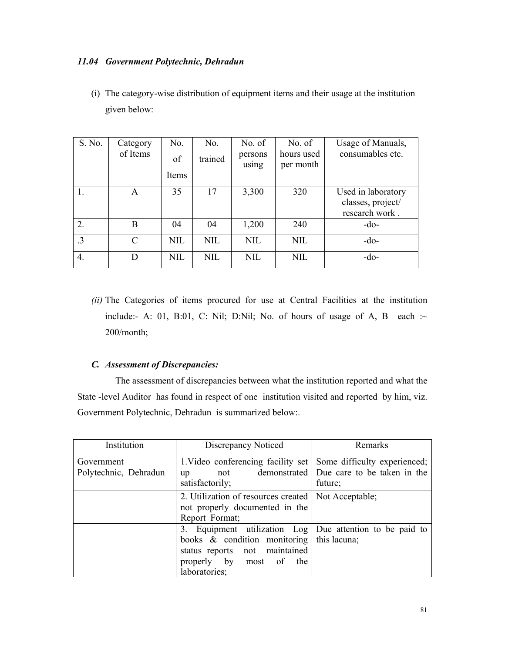## *11.04 Government Polytechnic, Dehradun*

(i) The category-wise distribution of equipment items and their usage at the institution given below:

| S. No.           | Category<br>of Items | No.<br>of  | No.<br>trained | No. of<br>persons | No. of<br>hours used | Usage of Manuals,<br>consumables etc.                     |
|------------------|----------------------|------------|----------------|-------------------|----------------------|-----------------------------------------------------------|
|                  |                      | Items      |                | using             | per month            |                                                           |
| 1.               | A                    | 35         | 17             | 3,300             | 320                  | Used in laboratory<br>classes, project/<br>research work. |
| $\overline{2}$ . | B                    | 04         | 04             | 1,200             | 240                  | $-do-$                                                    |
| $\cdot$ 3        | C                    | <b>NIL</b> | <b>NIL</b>     | <b>NIL</b>        | <b>NIL</b>           | $-do-$                                                    |
| 4.               |                      | <b>NIL</b> | <b>NIL</b>     | <b>NIL</b>        | <b>NIL</b>           | $-do-$                                                    |

*(ii)* The Categories of items procured for use at Central Facilities at the institution include:- A: 01, B:01, C: Nil; D:Nil; No. of hours of usage of A, B each : $\sim$ 200/month;

### *C. Assessment of Discrepancies:*

The assessment of discrepancies between what the institution reported and what the State -level Auditor has found in respect of one institution visited and reported by him, viz. Government Polytechnic, Dehradun is summarized below:.

| Institution                         | Discrepancy Noticed                                                                                                                                                           | Remarks                                               |
|-------------------------------------|-------------------------------------------------------------------------------------------------------------------------------------------------------------------------------|-------------------------------------------------------|
| Government<br>Polytechnic, Dehradun | 1. Video conferencing facility set Some difficulty experienced;<br>not<br>up<br>satisfactorily;                                                                               | demonstrated   Due care to be taken in the<br>future; |
|                                     | 2. Utilization of resources created  <br>not properly documented in the<br>Report Format;                                                                                     | Not Acceptable;                                       |
|                                     | 3. Equipment utilization Log   Due attention to be paid to<br>books $\&$ condition monitoring<br>status reports not maintained<br>properly by most of<br>the<br>laboratories; | this lacuna;                                          |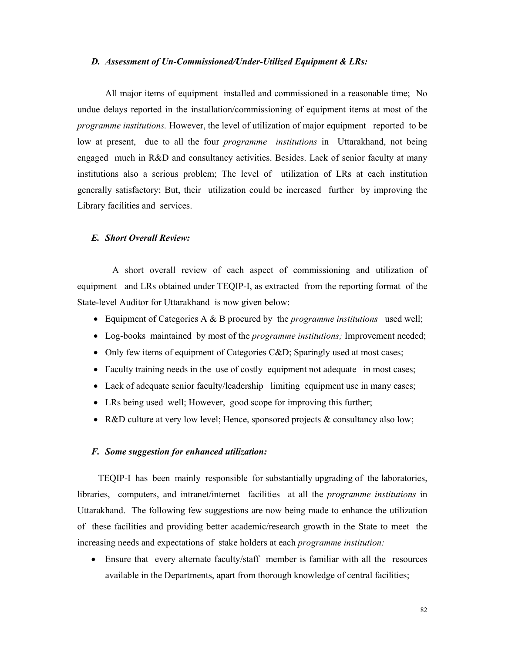#### *D. Assessment of Un-Commissioned/Under-Utilized Equipment & LRs:*

 All major items of equipment installed and commissioned in a reasonable time; No undue delays reported in the installation/commissioning of equipment items at most of the *programme institutions.* However, the level of utilization of major equipment reported to be low at present, due to all the four *programme institutions* in Uttarakhand, not being engaged much in R&D and consultancy activities. Besides. Lack of senior faculty at many institutions also a serious problem; The level of utilization of LRs at each institution generally satisfactory; But, their utilization could be increased further by improving the Library facilities and services.

### *E. Short Overall Review:*

A short overall review of each aspect of commissioning and utilization of equipment and LRs obtained under TEQIP-I, as extracted from the reporting format of the State-level Auditor for Uttarakhand is now given below:

- Equipment of Categories A & B procured by the *programme institutions* used well;
- Log-books maintained by most of the *programme institutions;* Improvement needed;
- Only few items of equipment of Categories C&D; Sparingly used at most cases;
- Faculty training needs in the use of costly equipment not adequate in most cases;
- Lack of adequate senior faculty/leadership limiting equipment use in many cases;
- LRs being used well; However, good scope for improving this further;
- R&D culture at very low level; Hence, sponsored projects & consultancy also low;

#### *F. Some suggestion for enhanced utilization:*

 TEQIP-I has been mainly responsible for substantially upgrading of the laboratories, libraries, computers, and intranet/internet facilities at all the *programme institutions* in Uttarakhand. The following few suggestions are now being made to enhance the utilization of these facilities and providing better academic/research growth in the State to meet the increasing needs and expectations of stake holders at each *programme institution:*

• Ensure that every alternate faculty/staff member is familiar with all the resources available in the Departments, apart from thorough knowledge of central facilities;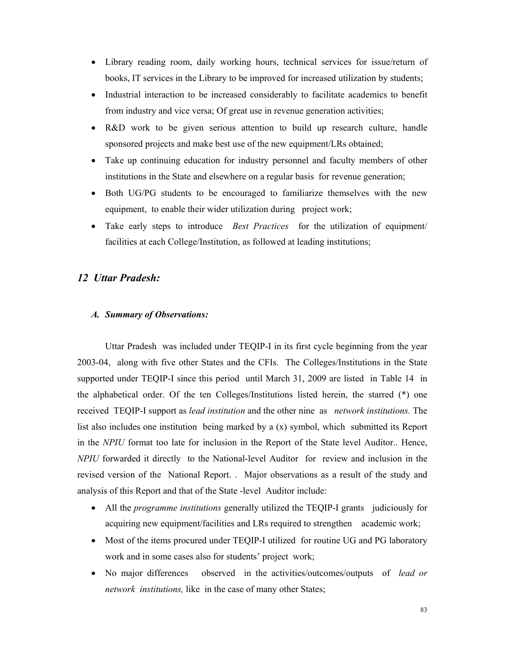- Library reading room, daily working hours, technical services for issue/return of books, IT services in the Library to be improved for increased utilization by students;
- Industrial interaction to be increased considerably to facilitate academics to benefit from industry and vice versa; Of great use in revenue generation activities;
- R&D work to be given serious attention to build up research culture, handle sponsored projects and make best use of the new equipment/LRs obtained;
- Take up continuing education for industry personnel and faculty members of other institutions in the State and elsewhere on a regular basis for revenue generation;
- Both UG/PG students to be encouraged to familiarize themselves with the new equipment, to enable their wider utilization during project work;
- Take early steps to introduce *Best Practices* for the utilization of equipment/ facilities at each College/Institution, as followed at leading institutions;

## *12 Uttar Pradesh:*

### *A. Summary of Observations:*

Uttar Pradesh was included under TEQIP-I in its first cycle beginning from the year 2003-04, along with five other States and the CFIs. The Colleges/Institutions in the State supported under TEQIP-I since this period until March 31, 2009 are listed in Table 14 in the alphabetical order. Of the ten Colleges/Institutions listed herein, the starred (\*) one received TEQIP-I support as *lead institution* and the other nine as *network institutions.* The list also includes one institution being marked by a (x) symbol, which submitted its Report in the *NPIU* format too late for inclusion in the Report of the State level Auditor.. Hence, *NPIU* forwarded it directly to the National-level Auditor for review and inclusion in the revised version of the National Report. . Major observations as a result of the study and analysis of this Report and that of the State -level Auditor include:

- All the *programme institutions* generally utilized the TEQIP-I grants judiciously for acquiring new equipment/facilities and LRs required to strengthen academic work;
- Most of the items procured under TEQIP-I utilized for routine UG and PG laboratory work and in some cases also for students' project work;
- No major differences observed in the activities/outcomes/outputs of *lead or network institutions,* like in the case of many other States;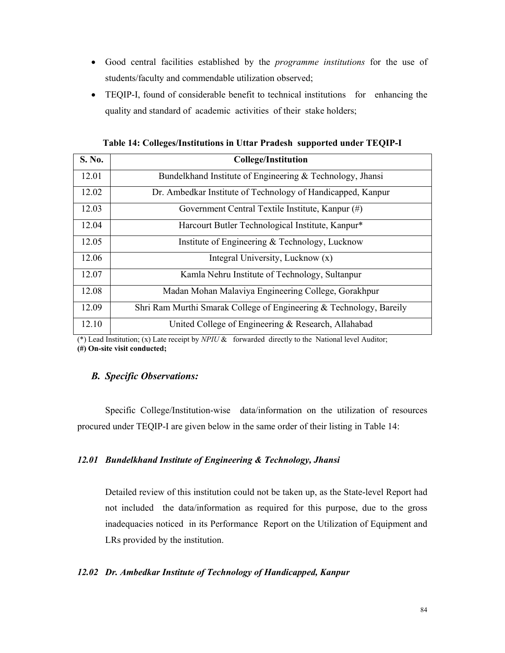- Good central facilities established by the *programme institutions* for the use of students/faculty and commendable utilization observed;
- TEQIP-I, found of considerable benefit to technical institutions for enhancing the quality and standard of academic activities of their stake holders;

| S. No. | <b>College/Institution</b>                                          |
|--------|---------------------------------------------------------------------|
| 12.01  | Bundelkhand Institute of Engineering & Technology, Jhansi           |
| 12.02  | Dr. Ambedkar Institute of Technology of Handicapped, Kanpur         |
| 12.03  | Government Central Textile Institute, Kanpur (#)                    |
| 12.04  | Harcourt Butler Technological Institute, Kanpur*                    |
| 12.05  | Institute of Engineering & Technology, Lucknow                      |
| 12.06  | Integral University, Lucknow (x)                                    |
| 12.07  | Kamla Nehru Institute of Technology, Sultanpur                      |
| 12.08  | Madan Mohan Malaviya Engineering College, Gorakhpur                 |
| 12.09  | Shri Ram Murthi Smarak College of Engineering & Technology, Bareily |
| 12.10  | United College of Engineering & Research, Allahabad                 |

**Table 14: Colleges/Institutions in Uttar Pradesh supported under TEQIP-I** 

(\*) Lead Institution; (x) Late receipt by *NPIU* & forwarded directly to the National level Auditor; **(#) On-site visit conducted;**

### *B. Specific Observations:*

 Specific College/Institution-wise data/information on the utilization of resources procured under TEQIP-I are given below in the same order of their listing in Table 14:

### *12.01 Bundelkhand Institute of Engineering & Technology, Jhansi*

Detailed review of this institution could not be taken up, as the State-level Report had not included the data/information as required for this purpose, due to the gross inadequacies noticed in its Performance Report on the Utilization of Equipment and LRs provided by the institution.

### *12.02 Dr. Ambedkar Institute of Technology of Handicapped, Kanpur*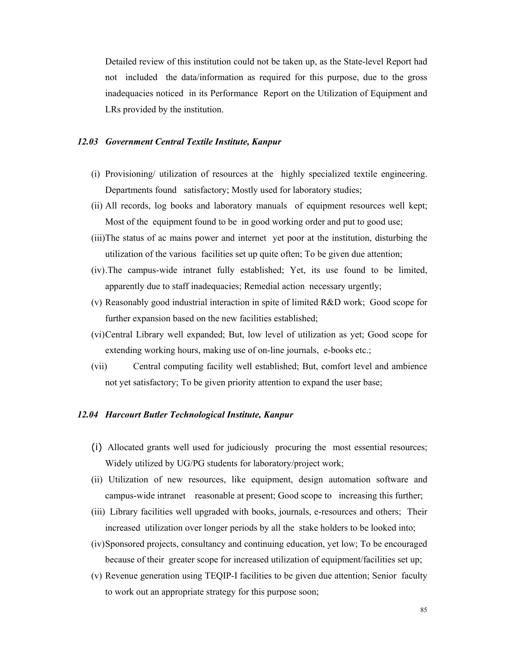Detailed review of this institution could not be taken up, as the State-level Report had not included the data/information as required for this purpose, due to the gross inadequacies noticed in its Performance Report on the Utilization of Equipment and LRs provided by the institution.

### *12.03 Government Central Textile Institute, Kanpur*

- (i) Provisioning/ utilization of resources at the highly specialized textile engineering. Departments found satisfactory; Mostly used for laboratory studies;
- (ii) All records, log books and laboratory manuals of equipment resources well kept; Most of the equipment found to be in good working order and put to good use;
- (iii)The status of ac mains power and internet yet poor at the institution, disturbing the utilization of the various facilities set up quite often; To be given due attention;
- (iv).The campus-wide intranet fully established; Yet, its use found to be limited, apparently due to staff inadequacies; Remedial action necessary urgently;
- (v) Reasonably good industrial interaction in spite of limited R&D work; Good scope for further expansion based on the new facilities established;
- (vi)Central Library well expanded; But, low level of utilization as yet; Good scope for extending working hours, making use of on-line journals, e-books etc.;
- (vii) Central computing facility well established; But, comfort level and ambience not yet satisfactory; To be given priority attention to expand the user base;

### *12.04 Harcourt Butler Technological Institute, Kanpur*

- (i) Allocated grants well used for judiciously procuring the most essential resources; Widely utilized by UG/PG students for laboratory/project work;
- (ii) Utilization of new resources, like equipment, design automation software and campus-wide intranet reasonable at present; Good scope to increasing this further;
- (iii) Library facilities well upgraded with books, journals, e-resources and others; Their increased utilization over longer periods by all the stake holders to be looked into;
- (iv)Sponsored projects, consultancy and continuing education, yet low; To be encouraged because of their greater scope for increased utilization of equipment/facilities set up;
- (v) Revenue generation using TEQIP-I facilities to be given due attention; Senior faculty to work out an appropriate strategy for this purpose soon;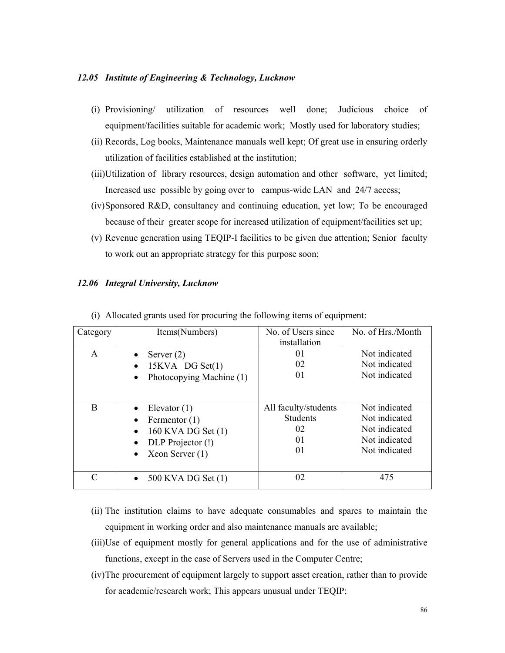### *12.05 Institute of Engineering & Technology, Lucknow*

- (i) Provisioning/ utilization of resources well done; Judicious choice of equipment/facilities suitable for academic work; Mostly used for laboratory studies;
- (ii) Records, Log books, Maintenance manuals well kept; Of great use in ensuring orderly utilization of facilities established at the institution;
- (iii)Utilization of library resources, design automation and other software, yet limited; Increased use possible by going over to campus-wide LAN and 24/7 access;
- (iv)Sponsored R&D, consultancy and continuing education, yet low; To be encouraged because of their greater scope for increased utilization of equipment/facilities set up;
- (v) Revenue generation using TEQIP-I facilities to be given due attention; Senior faculty to work out an appropriate strategy for this purpose soon;

### *12.06 Integral University, Lucknow*

| Category  | Items(Numbers)                                                                                               | No. of Users since<br>installation                        | No. of Hrs./Month                                                                 |
|-----------|--------------------------------------------------------------------------------------------------------------|-----------------------------------------------------------|-----------------------------------------------------------------------------------|
| A         | Server $(2)$<br>$15KVA$ DG Set $(1)$<br>$\bullet$<br>Photocopying Machine (1)<br>$\bullet$                   | 01<br>02<br>01                                            | Not indicated<br>Not indicated<br>Not indicated                                   |
| B         | Elevator $(1)$<br>$\bullet$<br>Fermentor (1)<br>160 KVA DG Set (1)<br>DLP Projector (!)<br>Xeon Server $(1)$ | All faculty/students<br><b>Students</b><br>02<br>01<br>01 | Not indicated<br>Not indicated<br>Not indicated<br>Not indicated<br>Not indicated |
| $\subset$ | 500 KVA DG Set (1)                                                                                           | 02                                                        | 475                                                                               |

(i) Allocated grants used for procuring the following items of equipment:

- (ii) The institution claims to have adequate consumables and spares to maintain the equipment in working order and also maintenance manuals are available;
- (iii)Use of equipment mostly for general applications and for the use of administrative functions, except in the case of Servers used in the Computer Centre;
- (iv)The procurement of equipment largely to support asset creation, rather than to provide for academic/research work; This appears unusual under TEQIP;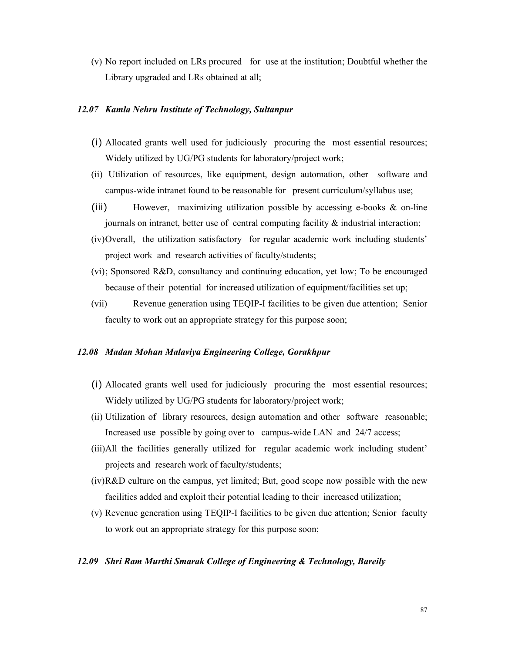(v) No report included on LRs procured for use at the institution; Doubtful whether the Library upgraded and LRs obtained at all;

### *12.07 Kamla Nehru Institute of Technology, Sultanpur*

- (i) Allocated grants well used for judiciously procuring the most essential resources; Widely utilized by UG/PG students for laboratory/project work;
- (ii) Utilization of resources, like equipment, design automation, other software and campus-wide intranet found to be reasonable for present curriculum/syllabus use;
- (iii) However, maximizing utilization possible by accessing e-books & on-line journals on intranet, better use of central computing facility  $\&$  industrial interaction;
- (iv)Overall, the utilization satisfactory for regular academic work including students' project work and research activities of faculty/students;
- (vi); Sponsored R&D, consultancy and continuing education, yet low; To be encouraged because of their potential for increased utilization of equipment/facilities set up;
- (vii) Revenue generation using TEQIP-I facilities to be given due attention; Senior faculty to work out an appropriate strategy for this purpose soon;

### *12.08 Madan Mohan Malaviya Engineering College, Gorakhpur*

- (i) Allocated grants well used for judiciously procuring the most essential resources; Widely utilized by UG/PG students for laboratory/project work;
- (ii) Utilization of library resources, design automation and other software reasonable; Increased use possible by going over to campus-wide LAN and 24/7 access;
- (iii)All the facilities generally utilized for regular academic work including student' projects and research work of faculty/students;
- (iv)R&D culture on the campus, yet limited; But, good scope now possible with the new facilities added and exploit their potential leading to their increased utilization;
- (v) Revenue generation using TEQIP-I facilities to be given due attention; Senior faculty to work out an appropriate strategy for this purpose soon;

### *12.09 Shri Ram Murthi Smarak College of Engineering & Technology, Bareily*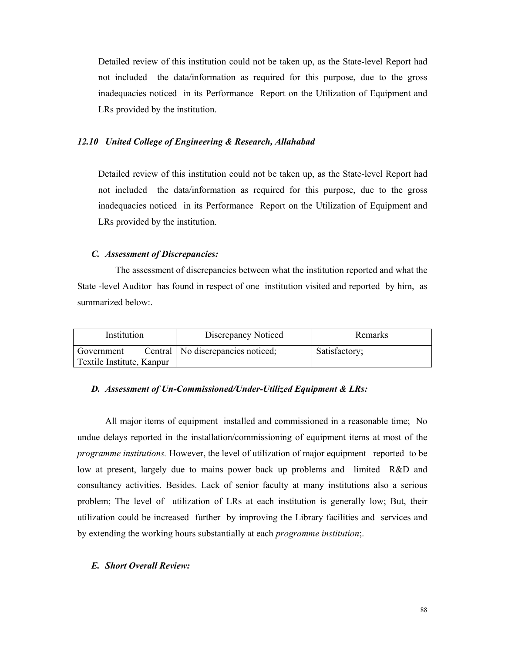Detailed review of this institution could not be taken up, as the State-level Report had not included the data/information as required for this purpose, due to the gross inadequacies noticed in its Performance Report on the Utilization of Equipment and LRs provided by the institution.

### *12.10 United College of Engineering & Research, Allahabad*

Detailed review of this institution could not be taken up, as the State-level Report had not included the data/information as required for this purpose, due to the gross inadequacies noticed in its Performance Report on the Utilization of Equipment and LRs provided by the institution.

### *C. Assessment of Discrepancies:*

The assessment of discrepancies between what the institution reported and what the State -level Auditor has found in respect of one institution visited and reported by him, as summarized below:.

| Institution               |  | Discrepancy Noticed                 | Remarks       |
|---------------------------|--|-------------------------------------|---------------|
| Government                |  | Central   No discrepancies noticed; | Satisfactory; |
| Textile Institute, Kanpur |  |                                     |               |

#### *D. Assessment of Un-Commissioned/Under-Utilized Equipment & LRs:*

 All major items of equipment installed and commissioned in a reasonable time; No undue delays reported in the installation/commissioning of equipment items at most of the *programme institutions.* However, the level of utilization of major equipment reported to be low at present, largely due to mains power back up problems and limited R&D and consultancy activities. Besides. Lack of senior faculty at many institutions also a serious problem; The level of utilization of LRs at each institution is generally low; But, their utilization could be increased further by improving the Library facilities and services and by extending the working hours substantially at each *programme institution*;.

#### *E. Short Overall Review:*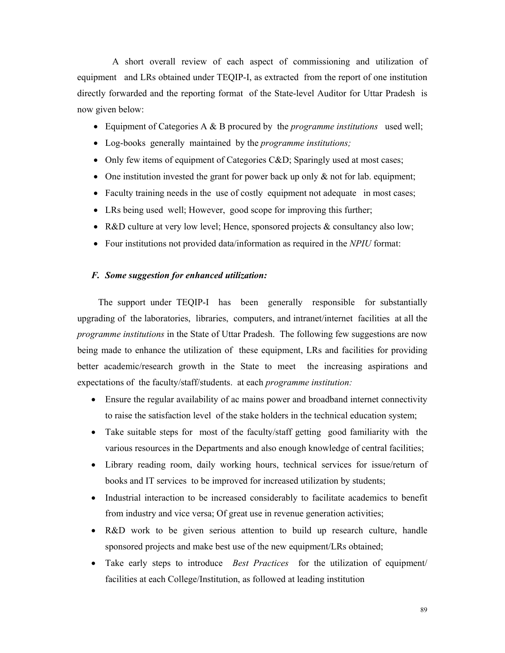A short overall review of each aspect of commissioning and utilization of equipment and LRs obtained under TEQIP-I, as extracted from the report of one institution directly forwarded and the reporting format of the State-level Auditor for Uttar Pradesh is now given below:

- Equipment of Categories A & B procured by the *programme institutions* used well;
- Log-books generally maintained by the *programme institutions;*
- Only few items of equipment of Categories C&D; Sparingly used at most cases;
- One institution invested the grant for power back up only  $\&$  not for lab. equipment;
- Faculty training needs in the use of costly equipment not adequate in most cases;
- LRs being used well; However, good scope for improving this further;
- R&D culture at very low level; Hence, sponsored projects & consultancy also low;
- Four institutions not provided data/information as required in the *NPIU* format:

#### *F. Some suggestion for enhanced utilization:*

 The support under TEQIP-I has been generally responsible for substantially upgrading of the laboratories, libraries, computers, and intranet/internet facilities at all the *programme institutions* in the State of Uttar Pradesh. The following few suggestions are now being made to enhance the utilization of these equipment, LRs and facilities for providing better academic/research growth in the State to meet the increasing aspirations and expectations of the faculty/staff/students. at each *programme institution:*

- Ensure the regular availability of ac mains power and broadband internet connectivity to raise the satisfaction level of the stake holders in the technical education system;
- Take suitable steps for most of the faculty/staff getting good familiarity with the various resources in the Departments and also enough knowledge of central facilities;
- Library reading room, daily working hours, technical services for issue/return of books and IT services to be improved for increased utilization by students;
- Industrial interaction to be increased considerably to facilitate academics to benefit from industry and vice versa; Of great use in revenue generation activities;
- R&D work to be given serious attention to build up research culture, handle sponsored projects and make best use of the new equipment/LRs obtained;
- Take early steps to introduce *Best Practices* for the utilization of equipment/ facilities at each College/Institution, as followed at leading institution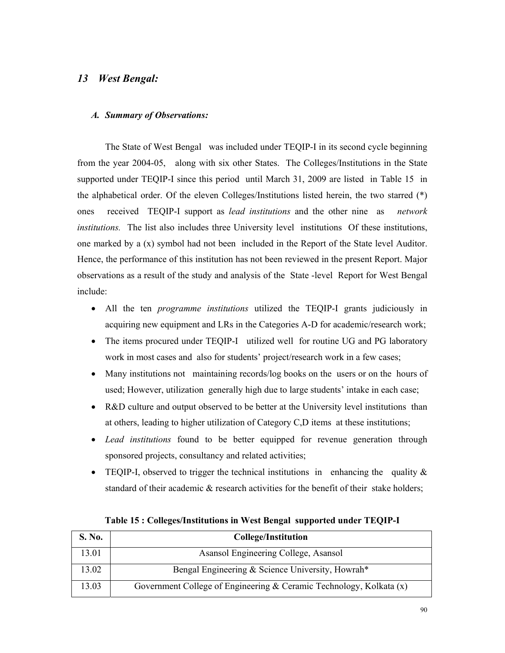## *13 West Bengal:*

### *A. Summary of Observations:*

The State of West Bengal was included under TEQIP-I in its second cycle beginning from the year 2004-05, along with six other States. The Colleges/Institutions in the State supported under TEQIP-I since this period until March 31, 2009 are listed in Table 15 in the alphabetical order. Of the eleven Colleges/Institutions listed herein, the two starred (\*) ones received TEQIP-I support as *lead institutions* and the other nine as *network institutions.* The list also includes three University level institutions Of these institutions, one marked by a (x) symbol had not been included in the Report of the State level Auditor. Hence, the performance of this institution has not been reviewed in the present Report. Major observations as a result of the study and analysis of the State -level Report for West Bengal include:

- All the ten *programme institutions* utilized the TEQIP-I grants judiciously in acquiring new equipment and LRs in the Categories A-D for academic/research work;
- The items procured under TEQIP-I utilized well for routine UG and PG laboratory work in most cases and also for students' project/research work in a few cases;
- Many institutions not maintaining records/log books on the users or on the hours of used; However, utilization generally high due to large students' intake in each case;
- R&D culture and output observed to be better at the University level institutions than at others, leading to higher utilization of Category C,D items at these institutions;
- *Lead institutions* found to be better equipped for revenue generation through sponsored projects, consultancy and related activities;
- TEQIP-I, observed to trigger the technical institutions in enhancing the quality  $\&$ standard of their academic & research activities for the benefit of their stake holders;

| <b>S. No.</b> | College/Institution                                                 |
|---------------|---------------------------------------------------------------------|
| 13.01         | Asansol Engineering College, Asansol                                |
| 13.02         | Bengal Engineering & Science University, Howrah*                    |
| 13.03         | Government College of Engineering & Ceramic Technology, Kolkata (x) |

**Table 15 : Colleges/Institutions in West Bengal supported under TEQIP-I**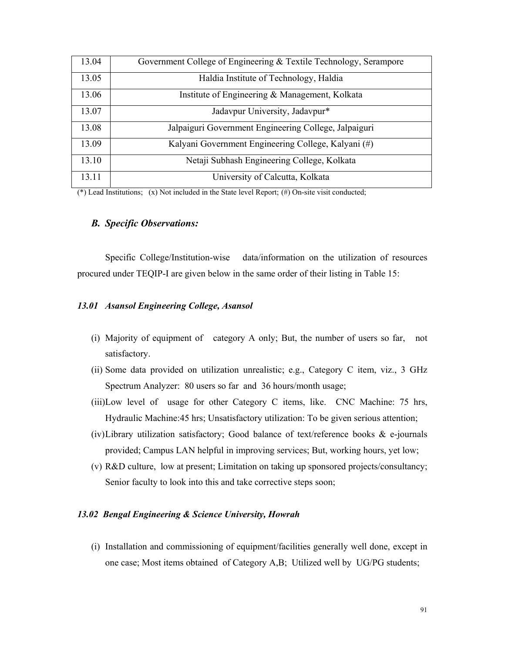| 13.04 | Government College of Engineering & Textile Technology, Serampore |
|-------|-------------------------------------------------------------------|
| 13.05 | Haldia Institute of Technology, Haldia                            |
| 13.06 | Institute of Engineering & Management, Kolkata                    |
| 13.07 | Jadavpur University, Jadavpur*                                    |
| 13.08 | Jalpaiguri Government Engineering College, Jalpaiguri             |
| 13.09 | Kalyani Government Engineering College, Kalyani (#)               |
| 13.10 | Netaji Subhash Engineering College, Kolkata                       |
| 13.11 | University of Calcutta, Kolkata                                   |

(\*) Lead Institutions; (x) Not included in the State level Report; (#) On-site visit conducted;

## *B. Specific Observations:*

 Specific College/Institution-wise data/information on the utilization of resources procured under TEQIP-I are given below in the same order of their listing in Table 15:

### *13.01 Asansol Engineering College, Asansol*

- (i) Majority of equipment of category A only; But, the number of users so far, not satisfactory.
- (ii) Some data provided on utilization unrealistic; e.g., Category C item, viz., 3 GHz Spectrum Analyzer: 80 users so far and 36 hours/month usage;
- (iii)Low level of usage for other Category C items, like. CNC Machine: 75 hrs, Hydraulic Machine:45 hrs; Unsatisfactory utilization: To be given serious attention;
- (iv)Library utilization satisfactory; Good balance of text/reference books & e-journals provided; Campus LAN helpful in improving services; But, working hours, yet low;
- (v) R&D culture, low at present; Limitation on taking up sponsored projects/consultancy; Senior faculty to look into this and take corrective steps soon;

### *13.02 Bengal Engineering & Science University, Howrah*

(i) Installation and commissioning of equipment/facilities generally well done, except in one case; Most items obtained of Category A,B; Utilized well by UG/PG students;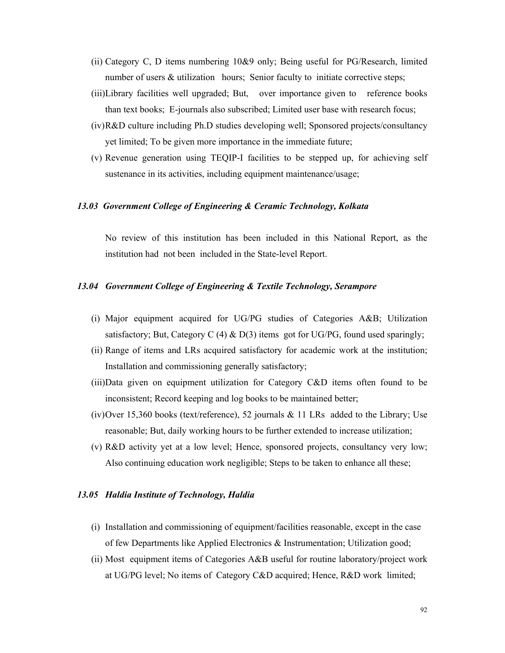- (ii) Category C, D items numbering 10&9 only; Being useful for PG/Research, limited number of users  $&$  utilization hours; Senior faculty to initiate corrective steps;
- (iii)Library facilities well upgraded; But, over importance given to reference books than text books; E-journals also subscribed; Limited user base with research focus;
- (iv)R&D culture including Ph.D studies developing well; Sponsored projects/consultancy yet limited; To be given more importance in the immediate future;
- (v) Revenue generation using TEQIP-I facilities to be stepped up, for achieving self sustenance in its activities, including equipment maintenance/usage;

### *13.03 Government College of Engineering & Ceramic Technology, Kolkata*

No review of this institution has been included in this National Report, as the institution had not been included in the State-level Report.

### *13.04 Government College of Engineering & Textile Technology, Serampore*

- (i) Major equipment acquired for UG/PG studies of Categories A&B; Utilization satisfactory; But, Category C (4)  $\&$  D(3) items got for UG/PG, found used sparingly;
- (ii) Range of items and LRs acquired satisfactory for academic work at the institution; Installation and commissioning generally satisfactory;
- (iii)Data given on equipment utilization for Category C&D items often found to be inconsistent; Record keeping and log books to be maintained better;
- (iv)Over 15,360 books (text/reference), 52 journals  $\&$  11 LRs added to the Library; Use reasonable; But, daily working hours to be further extended to increase utilization;
- (v) R&D activity yet at a low level; Hence, sponsored projects, consultancy very low; Also continuing education work negligible; Steps to be taken to enhance all these;

### *13.05 Haldia Institute of Technology, Haldia*

- (i) Installation and commissioning of equipment/facilities reasonable, except in the case of few Departments like Applied Electronics & Instrumentation; Utilization good;
- (ii) Most equipment items of Categories A&B useful for routine laboratory/project work at UG/PG level; No items of Category C&D acquired; Hence, R&D work limited;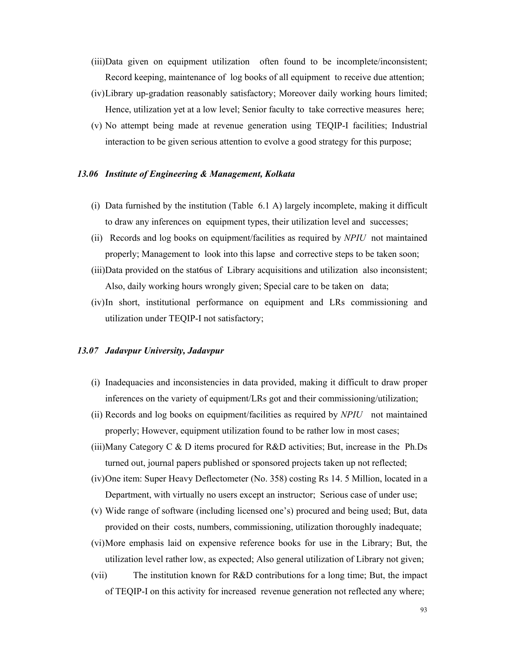- (iii)Data given on equipment utilization often found to be incomplete/inconsistent; Record keeping, maintenance of log books of all equipment to receive due attention;
- (iv)Library up-gradation reasonably satisfactory; Moreover daily working hours limited; Hence, utilization yet at a low level; Senior faculty to take corrective measures here;
- (v) No attempt being made at revenue generation using TEQIP-I facilities; Industrial interaction to be given serious attention to evolve a good strategy for this purpose;

### *13.06 Institute of Engineering & Management, Kolkata*

- (i) Data furnished by the institution (Table 6.1 A) largely incomplete, making it difficult to draw any inferences on equipment types, their utilization level and successes;
- (ii) Records and log books on equipment/facilities as required by *NPIU* not maintained properly; Management to look into this lapse and corrective steps to be taken soon;
- (iii)Data provided on the stat6us of Library acquisitions and utilization also inconsistent; Also, daily working hours wrongly given; Special care to be taken on data;
- (iv)In short, institutional performance on equipment and LRs commissioning and utilization under TEQIP-I not satisfactory;

### *13.07 Jadavpur University, Jadavpur*

- (i) Inadequacies and inconsistencies in data provided, making it difficult to draw proper inferences on the variety of equipment/LRs got and their commissioning/utilization;
- (ii) Records and log books on equipment/facilities as required by *NPIU* not maintained properly; However, equipment utilization found to be rather low in most cases;
- (iii)Many Category C & D items procured for R&D activities; But, increase in the Ph.Ds turned out, journal papers published or sponsored projects taken up not reflected;
- (iv)One item: Super Heavy Deflectometer (No. 358) costing Rs 14. 5 Million, located in a Department, with virtually no users except an instructor; Serious case of under use;
- (v) Wide range of software (including licensed one's) procured and being used; But, data provided on their costs, numbers, commissioning, utilization thoroughly inadequate;
- (vi)More emphasis laid on expensive reference books for use in the Library; But, the utilization level rather low, as expected; Also general utilization of Library not given;
- (vii) The institution known for R&D contributions for a long time; But, the impact of TEQIP-I on this activity for increased revenue generation not reflected any where;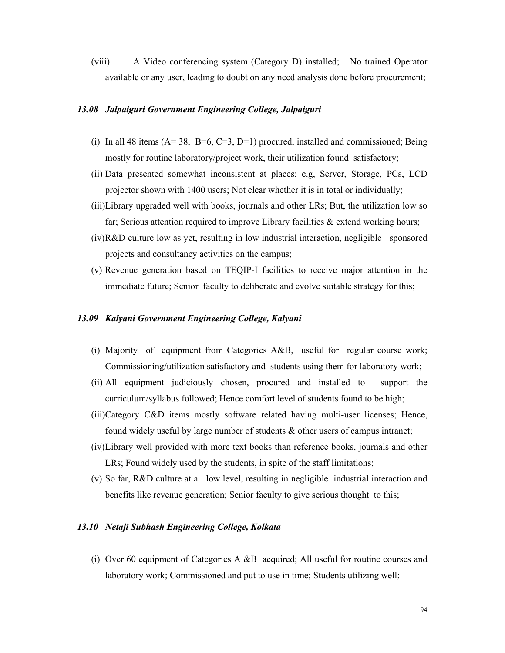(viii) A Video conferencing system (Category D) installed; No trained Operator available or any user, leading to doubt on any need analysis done before procurement;

### *13.08 Jalpaiguri Government Engineering College, Jalpaiguri*

- (i) In all 48 items  $(A=38, B=6, C=3, D=1)$  procured, installed and commissioned; Being mostly for routine laboratory/project work, their utilization found satisfactory;
- (ii) Data presented somewhat inconsistent at places; e.g, Server, Storage, PCs, LCD projector shown with 1400 users; Not clear whether it is in total or individually;
- (iii)Library upgraded well with books, journals and other LRs; But, the utilization low so far; Serious attention required to improve Library facilities  $\&$  extend working hours;
- (iv)R&D culture low as yet, resulting in low industrial interaction, negligible sponsored projects and consultancy activities on the campus;
- (v) Revenue generation based on TEQIP-I facilities to receive major attention in the immediate future; Senior faculty to deliberate and evolve suitable strategy for this;

### *13.09 Kalyani Government Engineering College, Kalyani*

- (i) Majority of equipment from Categories A&B, useful for regular course work; Commissioning/utilization satisfactory and students using them for laboratory work;
- (ii) All equipment judiciously chosen, procured and installed to support the curriculum/syllabus followed; Hence comfort level of students found to be high;
- (iii)Category C&D items mostly software related having multi-user licenses; Hence, found widely useful by large number of students & other users of campus intranet;
- (iv)Library well provided with more text books than reference books, journals and other LRs; Found widely used by the students, in spite of the staff limitations;
- (v) So far, R&D culture at a low level, resulting in negligible industrial interaction and benefits like revenue generation; Senior faculty to give serious thought to this;

### *13.10 Netaji Subhash Engineering College, Kolkata*

(i) Over 60 equipment of Categories A &B acquired; All useful for routine courses and laboratory work; Commissioned and put to use in time; Students utilizing well;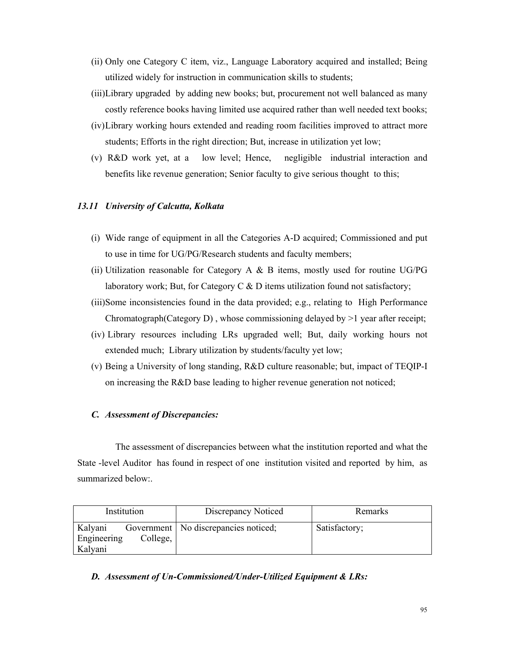- (ii) Only one Category C item, viz., Language Laboratory acquired and installed; Being utilized widely for instruction in communication skills to students;
- (iii)Library upgraded by adding new books; but, procurement not well balanced as many costly reference books having limited use acquired rather than well needed text books;
- (iv)Library working hours extended and reading room facilities improved to attract more students; Efforts in the right direction; But, increase in utilization yet low;
- (v) R&D work yet, at a low level; Hence, negligible industrial interaction and benefits like revenue generation; Senior faculty to give serious thought to this;

### *13.11 University of Calcutta, Kolkata*

- (i) Wide range of equipment in all the Categories A-D acquired; Commissioned and put to use in time for UG/PG/Research students and faculty members;
- (ii) Utilization reasonable for Category A  $\&$  B items, mostly used for routine UG/PG laboratory work; But, for Category C  $\&$  D items utilization found not satisfactory;
- (iii)Some inconsistencies found in the data provided; e.g., relating to High Performance Chromatograph(Category D) , whose commissioning delayed by >1 year after receipt;
- (iv) Library resources including LRs upgraded well; But, daily working hours not extended much; Library utilization by students/faculty yet low;
- (v) Being a University of long standing, R&D culture reasonable; but, impact of TEQIP-I on increasing the R&D base leading to higher revenue generation not noticed;

### *C. Assessment of Discrepancies:*

The assessment of discrepancies between what the institution reported and what the State -level Auditor has found in respect of one institution visited and reported by him, as summarized below:.

| Institution                                   | Discrepancy Noticed                    | Remarks       |
|-----------------------------------------------|----------------------------------------|---------------|
| Kalyani<br>College,<br>Engineering<br>Kalyani | Government   No discrepancies noticed; | Satisfactory; |

### *D. Assessment of Un-Commissioned/Under-Utilized Equipment & LRs:*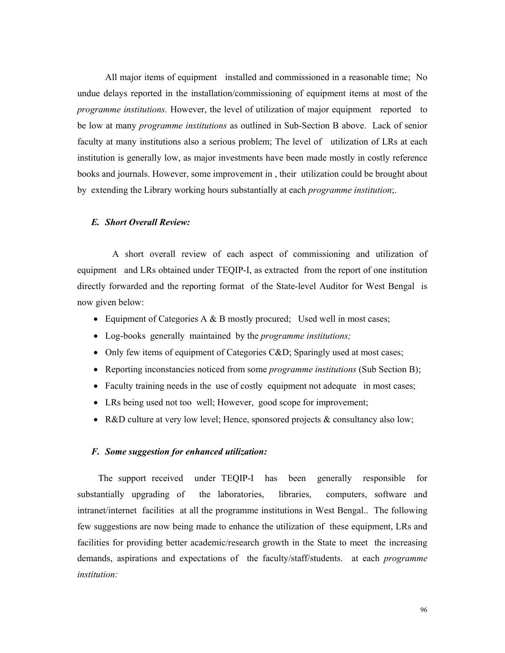All major items of equipment installed and commissioned in a reasonable time; No undue delays reported in the installation/commissioning of equipment items at most of the *programme institutions.* However, the level of utilization of major equipment reported to be low at many *programme institutions* as outlined in Sub-Section B above. Lack of senior faculty at many institutions also a serious problem; The level of utilization of LRs at each institution is generally low, as major investments have been made mostly in costly reference books and journals. However, some improvement in , their utilization could be brought about by extending the Library working hours substantially at each *programme institution*;.

### *E. Short Overall Review:*

A short overall review of each aspect of commissioning and utilization of equipment and LRs obtained under TEQIP-I, as extracted from the report of one institution directly forwarded and the reporting format of the State-level Auditor for West Bengal is now given below:

- Equipment of Categories A & B mostly procured; Used well in most cases;
- Log-books generally maintained by the *programme institutions;*
- Only few items of equipment of Categories C&D; Sparingly used at most cases;
- Reporting inconstancies noticed from some *programme institutions* (Sub Section B);
- Faculty training needs in the use of costly equipment not adequate in most cases;
- LRs being used not too well; However, good scope for improvement;
- R&D culture at very low level; Hence, sponsored projects & consultancy also low;

### *F. Some suggestion for enhanced utilization:*

 The support received under TEQIP-I has been generally responsible for substantially upgrading of the laboratories, libraries, computers, software and intranet/internet facilities at all the programme institutions in West Bengal.. The following few suggestions are now being made to enhance the utilization of these equipment, LRs and facilities for providing better academic/research growth in the State to meet the increasing demands, aspirations and expectations of the faculty/staff/students. at each *programme institution:*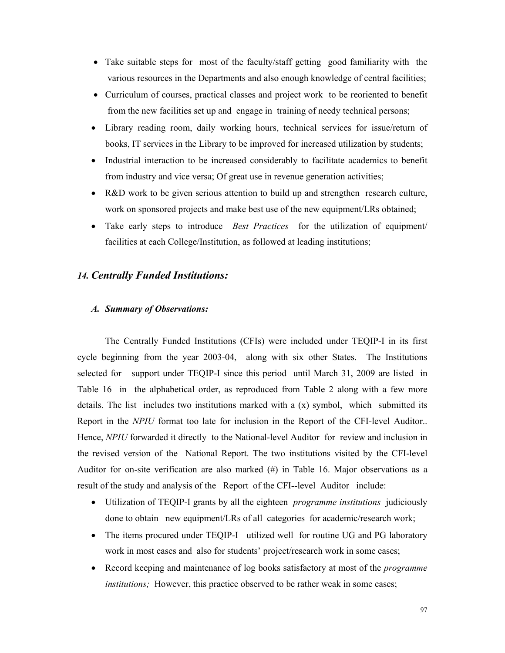- Take suitable steps for most of the faculty/staff getting good familiarity with the various resources in the Departments and also enough knowledge of central facilities;
- Curriculum of courses, practical classes and project work to be reoriented to benefit from the new facilities set up and engage in training of needy technical persons;
- Library reading room, daily working hours, technical services for issue/return of books, IT services in the Library to be improved for increased utilization by students;
- Industrial interaction to be increased considerably to facilitate academics to benefit from industry and vice versa; Of great use in revenue generation activities;
- R&D work to be given serious attention to build up and strengthen research culture, work on sponsored projects and make best use of the new equipment/LRs obtained;
- Take early steps to introduce *Best Practices* for the utilization of equipment/ facilities at each College/Institution, as followed at leading institutions;

### *14. Centrally Funded Institutions:*

### *A. Summary of Observations:*

The Centrally Funded Institutions (CFIs) were included under TEQIP-I in its first cycle beginning from the year 2003-04, along with six other States. The Institutions selected for support under TEQIP-I since this period until March 31, 2009 are listed in Table 16 in the alphabetical order, as reproduced from Table 2 along with a few more details. The list includes two institutions marked with a  $(x)$  symbol, which submitted its Report in the *NPIU* format too late for inclusion in the Report of the CFI-level Auditor.. Hence, *NPIU* forwarded it directly to the National-level Auditor for review and inclusion in the revised version of the National Report. The two institutions visited by the CFI-level Auditor for on-site verification are also marked  $(\#)$  in Table 16. Major observations as a result of the study and analysis of the Report of the CFI--level Auditor include:

- Utilization of TEQIP-I grants by all the eighteen *programme institutions* judiciously done to obtain new equipment/LRs of all categories for academic/research work;
- The items procured under TEQIP-I utilized well for routine UG and PG laboratory work in most cases and also for students' project/research work in some cases;
- Record keeping and maintenance of log books satisfactory at most of the *programme institutions;* However, this practice observed to be rather weak in some cases;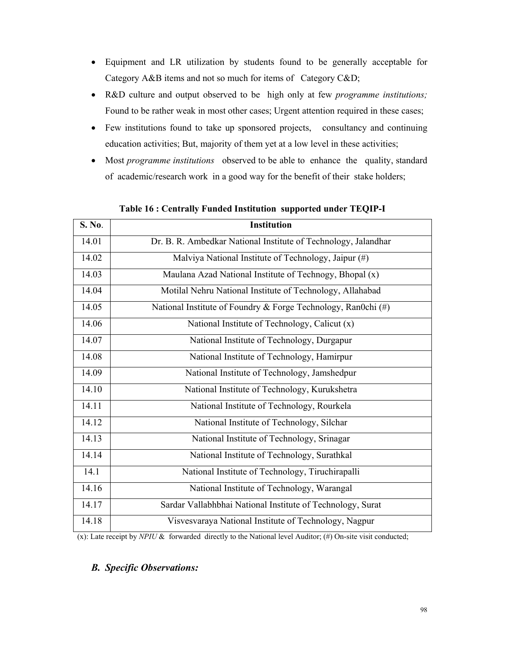- Equipment and LR utilization by students found to be generally acceptable for Category A&B items and not so much for items of Category C&D;
- R&D culture and output observed to be high only at few *programme institutions;* Found to be rather weak in most other cases; Urgent attention required in these cases;
- Few institutions found to take up sponsored projects, consultancy and continuing education activities; But, majority of them yet at a low level in these activities;
- Most *programme institutions* observed to be able to enhance the quality, standard of academic/research work in a good way for the benefit of their stake holders;

| S. No. | <b>Institution</b>                                               |
|--------|------------------------------------------------------------------|
| 14.01  | Dr. B. R. Ambedkar National Institute of Technology, Jalandhar   |
| 14.02  | Malviya National Institute of Technology, Jaipur (#)             |
| 14.03  | Maulana Azad National Institute of Technogy, Bhopal (x)          |
| 14.04  | Motilal Nehru National Institute of Technology, Allahabad        |
| 14.05  | National Institute of Foundry & Forge Technology, Ran0chi $(\#)$ |
| 14.06  | National Institute of Technology, Calicut (x)                    |
| 14.07  | National Institute of Technology, Durgapur                       |
| 14.08  | National Institute of Technology, Hamirpur                       |
| 14.09  | National Institute of Technology, Jamshedpur                     |
| 14.10  | National Institute of Technology, Kurukshetra                    |
| 14.11  | National Institute of Technology, Rourkela                       |
| 14.12  | National Institute of Technology, Silchar                        |
| 14.13  | National Institute of Technology, Srinagar                       |
| 14.14  | National Institute of Technology, Surathkal                      |
| 14.1   | National Institute of Technology, Tiruchirapalli                 |
| 14.16  | National Institute of Technology, Warangal                       |
| 14.17  | Sardar Vallabhbhai National Institute of Technology, Surat       |
| 14.18  | Visvesvaraya National Institute of Technology, Nagpur            |

**Table 16 : Centrally Funded Institution supported under TEQIP-I** 

(x): Late receipt by *NPIU* & forwarded directly to the National level Auditor; (#) On-site visit conducted;

## *B. Specific Observations:*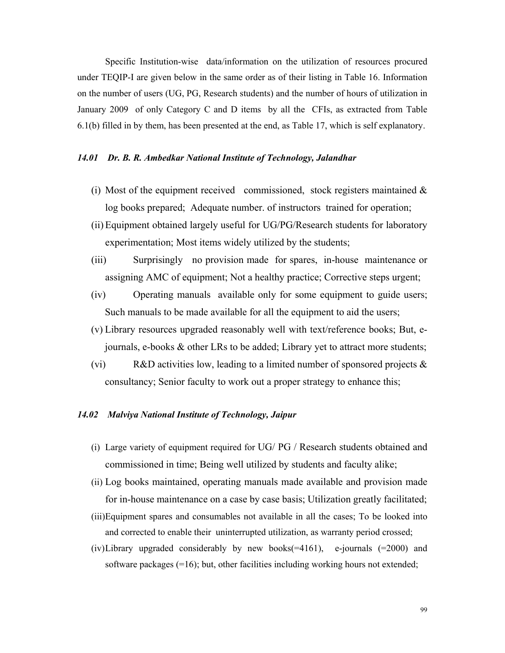Specific Institution-wise data/information on the utilization of resources procured under TEQIP-I are given below in the same order as of their listing in Table 16. Information on the number of users (UG, PG, Research students) and the number of hours of utilization in January 2009 of only Category C and D items by all the CFIs, as extracted from Table 6.1(b) filled in by them, has been presented at the end, as Table 17, which is self explanatory.

### *14.01 Dr. B. R. Ambedkar National Institute of Technology, Jalandhar*

- (i) Most of the equipment received commissioned, stock registers maintained  $\&$ log books prepared; Adequate number. of instructors trained for operation;
- (ii) Equipment obtained largely useful for UG/PG/Research students for laboratory experimentation; Most items widely utilized by the students;
- (iii) Surprisingly no provision made for spares, in-house maintenance or assigning AMC of equipment; Not a healthy practice; Corrective steps urgent;
- (iv) Operating manuals available only for some equipment to guide users; Such manuals to be made available for all the equipment to aid the users;
- (v) Library resources upgraded reasonably well with text/reference books; But, ejournals, e-books & other LRs to be added; Library yet to attract more students;
- (vi) R&D activities low, leading to a limited number of sponsored projects  $\&$ consultancy; Senior faculty to work out a proper strategy to enhance this;

### *14.02 Malviya National Institute of Technology, Jaipur*

- (i) Large variety of equipment required for UG/ PG / Research students obtained and commissioned in time; Being well utilized by students and faculty alike;
- (ii) Log books maintained, operating manuals made available and provision made for in-house maintenance on a case by case basis; Utilization greatly facilitated;
- (iii)Equipment spares and consumables not available in all the cases; To be looked into and corrected to enable their uninterrupted utilization, as warranty period crossed;
- (iv)Library upgraded considerably by new books( $=4161$ ), e-journals ( $=2000$ ) and software packages  $(=16)$ ; but, other facilities including working hours not extended;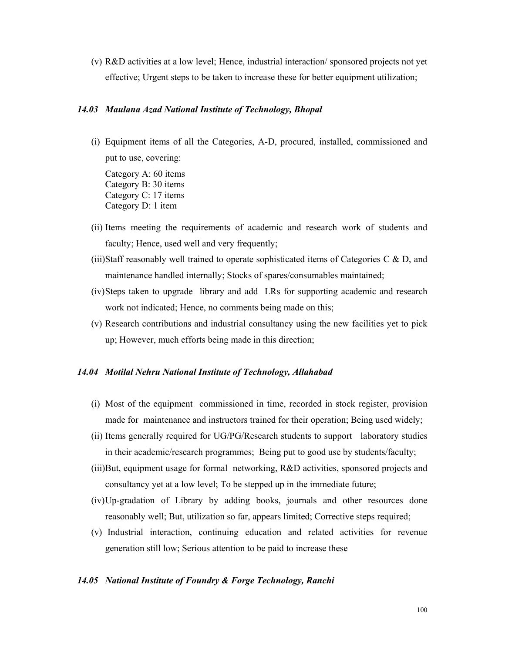(v) R&D activities at a low level; Hence, industrial interaction/ sponsored projects not yet effective; Urgent steps to be taken to increase these for better equipment utilization;

### *14.03 Maulana Azad National Institute of Technology, Bhopal*

(i) Equipment items of all the Categories, A-D, procured, installed, commissioned and put to use, covering:

Category A: 60 items Category B: 30 items Category C: 17 items Category D: 1 item

- (ii) Items meeting the requirements of academic and research work of students and faculty; Hence, used well and very frequently;
- (iii)Staff reasonably well trained to operate sophisticated items of Categories C  $\&$  D, and maintenance handled internally; Stocks of spares/consumables maintained;
- (iv)Steps taken to upgrade library and add LRs for supporting academic and research work not indicated; Hence, no comments being made on this;
- (v) Research contributions and industrial consultancy using the new facilities yet to pick up; However, much efforts being made in this direction;

### *14.04 Motilal Nehru National Institute of Technology, Allahabad*

- (i) Most of the equipment commissioned in time, recorded in stock register, provision made for maintenance and instructors trained for their operation; Being used widely;
- (ii) Items generally required for UG/PG/Research students to support laboratory studies in their academic/research programmes; Being put to good use by students/faculty;
- (iii)But, equipment usage for formal networking, R&D activities, sponsored projects and consultancy yet at a low level; To be stepped up in the immediate future;
- (iv)Up-gradation of Library by adding books, journals and other resources done reasonably well; But, utilization so far, appears limited; Corrective steps required;
- (v) Industrial interaction, continuing education and related activities for revenue generation still low; Serious attention to be paid to increase these

#### *14.05 National Institute of Foundry & Forge Technology, Ranchi*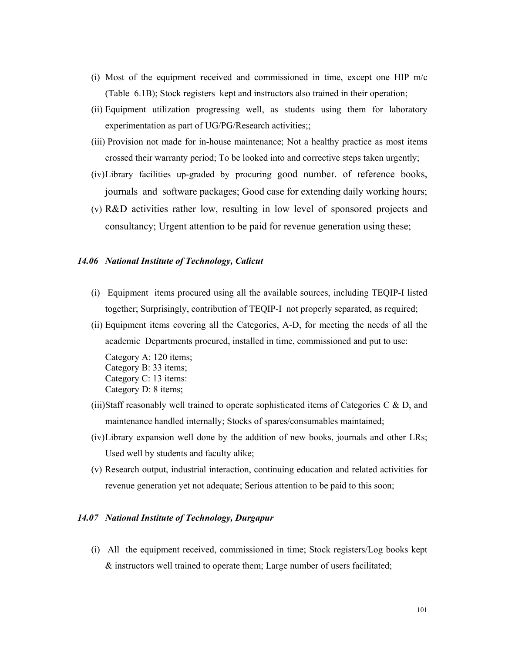- (i) Most of the equipment received and commissioned in time, except one HIP m/c (Table 6.1B); Stock registers kept and instructors also trained in their operation;
- (ii) Equipment utilization progressing well, as students using them for laboratory experimentation as part of UG/PG/Research activities;;
- (iii) Provision not made for in-house maintenance; Not a healthy practice as most items crossed their warranty period; To be looked into and corrective steps taken urgently;
- (iv)Library facilities up-graded by procuring good number. of reference books, journals and software packages; Good case for extending daily working hours;
- (v) R&D activities rather low, resulting in low level of sponsored projects and consultancy; Urgent attention to be paid for revenue generation using these;

#### *14.06 National Institute of Technology, Calicut*

- (i) Equipment items procured using all the available sources, including TEQIP-I listed together; Surprisingly, contribution of TEQIP-I not properly separated, as required;
- (ii) Equipment items covering all the Categories, A-D, for meeting the needs of all the academic Departments procured, installed in time, commissioned and put to use:

Category A: 120 items; Category B: 33 items; Category C: 13 items: Category D: 8 items;

- (iii)Staff reasonably well trained to operate sophisticated items of Categories C  $\&$  D, and maintenance handled internally; Stocks of spares/consumables maintained;
- (iv)Library expansion well done by the addition of new books, journals and other LRs; Used well by students and faculty alike;
- (v) Research output, industrial interaction, continuing education and related activities for revenue generation yet not adequate; Serious attention to be paid to this soon;

### *14.07 National Institute of Technology, Durgapur*

(i) All the equipment received, commissioned in time; Stock registers/Log books kept & instructors well trained to operate them; Large number of users facilitated;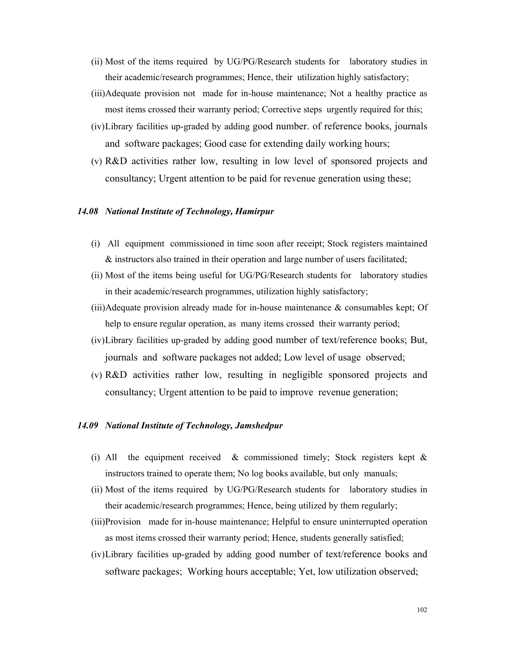- (ii) Most of the items required by UG/PG/Research students for laboratory studies in their academic/research programmes; Hence, their utilization highly satisfactory;
- (iii)Adequate provision not made for in-house maintenance; Not a healthy practice as most items crossed their warranty period; Corrective steps urgently required for this;
- (iv)Library facilities up-graded by adding good number. of reference books, journals and software packages; Good case for extending daily working hours;
- (v) R&D activities rather low, resulting in low level of sponsored projects and consultancy; Urgent attention to be paid for revenue generation using these;

### *14.08 National Institute of Technology, Hamirpur*

- (i) All equipment commissioned in time soon after receipt; Stock registers maintained & instructors also trained in their operation and large number of users facilitated;
- (ii) Most of the items being useful for UG/PG/Research students for laboratory studies in their academic/research programmes, utilization highly satisfactory;
- $(iii)$ Adequate provision already made for in-house maintenance  $\&$  consumables kept; Of help to ensure regular operation, as many items crossed their warranty period;
- (iv)Library facilities up-graded by adding good number of text/reference books; But, journals and software packages not added; Low level of usage observed;
- (v) R&D activities rather low, resulting in negligible sponsored projects and consultancy; Urgent attention to be paid to improve revenue generation;

#### *14.09 National Institute of Technology, Jamshedpur*

- (i) All the equipment received  $\&$  commissioned timely; Stock registers kept  $\&$ instructors trained to operate them; No log books available, but only manuals;
- (ii) Most of the items required by UG/PG/Research students for laboratory studies in their academic/research programmes; Hence, being utilized by them regularly;
- (iii)Provision made for in-house maintenance; Helpful to ensure uninterrupted operation as most items crossed their warranty period; Hence, students generally satisfied;
- (iv)Library facilities up-graded by adding good number of text/reference books and software packages; Working hours acceptable; Yet, low utilization observed;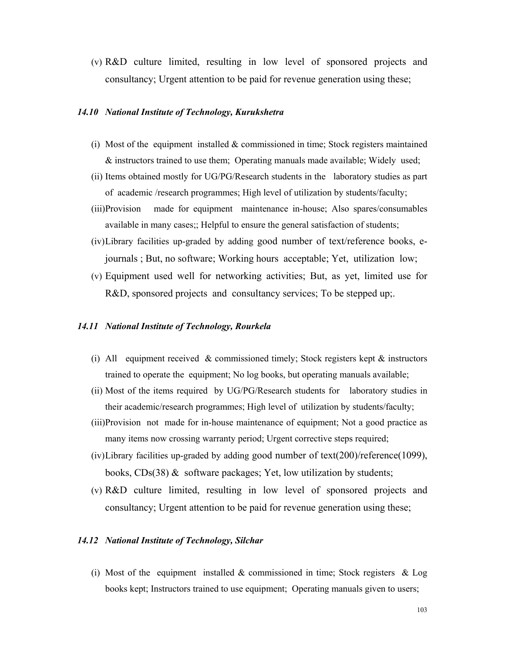(v) R&D culture limited, resulting in low level of sponsored projects and consultancy; Urgent attention to be paid for revenue generation using these;

### *14.10 National Institute of Technology, Kurukshetra*

- (i) Most of the equipment installed  $&$  commissioned in time; Stock registers maintained & instructors trained to use them; Operating manuals made available; Widely used;
- (ii) Items obtained mostly for UG/PG/Research students in the laboratory studies as part of academic /research programmes; High level of utilization by students/faculty;
- (iii)Provision made for equipment maintenance in-house; Also spares/consumables available in many cases;; Helpful to ensure the general satisfaction of students;
- (iv)Library facilities up-graded by adding good number of text/reference books, ejournals ; But, no software; Working hours acceptable; Yet, utilization low;
- (v) Equipment used well for networking activities; But, as yet, limited use for R&D, sponsored projects and consultancy services; To be stepped up;.

#### *14.11 National Institute of Technology, Rourkela*

- (i) All equipment received & commissioned timely; Stock registers kept  $\&$  instructors trained to operate the equipment; No log books, but operating manuals available;
- (ii) Most of the items required by UG/PG/Research students for laboratory studies in their academic/research programmes; High level of utilization by students/faculty;
- (iii)Provision not made for in-house maintenance of equipment; Not a good practice as many items now crossing warranty period; Urgent corrective steps required;
- (iv)Library facilities up-graded by adding good number of text(200)/reference(1099), books, CDs(38) & software packages; Yet, low utilization by students;
- (v) R&D culture limited, resulting in low level of sponsored projects and consultancy; Urgent attention to be paid for revenue generation using these;

## *14.12 National Institute of Technology, Silchar*

(i) Most of the equipment installed  $\&$  commissioned in time; Stock registers  $\&$  Log books kept; Instructors trained to use equipment; Operating manuals given to users;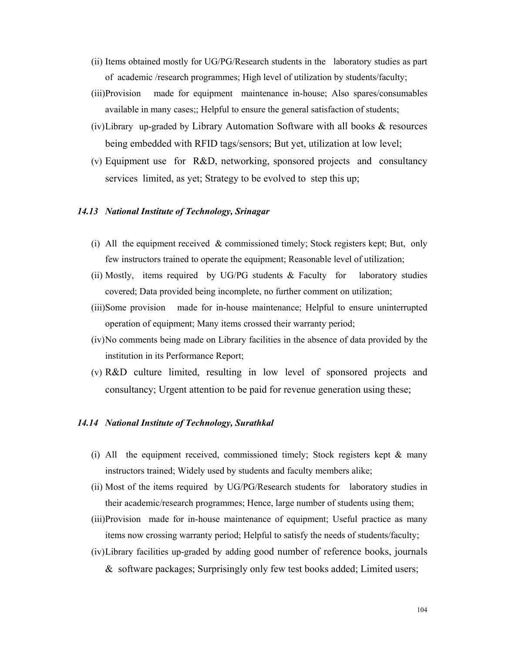- (ii) Items obtained mostly for UG/PG/Research students in the laboratory studies as part of academic /research programmes; High level of utilization by students/faculty;
- (iii)Provision made for equipment maintenance in-house; Also spares/consumables available in many cases;; Helpful to ensure the general satisfaction of students;
- (iv)Library up-graded by Library Automation Software with all books & resources being embedded with RFID tags/sensors; But yet, utilization at low level;
- (v) Equipment use for R&D, networking, sponsored projects and consultancy services limited, as yet; Strategy to be evolved to step this up;

### *14.13 National Institute of Technology, Srinagar*

- (i) All the equipment received & commissioned timely; Stock registers kept; But, only few instructors trained to operate the equipment; Reasonable level of utilization;
- (ii) Mostly, items required by UG/PG students & Faculty for laboratory studies covered; Data provided being incomplete, no further comment on utilization;
- (iii)Some provision made for in-house maintenance; Helpful to ensure uninterrupted operation of equipment; Many items crossed their warranty period;
- (iv)No comments being made on Library facilities in the absence of data provided by the institution in its Performance Report;
- (v) R&D culture limited, resulting in low level of sponsored projects and consultancy; Urgent attention to be paid for revenue generation using these;

### *14.14 National Institute of Technology, Surathkal*

- (i) All the equipment received, commissioned timely; Stock registers kept  $\&$  many instructors trained; Widely used by students and faculty members alike;
- (ii) Most of the items required by UG/PG/Research students for laboratory studies in their academic/research programmes; Hence, large number of students using them;
- (iii)Provision made for in-house maintenance of equipment; Useful practice as many items now crossing warranty period; Helpful to satisfy the needs of students/faculty;
- (iv)Library facilities up-graded by adding good number of reference books, journals & software packages; Surprisingly only few test books added; Limited users;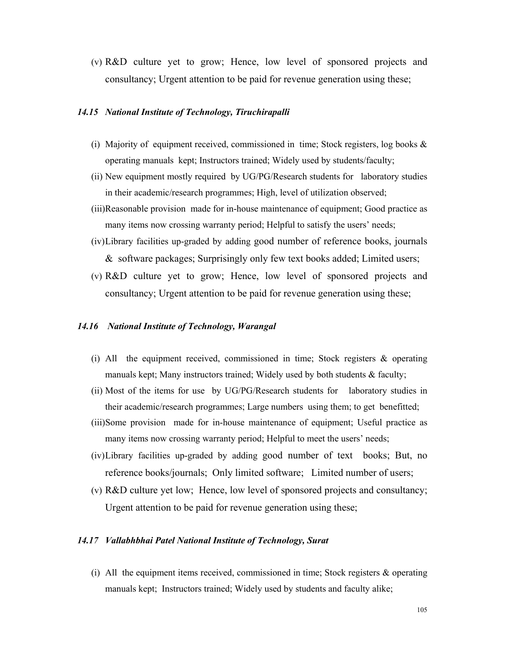(v) R&D culture yet to grow; Hence, low level of sponsored projects and consultancy; Urgent attention to be paid for revenue generation using these;

### *14.15 National Institute of Technology, Tiruchirapalli*

- (i) Majority of equipment received, commissioned in time; Stock registers, log books  $\&$ operating manuals kept; Instructors trained; Widely used by students/faculty;
- (ii) New equipment mostly required by UG/PG/Research students for laboratory studies in their academic/research programmes; High, level of utilization observed;
- (iii)Reasonable provision made for in-house maintenance of equipment; Good practice as many items now crossing warranty period; Helpful to satisfy the users' needs;
- (iv)Library facilities up-graded by adding good number of reference books, journals & software packages; Surprisingly only few text books added; Limited users;
- (v) R&D culture yet to grow; Hence, low level of sponsored projects and consultancy; Urgent attention to be paid for revenue generation using these;

#### *14.16 National Institute of Technology, Warangal*

- (i) All the equipment received, commissioned in time; Stock registers  $\&$  operating manuals kept; Many instructors trained; Widely used by both students & faculty;
- (ii) Most of the items for use by UG/PG/Research students for laboratory studies in their academic/research programmes; Large numbers using them; to get benefitted;
- (iii)Some provision made for in-house maintenance of equipment; Useful practice as many items now crossing warranty period; Helpful to meet the users' needs;
- (iv)Library facilities up-graded by adding good number of text books; But, no reference books/journals; Only limited software; Limited number of users;
- (v) R&D culture yet low; Hence, low level of sponsored projects and consultancy; Urgent attention to be paid for revenue generation using these;

### *14.17 Vallabhbhai Patel National Institute of Technology, Surat*

(i) All the equipment items received, commissioned in time; Stock registers & operating manuals kept; Instructors trained; Widely used by students and faculty alike;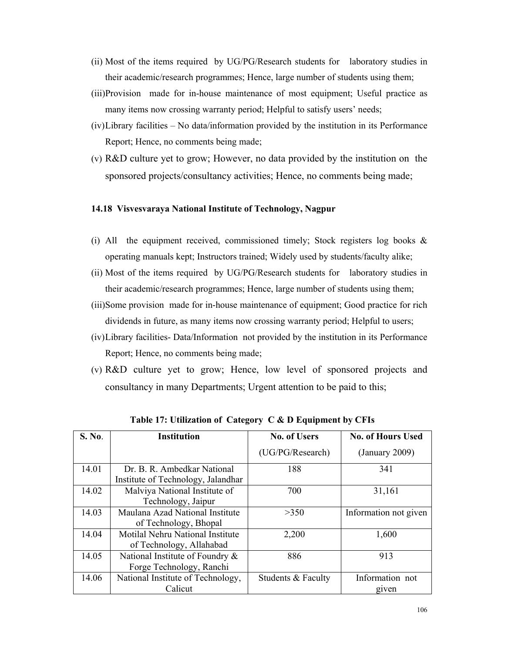- (ii) Most of the items required by UG/PG/Research students for laboratory studies in their academic/research programmes; Hence, large number of students using them;
- (iii)Provision made for in-house maintenance of most equipment; Useful practice as many items now crossing warranty period; Helpful to satisfy users' needs;
- (iv)Library facilities No data/information provided by the institution in its Performance Report; Hence, no comments being made;
- (v) R&D culture yet to grow; However, no data provided by the institution on the sponsored projects/consultancy activities; Hence, no comments being made;

### **14.18 Visvesvaraya National Institute of Technology, Nagpur**

- (i) All the equipment received, commissioned timely; Stock registers log books  $\&$ operating manuals kept; Instructors trained; Widely used by students/faculty alike;
- (ii) Most of the items required by UG/PG/Research students for laboratory studies in their academic/research programmes; Hence, large number of students using them;
- (iii)Some provision made for in-house maintenance of equipment; Good practice for rich dividends in future, as many items now crossing warranty period; Helpful to users;
- (iv)Library facilities- Data/Information not provided by the institution in its Performance Report; Hence, no comments being made;
- (v) R&D culture yet to grow; Hence, low level of sponsored projects and consultancy in many Departments; Urgent attention to be paid to this;

| S. No. | <b>Institution</b>                                                | <b>No. of Users</b> | <b>No. of Hours Used</b> |
|--------|-------------------------------------------------------------------|---------------------|--------------------------|
|        |                                                                   | (UG/PG/Research)    | (January 2009)           |
| 14.01  | Dr. B. R. Ambedkar National<br>Institute of Technology, Jalandhar | 188                 | 341                      |
| 14.02  | Malviya National Institute of<br>Technology, Jaipur               | 700                 | 31,161                   |
| 14.03  | Maulana Azad National Institute<br>of Technology, Bhopal          | >350                | Information not given    |
| 14.04  | Motilal Nehru National Institute<br>of Technology, Allahabad      | 2,200               | 1,600                    |
| 14.05  | National Institute of Foundry &<br>Forge Technology, Ranchi       | 886                 | 913                      |
| 14.06  | National Institute of Technology,<br>Calicut                      | Students & Faculty  | Information not          |
|        |                                                                   |                     | given                    |

**Table 17: Utilization of Category C & D Equipment by CFIs**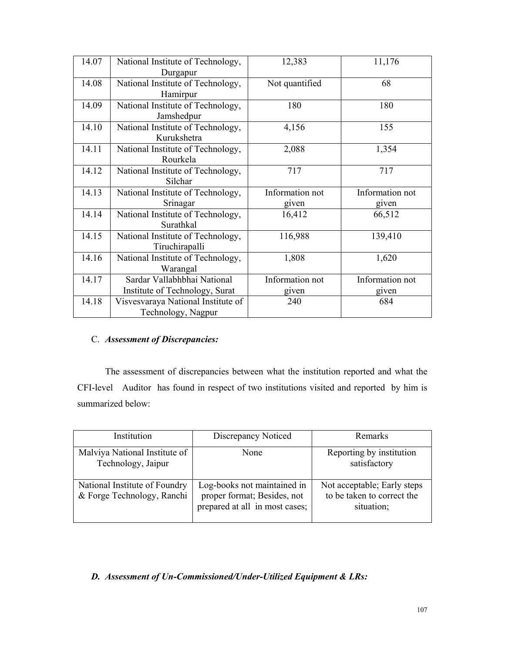| 14.07 | National Institute of Technology,  | 12,383          | 11,176          |
|-------|------------------------------------|-----------------|-----------------|
|       | Durgapur                           |                 |                 |
| 14.08 | National Institute of Technology,  | Not quantified  | 68              |
|       | Hamirpur                           |                 |                 |
| 14.09 | National Institute of Technology,  | 180             | 180             |
|       | Jamshedpur                         |                 |                 |
| 14.10 | National Institute of Technology,  | 4,156           | 155             |
|       | Kurukshetra                        |                 |                 |
| 14.11 | National Institute of Technology,  | 2,088           | 1,354           |
|       | Rourkela                           |                 |                 |
| 14.12 | National Institute of Technology,  | 717             | 717             |
|       | Silchar                            |                 |                 |
|       |                                    |                 |                 |
| 14.13 | National Institute of Technology,  | Information not | Information not |
|       | Srinagar                           | given           | given           |
| 14.14 | National Institute of Technology,  | 16,412          | 66,512          |
|       | Surathkal                          |                 |                 |
| 14.15 | National Institute of Technology,  | 116,988         | 139,410         |
|       | Tiruchirapalli                     |                 |                 |
| 14.16 | National Institute of Technology,  | 1,808           | 1,620           |
|       | Warangal                           |                 |                 |
| 14.17 | Sardar Vallabhbhai National        | Information not | Information not |
|       | Institute of Technology, Surat     | given           | given           |
| 14.18 | Visvesvaraya National Institute of | 240             | 684             |

# C. *Assessment of Discrepancies:*

 The assessment of discrepancies between what the institution reported and what the CFI-level Auditor has found in respect of two institutions visited and reported by him is summarized below:

| Institution                                                 | Discrepancy Noticed                                                                          | Remarks                                                                 |
|-------------------------------------------------------------|----------------------------------------------------------------------------------------------|-------------------------------------------------------------------------|
| Malviya National Institute of<br>Technology, Jaipur         | None                                                                                         | Reporting by institution<br>satisfactory                                |
| National Institute of Foundry<br>& Forge Technology, Ranchi | Log-books not maintained in<br>proper format; Besides, not<br>prepared at all in most cases; | Not acceptable; Early steps<br>to be taken to correct the<br>situation; |

# *D. Assessment of Un-Commissioned/Under-Utilized Equipment & LRs:*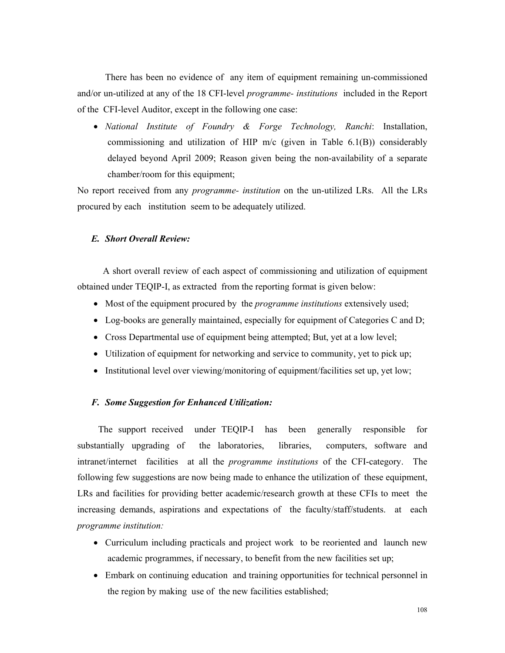There has been no evidence of any item of equipment remaining un-commissioned and/or un-utilized at any of the 18 CFI-level *programme- institutions* included in the Report of the CFI-level Auditor, except in the following one case:

• *National Institute of Foundry & Forge Technology, Ranchi*: Installation, commissioning and utilization of HIP m/c (given in Table 6.1(B)) considerably delayed beyond April 2009; Reason given being the non-availability of a separate chamber/room for this equipment;

No report received from any *programme- institution* on the un-utilized LRs. All the LRs procured by each institution seem to be adequately utilized.

#### *E. Short Overall Review:*

 A short overall review of each aspect of commissioning and utilization of equipment obtained under TEQIP-I, as extracted from the reporting format is given below:

- Most of the equipment procured by the *programme institutions* extensively used;
- Log-books are generally maintained, especially for equipment of Categories C and D;
- Cross Departmental use of equipment being attempted; But, yet at a low level;
- Utilization of equipment for networking and service to community, yet to pick up;
- Institutional level over viewing/monitoring of equipment/facilities set up, yet low;

### *F. Some Suggestion for Enhanced Utilization:*

 The support received under TEQIP-I has been generally responsible for substantially upgrading of the laboratories, libraries, computers, software and intranet/internet facilities at all the *programme institutions* of the CFI-category. The following few suggestions are now being made to enhance the utilization of these equipment, LRs and facilities for providing better academic/research growth at these CFIs to meet the increasing demands, aspirations and expectations of the faculty/staff/students. at each *programme institution:*

- Curriculum including practicals and project work to be reoriented and launch new academic programmes, if necessary, to benefit from the new facilities set up;
- Embark on continuing education and training opportunities for technical personnel in the region by making use of the new facilities established;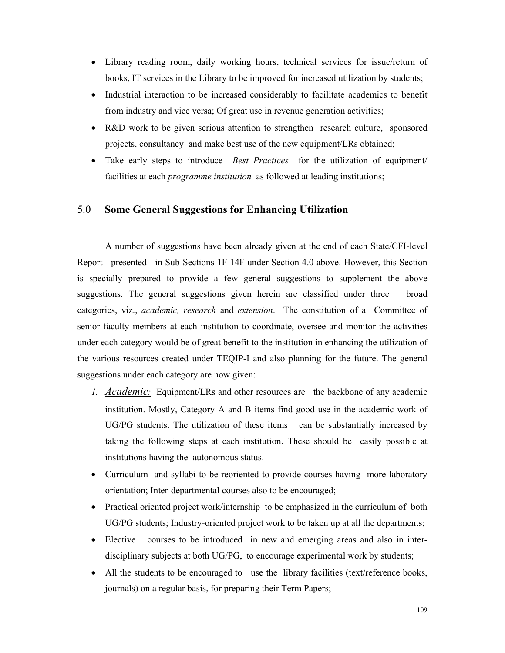- Library reading room, daily working hours, technical services for issue/return of books, IT services in the Library to be improved for increased utilization by students;
- Industrial interaction to be increased considerably to facilitate academics to benefit from industry and vice versa; Of great use in revenue generation activities;
- R&D work to be given serious attention to strengthen research culture, sponsored projects, consultancy and make best use of the new equipment/LRs obtained;
- Take early steps to introduce *Best Practices* for the utilization of equipment/ facilities at each *programme institution* as followed at leading institutions;

#### 5.0 **Some General Suggestions for Enhancing Utilization**

A number of suggestions have been already given at the end of each State/CFI-level Report presented in Sub-Sections 1F-14F under Section 4.0 above. However, this Section is specially prepared to provide a few general suggestions to supplement the above suggestions. The general suggestions given herein are classified under three broad categories, viz., *academic, research* and *extension*. The constitution of a Committee of senior faculty members at each institution to coordinate, oversee and monitor the activities under each category would be of great benefit to the institution in enhancing the utilization of the various resources created under TEQIP-I and also planning for the future. The general suggestions under each category are now given:

- *1. Academic:* Equipment/LRs and other resources are the backbone of any academic institution. Mostly, Category A and B items find good use in the academic work of UG/PG students. The utilization of these items can be substantially increased by taking the following steps at each institution. These should be easily possible at institutions having the autonomous status.
- Curriculum and syllabi to be reoriented to provide courses having more laboratory orientation; Inter-departmental courses also to be encouraged;
- Practical oriented project work/internship to be emphasized in the curriculum of both UG/PG students; Industry-oriented project work to be taken up at all the departments;
- Elective courses to be introduced in new and emerging areas and also in interdisciplinary subjects at both UG/PG, to encourage experimental work by students;
- All the students to be encouraged to use the library facilities (text/reference books, journals) on a regular basis, for preparing their Term Papers;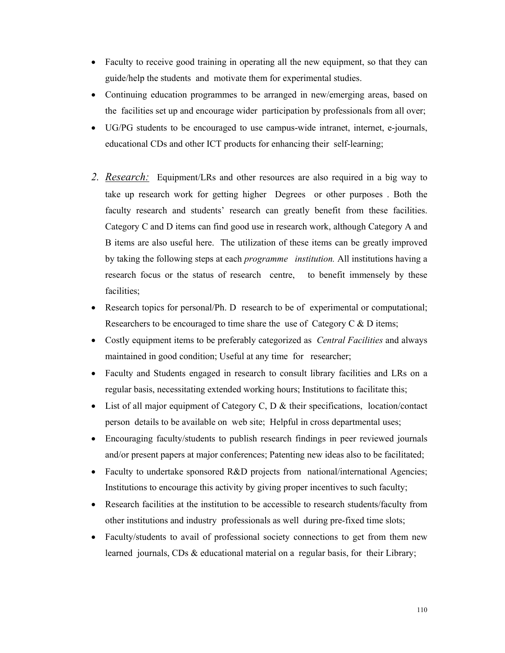- Faculty to receive good training in operating all the new equipment, so that they can guide/help the students and motivate them for experimental studies.
- Continuing education programmes to be arranged in new/emerging areas, based on the facilities set up and encourage wider participation by professionals from all over;
- UG/PG students to be encouraged to use campus-wide intranet, internet, e-journals, educational CDs and other ICT products for enhancing their self-learning;
- *2. Research:* Equipment/LRs and other resources are also required in a big way to take up research work for getting higher Degrees or other purposes . Both the faculty research and students' research can greatly benefit from these facilities. Category C and D items can find good use in research work, although Category A and B items are also useful here. The utilization of these items can be greatly improved by taking the following steps at each *programme institution.* All institutions having a research focus or the status of research centre, to benefit immensely by these facilities;
- Research topics for personal/Ph. D research to be of experimental or computational; Researchers to be encouraged to time share the use of Category C & D items;
- Costly equipment items to be preferably categorized as *Central Facilities* and always maintained in good condition; Useful at any time for researcher;
- Faculty and Students engaged in research to consult library facilities and LRs on a regular basis, necessitating extended working hours; Institutions to facilitate this;
- List of all major equipment of Category C, D & their specifications, location/contact person details to be available on web site; Helpful in cross departmental uses;
- Encouraging faculty/students to publish research findings in peer reviewed journals and/or present papers at major conferences; Patenting new ideas also to be facilitated;
- Faculty to undertake sponsored R&D projects from national/international Agencies; Institutions to encourage this activity by giving proper incentives to such faculty;
- Research facilities at the institution to be accessible to research students/faculty from other institutions and industry professionals as well during pre-fixed time slots;
- Faculty/students to avail of professional society connections to get from them new learned journals, CDs & educational material on a regular basis, for their Library;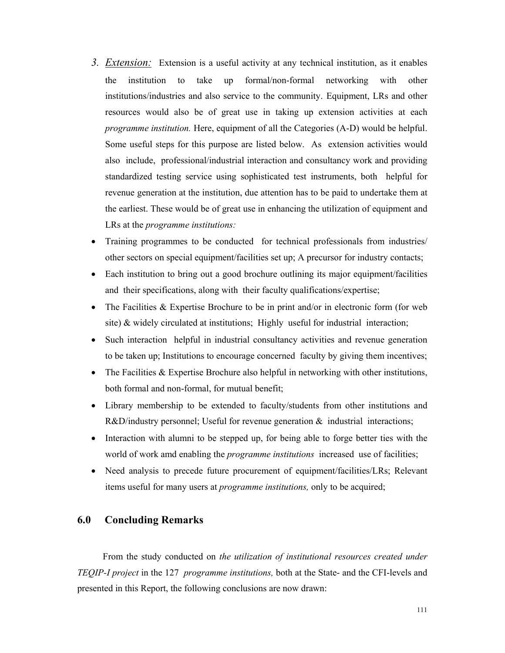- *3. Extension:* Extension is a useful activity at any technical institution, as it enables the institution to take up formal/non-formal networking with other institutions/industries and also service to the community. Equipment, LRs and other resources would also be of great use in taking up extension activities at each *programme institution.* Here, equipment of all the Categories (A-D) would be helpful. Some useful steps for this purpose are listed below. As extension activities would also include, professional/industrial interaction and consultancy work and providing standardized testing service using sophisticated test instruments, both helpful for revenue generation at the institution, due attention has to be paid to undertake them at the earliest. These would be of great use in enhancing the utilization of equipment and LRs at the *programme institutions:*
- Training programmes to be conducted for technical professionals from industries/ other sectors on special equipment/facilities set up; A precursor for industry contacts;
- Each institution to bring out a good brochure outlining its major equipment/facilities and their specifications, along with their faculty qualifications/expertise;
- The Facilities & Expertise Brochure to be in print and/or in electronic form (for web site) & widely circulated at institutions; Highly useful for industrial interaction;
- Such interaction helpful in industrial consultancy activities and revenue generation to be taken up; Institutions to encourage concerned faculty by giving them incentives;
- The Facilities  $&$  Expertise Brochure also helpful in networking with other institutions, both formal and non-formal, for mutual benefit;
- Library membership to be extended to faculty/students from other institutions and  $R&D/$ industry personnel; Useful for revenue generation  $&$  industrial interactions;
- Interaction with alumni to be stepped up, for being able to forge better ties with the world of work amd enabling the *programme institutions* increased use of facilities;
- Need analysis to precede future procurement of equipment/facilities/LRs; Relevant items useful for many users at *programme institutions,* only to be acquired;

#### **6.0 Concluding Remarks**

From the study conducted on *the utilization of institutional resources created under TEQIP-I project* in the 127 *programme institutions,* both at the State- and the CFI-levels and presented in this Report, the following conclusions are now drawn: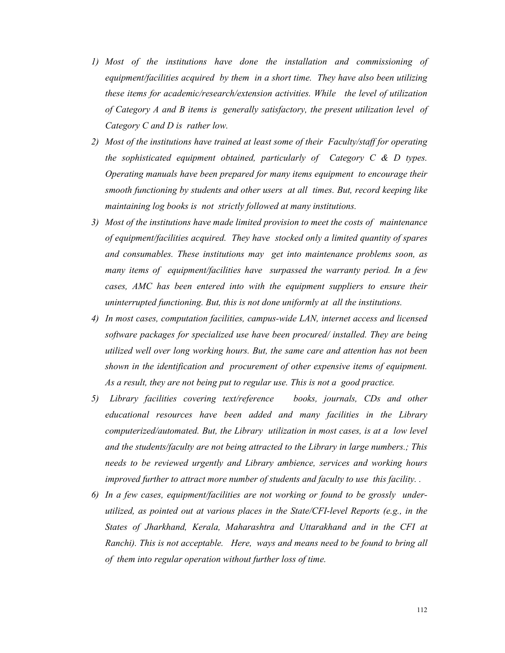- *1) Most of the institutions have done the installation and commissioning of equipment/facilities acquired by them in a short time. They have also been utilizing these items for academic/research/extension activities. While the level of utilization of Category A and B items is generally satisfactory, the present utilization level of Category C and D is rather low.*
- *2) Most of the institutions have trained at least some of their Faculty/staff for operating the sophisticated equipment obtained, particularly of Category C & D types. Operating manuals have been prepared for many items equipment to encourage their smooth functioning by students and other users at all times. But, record keeping like maintaining log books is not strictly followed at many institutions.*
- *3) Most of the institutions have made limited provision to meet the costs of maintenance of equipment/facilities acquired. They have stocked only a limited quantity of spares and consumables. These institutions may get into maintenance problems soon, as many items of equipment/facilities have surpassed the warranty period. In a few cases, AMC has been entered into with the equipment suppliers to ensure their uninterrupted functioning. But, this is not done uniformly at all the institutions.*
- *4) In most cases, computation facilities, campus-wide LAN, internet access and licensed software packages for specialized use have been procured/ installed. They are being utilized well over long working hours. But, the same care and attention has not been shown in the identification and procurement of other expensive items of equipment. As a result, they are not being put to regular use. This is not a good practice.*
- *5) Library facilities covering text/reference books, journals, CDs and other educational resources have been added and many facilities in the Library computerized/automated. But, the Library utilization in most cases, is at a low level and the students/faculty are not being attracted to the Library in large numbers.; This needs to be reviewed urgently and Library ambience, services and working hours improved further to attract more number of students and faculty to use this facility. .*
- *6) In a few cases, equipment/facilities are not working or found to be grossly underutilized, as pointed out at various places in the State/CFI-level Reports (e.g., in the States of Jharkhand, Kerala, Maharashtra and Uttarakhand and in the CFI at Ranchi). This is not acceptable. Here, ways and means need to be found to bring all of them into regular operation without further loss of time.*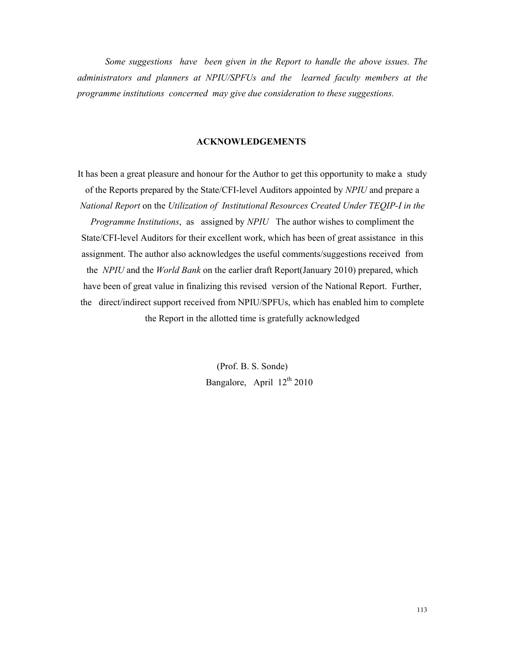*Some suggestions have been given in the Report to handle the above issues. The administrators and planners at NPIU/SPFUs and the learned faculty members at the programme institutions concerned may give due consideration to these suggestions.* 

#### **ACKNOWLEDGEMENTS**

It has been a great pleasure and honour for the Author to get this opportunity to make a study of the Reports prepared by the State/CFI-level Auditors appointed by *NPIU* and prepare a *National Report* on the *Utilization of Institutional Resources Created Under TEQIP-I in the Programme Institutions*, as assigned by *NPIU* The author wishes to compliment the State/CFI-level Auditors for their excellent work, which has been of great assistance in this assignment. The author also acknowledges the useful comments/suggestions received from the *NPIU* and the *World Bank* on the earlier draft Report(January 2010) prepared, which have been of great value in finalizing this revised version of the National Report. Further, the direct/indirect support received from NPIU/SPFUs, which has enabled him to complete the Report in the allotted time is gratefully acknowledged

> (Prof. B. S. Sonde) Bangalore, April 12<sup>th</sup> 2010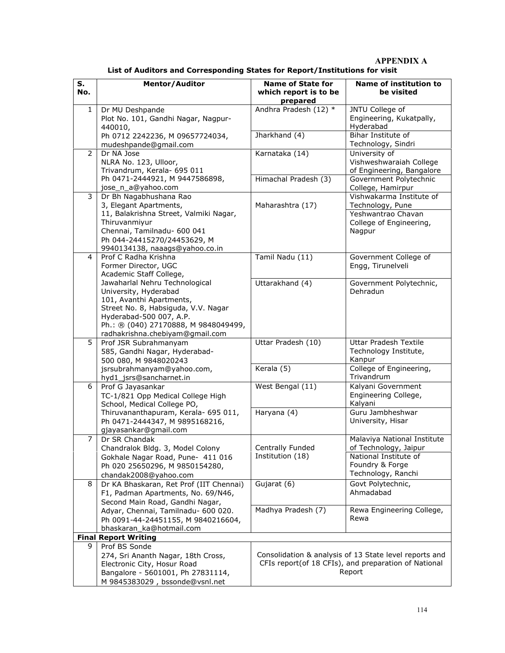**APPENDIX A** 

| S.<br>No.                   | <b>Mentor/Auditor</b>                                                                                                                                                                                                            | <b>Name of State for</b><br>which report is to be<br>prepared | Name of institution to<br>be visited                                                                                     |  |
|-----------------------------|----------------------------------------------------------------------------------------------------------------------------------------------------------------------------------------------------------------------------------|---------------------------------------------------------------|--------------------------------------------------------------------------------------------------------------------------|--|
| 1                           | Dr MU Deshpande<br>Plot No. 101, Gandhi Nagar, Nagpur-<br>440010,                                                                                                                                                                | Andhra Pradesh (12) *                                         | JNTU College of<br>Engineering, Kukatpally,<br>Hyderabad                                                                 |  |
|                             | Ph 0712 2242236, M 09657724034,<br>mudeshpande@gmail.com                                                                                                                                                                         | Jharkhand (4)                                                 | Bihar Institute of<br>Technology, Sindri                                                                                 |  |
| $\overline{2}$              | Dr NA Jose<br>NLRA No. 123, Ulloor,<br>Trivandrum, Kerala- 695 011                                                                                                                                                               | Karnataka (14)                                                | University of<br>Vishweshwaraiah College<br>of Engineering, Bangalore                                                    |  |
|                             | Ph 0471-2444921, M 9447586898,<br>jose_n_a@yahoo.com                                                                                                                                                                             | Himachal Pradesh (3)                                          | Government Polytechnic<br>College, Hamirpur                                                                              |  |
| 3                           | Dr Bh Nagabhushana Rao<br>3, Elegant Apartments,                                                                                                                                                                                 | Maharashtra (17)                                              | Vishwakarma Institute of<br>Technology, Pune                                                                             |  |
|                             | 11, Balakrishna Street, Valmiki Nagar,<br>Thiruvanmiyur<br>Chennai, Tamilnadu- 600 041<br>Ph 044-24415270/24453629, M<br>9940134138, naaags@yahoo.co.in                                                                          |                                                               | Yeshwantrao Chavan<br>College of Engineering,<br>Nagpur                                                                  |  |
| $\overline{4}$              | Prof C Radha Krishna<br>Former Director, UGC<br>Academic Staff College,                                                                                                                                                          | Tamil Nadu (11)                                               | Government College of<br>Engg, Tirunelveli                                                                               |  |
|                             | Jawaharlal Nehru Technological<br>University, Hyderabad<br>101, Avanthi Apartments,<br>Street No. 8, Habsiguda, V.V. Nagar<br>Hyderabad-500 007, A.P.<br>Ph.: ® (040) 27170888, M 9848049499,<br>radhakrishna.chebiyam@gmail.com | Uttarakhand (4)                                               | Government Polytechnic,<br>Dehradun                                                                                      |  |
| 5                           | Prof JSR Subrahmanyam<br>585, Gandhi Nagar, Hyderabad-<br>500 080, M 9848020243                                                                                                                                                  | Uttar Pradesh (10)                                            | Uttar Pradesh Textile<br>Technology Institute,<br>Kanpur                                                                 |  |
|                             | jsrsubrahmanyam@yahoo.com,<br>hyd1_jsrs@sancharnet.in                                                                                                                                                                            | Kerala (5)                                                    | College of Engineering,<br>Trivandrum                                                                                    |  |
| 6                           | Prof G Jayasankar<br>TC-1/821 Opp Medical College High<br>School, Medical College PO,                                                                                                                                            | West Bengal (11)                                              | Kalyani Government<br>Engineering College,<br>Kalyani                                                                    |  |
|                             | Thiruvananthapuram, Kerala- 695 011,<br>Ph 0471-2444347, M 9895168216,<br>gjayasankar@gmail.com                                                                                                                                  | Haryana (4)                                                   | Guru Jambheshwar<br>University, Hisar                                                                                    |  |
| $\overline{7}$              | Dr SR Chandak<br>Chandralok Bldg. 3, Model Colony                                                                                                                                                                                | Centrally Funded                                              | Malaviya National Institute<br>of Technology, Jaipur                                                                     |  |
|                             | Gokhale Nagar Road, Pune- 411 016<br>Ph 020 25650296, M 9850154280,<br>chandak2008@yahoo.com                                                                                                                                     | Institution (18)                                              | National Institute of<br>Foundry & Forge<br>Technology, Ranchi                                                           |  |
| 8                           | Dr KA Bhaskaran, Ret Prof (IIT Chennai)<br>F1, Padman Apartments, No. 69/N46,<br>Second Main Road, Gandhi Nagar,                                                                                                                 | Gujarat (6)                                                   | Govt Polytechnic,<br>Ahmadabad                                                                                           |  |
|                             | Adyar, Chennai, Tamilnadu- 600 020.<br>Ph 0091-44-24451155, M 9840216604,<br>bhaskaran_ka@hotmail.com                                                                                                                            | Madhya Pradesh (7)                                            | Rewa Engineering College,<br>Rewa                                                                                        |  |
| <b>Final Report Writing</b> |                                                                                                                                                                                                                                  |                                                               |                                                                                                                          |  |
| 9                           | Prof BS Sonde<br>274, Sri Ananth Nagar, 18th Cross,<br>Electronic City, Hosur Road<br>Bangalore - 5601001, Ph 27831114,<br>M 9845383029, bssonde@vsnl.net                                                                        |                                                               | Consolidation & analysis of 13 State level reports and<br>CFIs report(of 18 CFIs), and preparation of National<br>Report |  |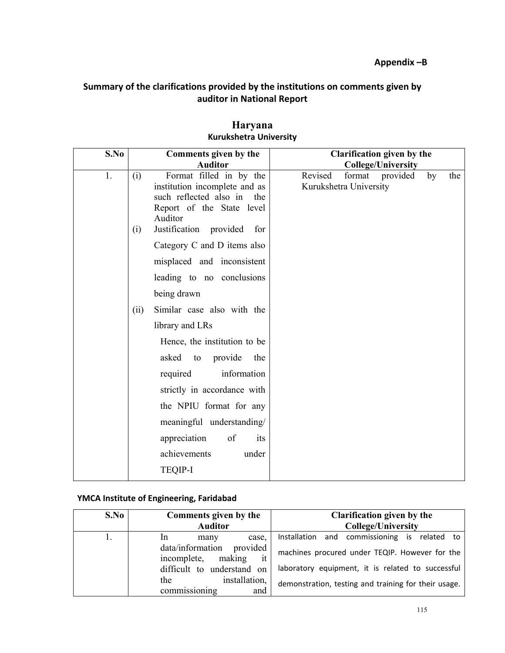#### **Summary of the clarifications provided by the institutions on comments given by auditor in National Report**

| S.No | Comments given by the                                                                                                                                                                                                                                                                                            | <b>Clarification given by the</b>                                    |
|------|------------------------------------------------------------------------------------------------------------------------------------------------------------------------------------------------------------------------------------------------------------------------------------------------------------------|----------------------------------------------------------------------|
|      | <b>Auditor</b>                                                                                                                                                                                                                                                                                                   | <b>College/University</b>                                            |
| 1.   | Format filled in by the<br>(i)<br>institution incomplete and as<br>such reflected also in<br>the<br>Report of the State level<br>Auditor<br>Justification provided<br>for<br>(i)                                                                                                                                 | Revised<br>format<br>provided<br>by<br>the<br>Kurukshetra University |
|      | Category C and D items also<br>misplaced and inconsistent<br>leading to no conclusions<br>being drawn                                                                                                                                                                                                            |                                                                      |
|      | Similar case also with the<br>(ii)<br>library and LRs<br>Hence, the institution to be<br>asked<br>provide<br>the<br>to<br>information<br>required<br>strictly in accordance with<br>the NPIU format for any<br>meaningful understanding/<br>appreciation<br>of<br>its<br>achievements<br>under<br><b>TEQIP-I</b> |                                                                      |

### **Haryana Kurukshetra University**

#### **YMCA Institute of Engineering, Faridabad**

| S.No | Comments given by the                                                  | Clarification given by the                           |
|------|------------------------------------------------------------------------|------------------------------------------------------|
|      | <b>Auditor</b>                                                         | <b>College/University</b>                            |
|      | case.<br>1n<br>many                                                    | and commissioning is<br>Installation<br>related to   |
|      | provided<br>data/information<br>incomplete,<br>making<br><sup>it</sup> | machines procured under TEQIP. However for the       |
|      | difficult to understand on                                             | laboratory equipment, it is related to successful    |
|      | installation.<br>the<br>and<br>commissioning                           | demonstration, testing and training for their usage. |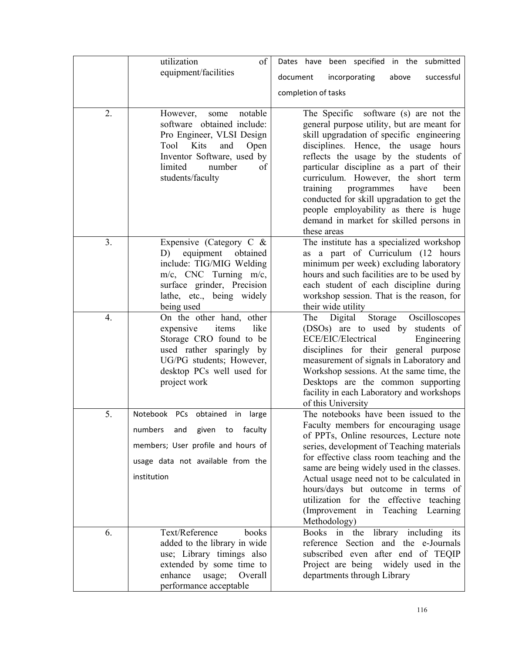|    | utilization<br>of                                                                                                                                                                                  | Dates have been specified in the submitted                                                                                                                                                                                                                                                                                                                                                                                                                                                     |
|----|----------------------------------------------------------------------------------------------------------------------------------------------------------------------------------------------------|------------------------------------------------------------------------------------------------------------------------------------------------------------------------------------------------------------------------------------------------------------------------------------------------------------------------------------------------------------------------------------------------------------------------------------------------------------------------------------------------|
|    | equipment/facilities                                                                                                                                                                               | document<br>incorporating<br>above<br>successful                                                                                                                                                                                                                                                                                                                                                                                                                                               |
|    |                                                                                                                                                                                                    | completion of tasks                                                                                                                                                                                                                                                                                                                                                                                                                                                                            |
|    |                                                                                                                                                                                                    |                                                                                                                                                                                                                                                                                                                                                                                                                                                                                                |
| 2. | notable<br>However,<br>some<br>software obtained include:<br>Pro Engineer, VLSI Design<br>Tool<br>Kits<br>and<br>Open<br>Inventor Software, used by<br>limited<br>number<br>of<br>students/faculty | The Specific software (s) are not the<br>general purpose utility, but are meant for<br>skill upgradation of specific engineering<br>disciplines. Hence, the usage hours<br>reflects the usage by the students of<br>particular discipline as a part of their<br>curriculum. However, the short term<br>training<br>programmes<br>have<br>been<br>conducted for skill upgradation to get the<br>people employability as there is huge<br>demand in market for skilled persons in<br>these areas |
| 3. | Expensive (Category C $\&$<br>obtained<br>equipment<br>D)<br>include: TIG/MIG Welding<br>m/c, CNC Turning m/c,<br>surface grinder, Precision<br>lathe, etc., being widely<br>being used            | The institute has a specialized workshop<br>as a part of Curriculum (12 hours<br>minimum per week) excluding laboratory<br>hours and such facilities are to be used by<br>each student of each discipline during<br>workshop session. That is the reason, for<br>their wide utility                                                                                                                                                                                                            |
| 4. | On the other hand, other<br>like<br>items<br>expensive<br>Storage CRO found to be<br>used rather sparingly by<br>UG/PG students; However,<br>desktop PCs well used for<br>project work             | Storage<br>Digital<br>Oscilloscopes<br>The<br>(DSOs) are to used by students of<br>ECE/EIC/Electrical<br>Engineering<br>disciplines for their general purpose<br>measurement of signals in Laboratory and<br>Workshop sessions. At the same time, the<br>Desktops are the common supporting<br>facility in each Laboratory and workshops<br>of this University                                                                                                                                 |
| 5. | Notebook PCs obtained<br>in<br>large<br>numbers<br>given to faculty<br>and<br>members; User profile and hours of<br>usage data not available from the<br>institution                               | The notebooks have been issued to the<br>Faculty members for encouraging usage<br>of PPTs, Online resources, Lecture note<br>series, development of Teaching materials<br>for effective class room teaching and the<br>same are being widely used in the classes.<br>Actual usage need not to be calculated in<br>hours/days but outcome in terms of<br>utilization for the effective<br>teaching<br>(Improvement)<br>in Teaching Learning<br>Methodology)                                     |
| 6. | Text/Reference<br>books<br>added to the library in wide<br>use; Library timings also<br>extended by some time to<br>enhance<br>Overall<br>usage;<br>performance acceptable                         | Books in the library including its<br>reference Section and the e-Journals<br>subscribed even after end of TEQIP<br>Project are being widely used in the<br>departments through Library                                                                                                                                                                                                                                                                                                        |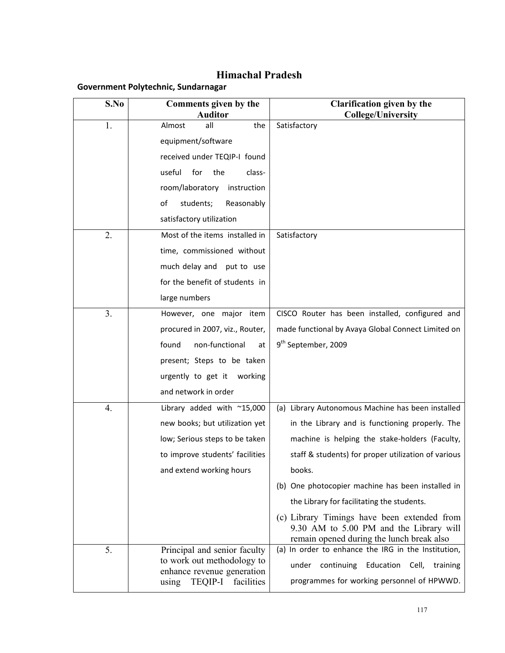# **Himachal Pradesh**

#### **Government Polytechnic, Sundarnagar**

| S.No           | Comments given by the<br><b>Auditor</b>                  | <b>Clarification given by the</b><br><b>College/University</b>                                                                      |
|----------------|----------------------------------------------------------|-------------------------------------------------------------------------------------------------------------------------------------|
| 1.             | the<br>Almost<br>all                                     | Satisfactory                                                                                                                        |
|                | equipment/software                                       |                                                                                                                                     |
|                | received under TEQIP-I found                             |                                                                                                                                     |
|                | the<br>useful<br>for<br>class-                           |                                                                                                                                     |
|                | room/laboratory<br>instruction                           |                                                                                                                                     |
|                | students;<br>οf<br>Reasonably                            |                                                                                                                                     |
|                | satisfactory utilization                                 |                                                                                                                                     |
| 2.             | Most of the items installed in                           | Satisfactory                                                                                                                        |
|                | time, commissioned without                               |                                                                                                                                     |
|                | much delay and put to use                                |                                                                                                                                     |
|                | for the benefit of students in                           |                                                                                                                                     |
|                | large numbers                                            |                                                                                                                                     |
| 3 <sub>1</sub> | However, one major item                                  | CISCO Router has been installed, configured and                                                                                     |
|                | procured in 2007, viz., Router,                          | made functional by Avaya Global Connect Limited on                                                                                  |
|                | non-functional<br>found<br>at                            | 9 <sup>th</sup> September, 2009                                                                                                     |
|                | present; Steps to be taken                               |                                                                                                                                     |
|                | urgently to get it<br>working                            |                                                                                                                                     |
|                | and network in order                                     |                                                                                                                                     |
| 4.             | Library added with ~15,000                               | (a) Library Autonomous Machine has been installed                                                                                   |
|                | new books; but utilization yet                           | in the Library and is functioning properly. The                                                                                     |
|                | low; Serious steps to be taken                           | machine is helping the stake-holders (Faculty,                                                                                      |
|                | to improve students' facilities                          | staff & students) for proper utilization of various                                                                                 |
|                | and extend working hours                                 | books.                                                                                                                              |
|                |                                                          | (b) One photocopier machine has been installed in                                                                                   |
|                |                                                          | the Library for facilitating the students.                                                                                          |
|                |                                                          | (c) Library Timings have been extended from<br>9.30 AM to 5.00 PM and the Library will<br>remain opened during the lunch break also |
| 5.             | Principal and senior faculty                             | (a) In order to enhance the IRG in the Institution,                                                                                 |
|                | to work out methodology to<br>enhance revenue generation | continuing Education Cell, training<br>under                                                                                        |
|                | <b>TEQIP-I</b><br>using<br>facilities                    | programmes for working personnel of HPWWD.                                                                                          |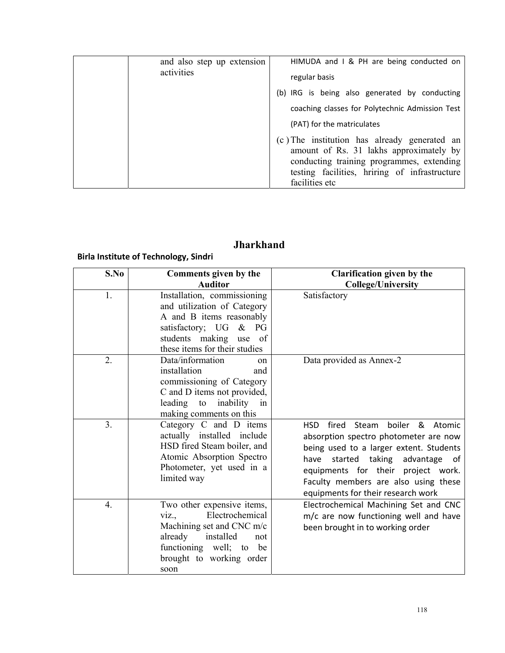| and also step up extension<br>activities | HIMUDA and I & PH are being conducted on<br>regular basis                                                                            |
|------------------------------------------|--------------------------------------------------------------------------------------------------------------------------------------|
|                                          | (b) IRG is being also generated by conducting                                                                                        |
|                                          | coaching classes for Polytechnic Admission Test                                                                                      |
|                                          | (PAT) for the matriculates                                                                                                           |
|                                          | (c) The institution has already generated an<br>amount of Rs. 31 lakhs approximately by<br>conducting training programmes, extending |
|                                          | testing facilities, hriring of infrastructure<br>facilities etc                                                                      |

# **Jharkhand**

### **Birla Institute of Technology, Sindri**

| S.No             | Comments given by the                                                                                                                                                                | <b>Clarification given by the</b>                                                                                                                                                                                                                                                           |
|------------------|--------------------------------------------------------------------------------------------------------------------------------------------------------------------------------------|---------------------------------------------------------------------------------------------------------------------------------------------------------------------------------------------------------------------------------------------------------------------------------------------|
|                  | <b>Auditor</b>                                                                                                                                                                       | <b>College/University</b>                                                                                                                                                                                                                                                                   |
| 1.               | Installation, commissioning<br>and utilization of Category<br>A and B items reasonably<br>satisfactory; UG<br>$\&$ PG<br>students making use of<br>these items for their studies     | Satisfactory                                                                                                                                                                                                                                                                                |
| 2.               | Data/information<br>on<br>installation<br>and<br>commissioning of Category<br>C and D items not provided,<br>inability<br>leading to<br>in<br>making comments on this                | Data provided as Annex-2                                                                                                                                                                                                                                                                    |
| 3.               | Category C and D items<br>actually installed include<br>HSD fired Steam boiler, and<br>Atomic Absorption Spectro<br>Photometer, yet used in a<br>limited way                         | fired<br>boiler &<br>HSD.<br>Steam<br>Atomic<br>absorption spectro photometer are now<br>being used to a larger extent. Students<br>started taking advantage of<br>have<br>equipments for their project work.<br>Faculty members are also using these<br>equipments for their research work |
| $\overline{4}$ . | Two other expensive items,<br>Electrochemical<br>Viz.,<br>Machining set and CNC m/c<br>already<br>installed<br>not<br>functioning well; to<br>be<br>brought to working order<br>soon | Electrochemical Machining Set and CNC<br>m/c are now functioning well and have<br>been brought in to working order                                                                                                                                                                          |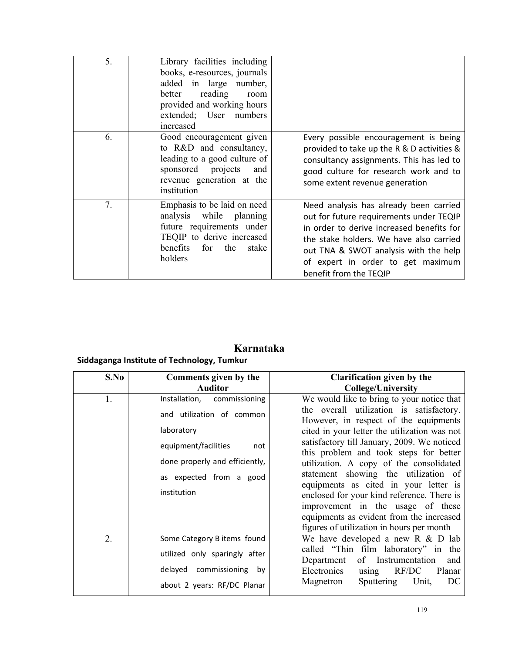| 5. | Library facilities including<br>books, e-resources, journals<br>added in large number,<br>reading<br>better<br>room<br>provided and working hours<br>extended; User numbers<br>increased |                                                                                                                                                                                                                                                                                   |
|----|------------------------------------------------------------------------------------------------------------------------------------------------------------------------------------------|-----------------------------------------------------------------------------------------------------------------------------------------------------------------------------------------------------------------------------------------------------------------------------------|
| 6. | Good encouragement given<br>to R&D and consultancy,<br>leading to a good culture of<br>sponsored projects<br>and<br>revenue generation at the<br>institution                             | Every possible encouragement is being<br>provided to take up the R & D activities &<br>consultancy assignments. This has led to<br>good culture for research work and to<br>some extent revenue generation                                                                        |
| 7. | Emphasis to be laid on need<br>analysis<br>while planning<br>future requirements under<br>TEQIP to derive increased<br>benefits<br>the<br>for<br>stake<br>holders                        | Need analysis has already been carried<br>out for future requirements under TEQIP<br>in order to derive increased benefits for<br>the stake holders. We have also carried<br>out TNA & SWOT analysis with the help<br>of expert in order to get maximum<br>benefit from the TEQIP |

# **Karnataka**

# **Siddaganga Institute of Technology, Tumkur**

| S.No | Comments given by the<br><b>Auditor</b>                                                                                                                                              | <b>Clarification given by the</b><br><b>College/University</b>                                                                                                                                                                                                                                                                                                                                                                                                                                                                                                                   |
|------|--------------------------------------------------------------------------------------------------------------------------------------------------------------------------------------|----------------------------------------------------------------------------------------------------------------------------------------------------------------------------------------------------------------------------------------------------------------------------------------------------------------------------------------------------------------------------------------------------------------------------------------------------------------------------------------------------------------------------------------------------------------------------------|
| 1.   | Installation,<br>commissioning<br>and utilization of common<br>laboratory<br>equipment/facilities<br>not<br>done properly and efficiently,<br>as expected from a good<br>institution | We would like to bring to your notice that<br>the overall utilization is satisfactory.<br>However, in respect of the equipments<br>cited in your letter the utilization was not<br>satisfactory till January, 2009. We noticed<br>this problem and took steps for better<br>utilization. A copy of the consolidated<br>statement showing the utilization of<br>equipments as cited in your letter is<br>enclosed for your kind reference. There is<br>improvement in the usage of these<br>equipments as evident from the increased<br>figures of utilization in hours per month |
| 2.   | Some Category B items found<br>utilized only sparingly after<br>delayed commissioning by<br>about 2 years: RF/DC Planar                                                              | We have developed a new $R \& D$ lab<br>called "Thin film laboratory" in the<br>Department<br>of Instrumentation<br>and<br>Electronics<br>RF/DC<br>Planar<br>using<br>Sputtering<br>Unit,<br>Magnetron<br>DC                                                                                                                                                                                                                                                                                                                                                                     |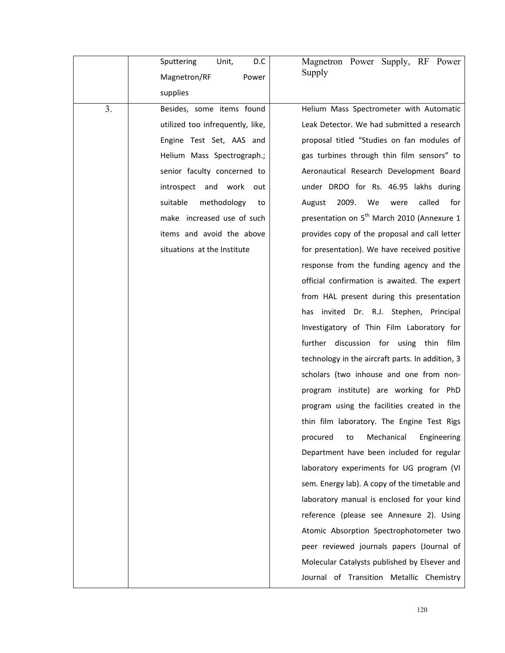|    | Sputtering<br>Unit,<br>D.C       | Magnetron Power Supply, RF Power                       |
|----|----------------------------------|--------------------------------------------------------|
|    | Magnetron/RF<br>Power            | Supply                                                 |
|    | supplies                         |                                                        |
| 3. | Besides, some items found        | Helium Mass Spectrometer with Automatic                |
|    | utilized too infrequently, like, | Leak Detector. We had submitted a research             |
|    | Engine Test Set, AAS and         | proposal titled "Studies on fan modules of             |
|    | Helium Mass Spectrograph.;       | gas turbines through thin film sensors" to             |
|    | senior faculty concerned to      | Aeronautical Research Development Board                |
|    | introspect and work<br>out       | under DRDO for Rs. 46.95 lakhs during                  |
|    | suitable<br>methodology<br>to    | 2009.<br>We<br>called<br>August<br>were<br>for         |
|    | make increased use of such       | presentation on 5 <sup>th</sup> March 2010 (Annexure 1 |
|    | items and avoid the above        | provides copy of the proposal and call letter          |
|    | situations at the Institute      | for presentation). We have received positive           |
|    |                                  | response from the funding agency and the               |
|    |                                  | official confirmation is awaited. The expert           |
|    |                                  | from HAL present during this presentation              |
|    |                                  | has invited Dr. R.J. Stephen, Principal                |
|    |                                  | Investigatory of Thin Film Laboratory for              |
|    |                                  | further discussion for using thin<br>film              |
|    |                                  | technology in the aircraft parts. In addition, 3       |
|    |                                  | scholars (two inhouse and one from non-                |
|    |                                  | program institute) are working for PhD                 |
|    |                                  | program using the facilities created in the            |
|    |                                  | thin film laboratory. The Engine Test Rigs             |
|    |                                  | Mechanical<br>procured<br>Engineering<br>to            |
|    |                                  | Department have been included for regular              |
|    |                                  | laboratory experiments for UG program (VI              |
|    |                                  | sem. Energy lab). A copy of the timetable and          |
|    |                                  | laboratory manual is enclosed for your kind            |
|    |                                  | reference (please see Annexure 2). Using               |
|    |                                  | Atomic Absorption Spectrophotometer two                |
|    |                                  | peer reviewed journals papers (Journal of              |
|    |                                  | Molecular Catalysts published by Elsever and           |
|    |                                  | Journal of Transition Metallic Chemistry               |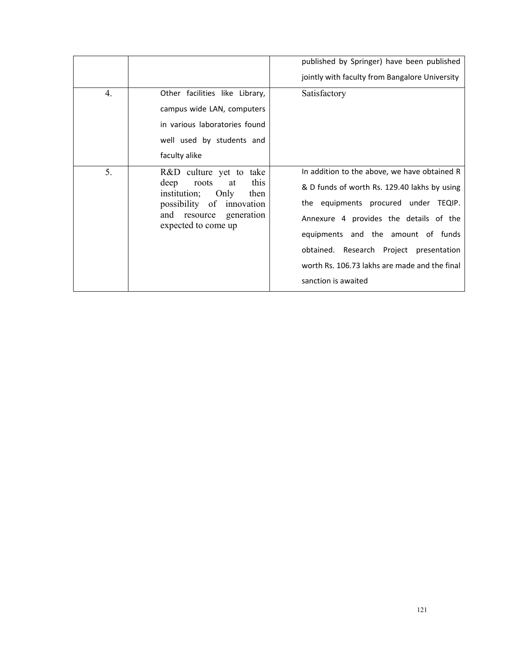|                  |                                                                                                                                                                       | published by Springer) have been published<br>jointly with faculty from Bangalore University                                                                                                                                                                                                                                            |
|------------------|-----------------------------------------------------------------------------------------------------------------------------------------------------------------------|-----------------------------------------------------------------------------------------------------------------------------------------------------------------------------------------------------------------------------------------------------------------------------------------------------------------------------------------|
| $\overline{4}$ . | Other facilities like Library,<br>campus wide LAN, computers<br>in various laboratories found<br>well used by students and<br>faculty alike                           | Satisfactory                                                                                                                                                                                                                                                                                                                            |
| 5.               | R&D culture yet to take<br>this<br>deep<br>roots<br>at<br>institution;<br>Only<br>then<br>possibility of innovation<br>and resource generation<br>expected to come up | In addition to the above, we have obtained R<br>& D funds of worth Rs. 129.40 lakhs by using<br>the equipments procured under TEQIP.<br>Annexure 4 provides the details of the<br>equipments and the amount of funds<br>obtained. Research Project presentation<br>worth Rs. 106.73 lakhs are made and the final<br>sanction is awaited |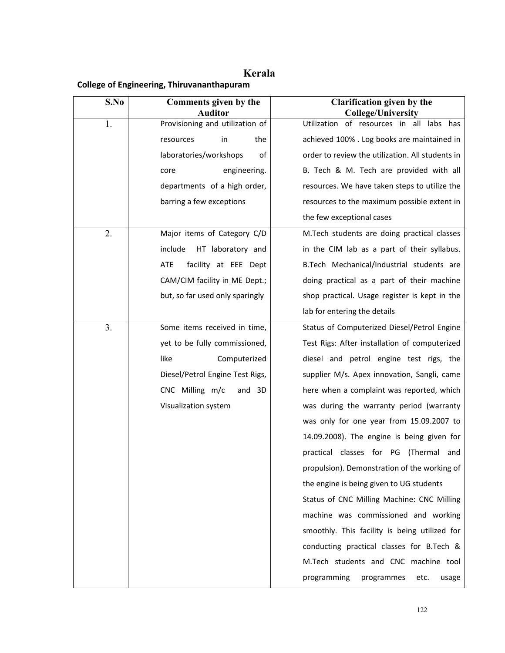# **Kerala**

### **College of Engineering, Thiruvananthapuram**

| S.No           | Comments given by the                             | <b>Clarification given by the</b>                                     |
|----------------|---------------------------------------------------|-----------------------------------------------------------------------|
| 1.             | <b>Auditor</b><br>Provisioning and utilization of | <b>College/University</b><br>Utilization of resources in all labs has |
|                | the<br>in<br>resources                            | achieved 100% . Log books are maintained in                           |
|                | laboratories/workshops<br>of                      | order to review the utilization. All students in                      |
|                | engineering.<br>core                              | B. Tech & M. Tech are provided with all                               |
|                | departments of a high order,                      | resources. We have taken steps to utilize the                         |
|                | barring a few exceptions                          | resources to the maximum possible extent in                           |
|                |                                                   | the few exceptional cases                                             |
| 2.             | Major items of Category C/D                       | M.Tech students are doing practical classes                           |
|                | include<br>HT laboratory and                      | in the CIM lab as a part of their syllabus.                           |
|                | <b>ATE</b><br>facility at EEE Dept                | B.Tech Mechanical/Industrial students are                             |
|                | CAM/CIM facility in ME Dept.;                     | doing practical as a part of their machine                            |
|                | but, so far used only sparingly                   | shop practical. Usage register is kept in the                         |
|                |                                                   | lab for entering the details                                          |
| 3 <sub>1</sub> | Some items received in time,                      | Status of Computerized Diesel/Petrol Engine                           |
|                | yet to be fully commissioned,                     | Test Rigs: After installation of computerized                         |
|                | like<br>Computerized                              | diesel and petrol engine test rigs, the                               |
|                | Diesel/Petrol Engine Test Rigs,                   | supplier M/s. Apex innovation, Sangli, came                           |
|                | CNC Milling m/c<br>and 3D                         | here when a complaint was reported, which                             |
|                | Visualization system                              | was during the warranty period (warranty                              |
|                |                                                   | was only for one year from 15.09.2007 to                              |
|                |                                                   | 14.09.2008). The engine is being given for                            |
|                |                                                   | practical classes for PG<br>(Thermal and                              |
|                |                                                   | propulsion). Demonstration of the working of                          |
|                |                                                   | the engine is being given to UG students                              |
|                |                                                   | Status of CNC Milling Machine: CNC Milling                            |
|                |                                                   | machine was commissioned and working                                  |
|                |                                                   | smoothly. This facility is being utilized for                         |
|                |                                                   | conducting practical classes for B.Tech &                             |
|                |                                                   | M.Tech students and CNC machine tool                                  |
|                |                                                   | programming<br>programmes<br>etc.<br>usage                            |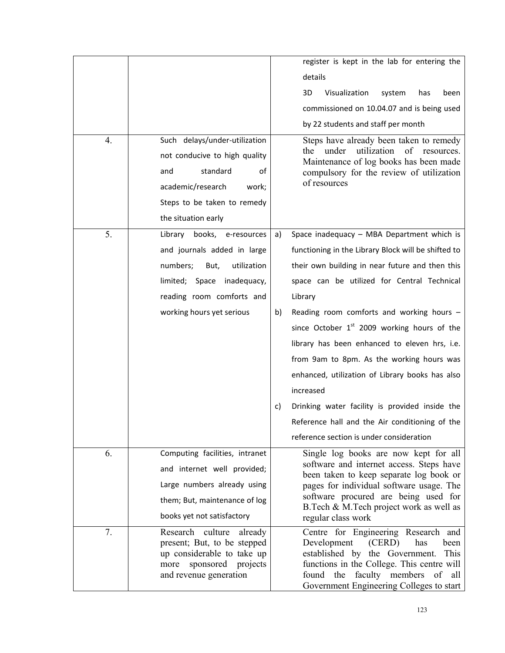|                  |                                                           | register is kept in the lab for entering the                                        |              |
|------------------|-----------------------------------------------------------|-------------------------------------------------------------------------------------|--------------|
|                  |                                                           | details                                                                             |              |
|                  |                                                           |                                                                                     |              |
|                  |                                                           | Visualization<br>3D<br>system<br>has                                                | been         |
|                  |                                                           | commissioned on 10.04.07 and is being used                                          |              |
|                  |                                                           | by 22 students and staff per month                                                  |              |
| $\overline{4}$ . | Such delays/under-utilization                             | Steps have already been taken to remedy                                             |              |
|                  | not conducive to high quality                             | utilization<br>of<br>under<br>the<br>Maintenance of log books has been made         | resources.   |
|                  | standard<br>οf<br>and                                     | compulsory for the review of utilization                                            |              |
|                  | academic/research<br>work;                                | of resources                                                                        |              |
|                  | Steps to be taken to remedy                               |                                                                                     |              |
|                  | the situation early                                       |                                                                                     |              |
| 5.               | Library books, e-resources                                | Space inadequacy - MBA Department which is<br>a)                                    |              |
|                  | and journals added in large                               | functioning in the Library Block will be shifted to                                 |              |
|                  | utilization<br>numbers;<br>But,                           | their own building in near future and then this                                     |              |
|                  | limited; Space inadequacy,                                | space can be utilized for Central Technical                                         |              |
|                  | reading room comforts and                                 | Library                                                                             |              |
|                  | working hours yet serious                                 | Reading room comforts and working hours -<br>b)                                     |              |
|                  |                                                           | since October 1 <sup>st</sup> 2009 working hours of the                             |              |
|                  |                                                           | library has been enhanced to eleven hrs, i.e.                                       |              |
|                  |                                                           | from 9am to 8pm. As the working hours was                                           |              |
|                  |                                                           | enhanced, utilization of Library books has also                                     |              |
|                  |                                                           | increased                                                                           |              |
|                  |                                                           | Drinking water facility is provided inside the<br>c)                                |              |
|                  |                                                           | Reference hall and the Air conditioning of the                                      |              |
|                  |                                                           | reference section is under consideration                                            |              |
| 6.               | Computing facilities, intranet                            | Single log books are now kept for all                                               |              |
|                  | and internet well provided;                               | software and internet access. Steps have<br>been taken to keep separate log book or |              |
|                  | Large numbers already using                               | pages for individual software usage. The                                            |              |
|                  | them; But, maintenance of log                             | software procured are being used for<br>B.Tech & M.Tech project work as well as     |              |
|                  | books yet not satisfactory                                | regular class work                                                                  |              |
| 7.               | Research culture<br>already                               | Centre for Engineering Research and<br>has                                          |              |
|                  | present; But, to be stepped<br>up considerable to take up | Development<br>(CERD)<br>established by the Government.                             | been<br>This |
|                  | sponsored projects<br>more                                | functions in the College. This centre will                                          |              |
|                  | and revenue generation                                    | faculty members of<br>found<br>the<br>Government Engineering Colleges to start      | all          |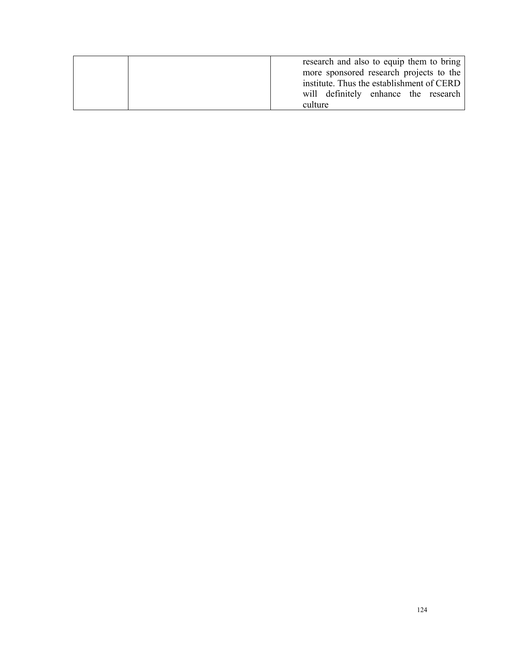| research and also to equip them to bring<br>more sponsored research projects to the          |
|----------------------------------------------------------------------------------------------|
| institute. Thus the establishment of CERD<br>will definitely enhance the research<br>culture |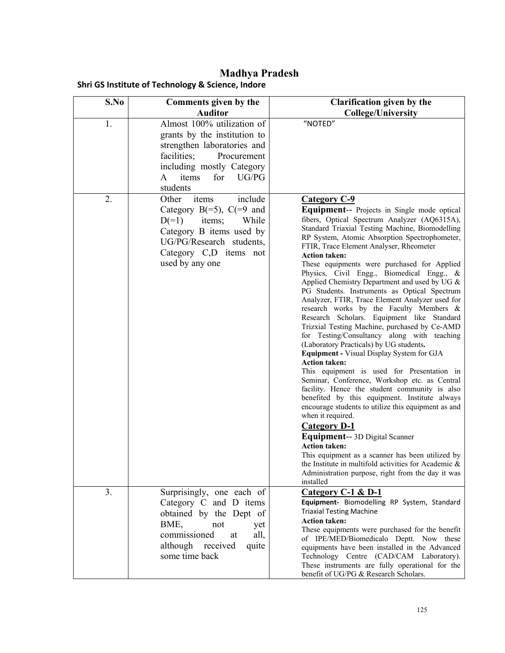**Madhya Pradesh Shri GS Institute of Technology & Science, Indore** 

| S.No | Comments given by the               | <b>Clarification given by the</b>                                                                           |
|------|-------------------------------------|-------------------------------------------------------------------------------------------------------------|
|      | <b>Auditor</b>                      | <b>College/University</b>                                                                                   |
| 1.   | Almost 100% utilization of          | "NOTED"                                                                                                     |
|      | grants by the institution to        |                                                                                                             |
|      | strengthen laboratories and         |                                                                                                             |
|      | facilities;<br>Procurement          |                                                                                                             |
|      | including mostly Category           |                                                                                                             |
|      | items<br>for<br>UG/PG<br>A          |                                                                                                             |
|      | students                            |                                                                                                             |
| 2.   | include<br>items<br>Other           | <b>Category C-9</b>                                                                                         |
|      | Category $B(=5)$ , $C(=9)$ and      | Equipment-- Projects in Single mode optical                                                                 |
|      | $D(=1)$<br>items;<br>While          | fibers, Optical Spectrum Analyzer (AQ6315A),<br>Standard Triaxial Testing Machine, Biomodelling             |
|      | Category B items used by            | RP System, Atomic Absorption Spectrophometer,                                                               |
|      | UG/PG/Research students,            | FTIR, Trace Element Analyser, Rheometer                                                                     |
|      | Category C <sub>,</sub> D items not | <b>Action taken:</b>                                                                                        |
|      | used by any one                     | These equipments were purchased for Applied                                                                 |
|      |                                     | Physics, Civil Engg., Biomedical Engg., &<br>Applied Chemistry Department and used by UG &                  |
|      |                                     | PG Students. Instruments as Optical Spectrum                                                                |
|      |                                     | Analyzer, FTIR, Trace Element Analyzer used for                                                             |
|      |                                     | research works by the Faculty Members &                                                                     |
|      |                                     | Research Scholars. Equipment like Standard                                                                  |
|      |                                     | Trizxial Testing Machine, purchased by Ce-AMD<br>for Testing/Consultancy along with teaching                |
|      |                                     | (Laboratory Practicals) by UG students.                                                                     |
|      |                                     | <b>Equipment - Visual Display System for GJA</b>                                                            |
|      |                                     | <b>Action taken:</b>                                                                                        |
|      |                                     | This equipment is used for Presentation in                                                                  |
|      |                                     | Seminar, Conference, Workshop etc. as Central<br>facility. Hence the student community is also              |
|      |                                     | benefited by this equipment. Institute always                                                               |
|      |                                     | encourage students to utilize this equipment as and                                                         |
|      |                                     | when it required.                                                                                           |
|      |                                     | <b>Category D-1</b>                                                                                         |
|      |                                     | Equipment-- 3D Digital Scanner                                                                              |
|      |                                     | <b>Action taken:</b>                                                                                        |
|      |                                     | This equipment as a scanner has been utilized by<br>the Institute in multifold activities for Academic $\&$ |
|      |                                     | Administration purpose, right from the day it was                                                           |
|      |                                     | installed                                                                                                   |
| 3.   | Surprisingly, one each of           | Category $C-1$ & D-1                                                                                        |
|      | Category C and D items              | Equipment- Biomodelling RP System, Standard                                                                 |
|      | obtained by the Dept of             | <b>Triaxial Testing Machine</b><br><b>Action taken:</b>                                                     |
|      | BME,<br>not<br>yet                  | These equipments were purchased for the benefit                                                             |
|      | commissioned<br>all,<br>at          | of IPE/MED/Biomedicalo Deptt. Now these                                                                     |
|      | quite<br>although received          | equipments have been installed in the Advanced                                                              |
|      | some time back                      | Technology Centre (CAD/CAM Laboratory).                                                                     |
|      |                                     | These instruments are fully operational for the                                                             |
|      |                                     | benefit of UG/PG & Research Scholars.                                                                       |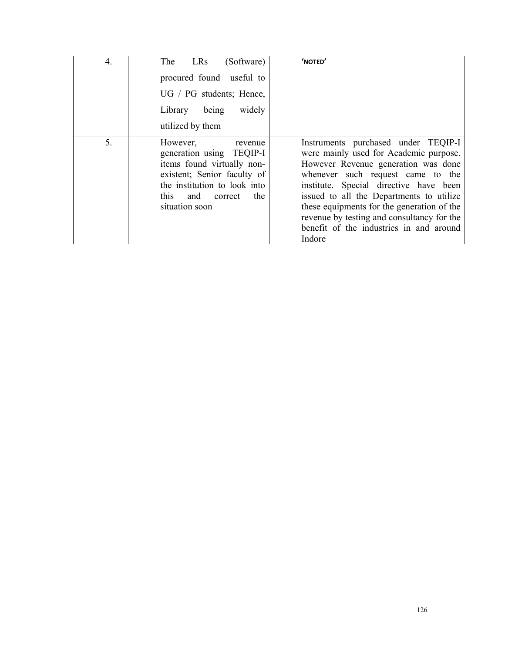| 4. | LRs<br>(Software)<br>The<br>procured found useful to<br>UG / PG students; Hence,<br>widely<br>Library<br>being<br>utilized by them                                                              | 'NOTED'                                                                                                                                                                                                                                                                                                                                                                                          |
|----|-------------------------------------------------------------------------------------------------------------------------------------------------------------------------------------------------|--------------------------------------------------------------------------------------------------------------------------------------------------------------------------------------------------------------------------------------------------------------------------------------------------------------------------------------------------------------------------------------------------|
| 5. | However,<br>revenue<br>generation using TEQIP-I<br>items found virtually non-<br>existent; Senior faculty of<br>the institution to look into<br>this<br>and<br>the<br>correct<br>situation soon | Instruments purchased under TEQIP-I<br>were mainly used for Academic purpose.<br>However Revenue generation was done<br>whenever such request came to the<br>institute. Special directive have been<br>issued to all the Departments to utilize<br>these equipments for the generation of the<br>revenue by testing and consultancy for the<br>benefit of the industries in and around<br>Indore |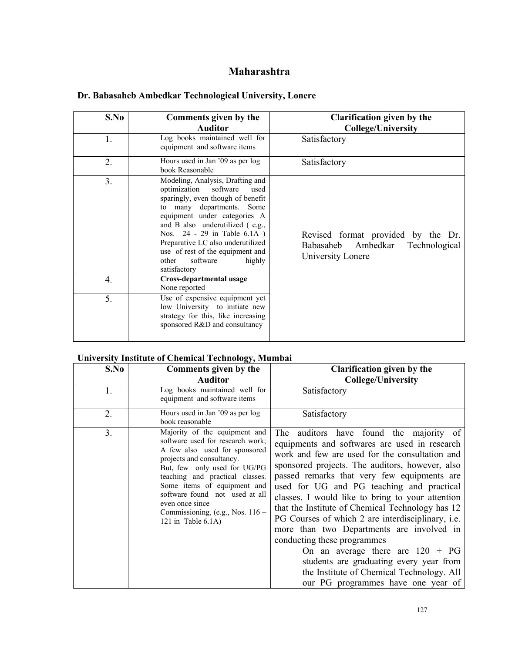# **Maharashtra**

| S.No           | Comments given by the<br><b>Auditor</b>                                                                                                                                                                                                                                                                                                                          | Clarification given by the<br><b>College/University</b>                                        |
|----------------|------------------------------------------------------------------------------------------------------------------------------------------------------------------------------------------------------------------------------------------------------------------------------------------------------------------------------------------------------------------|------------------------------------------------------------------------------------------------|
| 1.             | Log books maintained well for<br>equipment and software items                                                                                                                                                                                                                                                                                                    | Satisfactory                                                                                   |
| 2.             | Hours used in Jan '09 as per log<br>book Reasonable                                                                                                                                                                                                                                                                                                              | Satisfactory                                                                                   |
| 3 <sub>1</sub> | Modeling, Analysis, Drafting and<br>optimization<br>software<br>used<br>sparingly, even though of benefit<br>to many departments. Some<br>equipment under categories A<br>and B also underutilized (e.g.,<br>Nos. 24 - 29 in Table 6.1A)<br>Preparative LC also underutilized<br>use of rest of the equipment and<br>software<br>highly<br>other<br>satisfactory | Revised format provided by the Dr.<br>Babasaheb Ambedkar<br>Technological<br>University Lonere |
| 4.             | Cross-departmental usage<br>None reported                                                                                                                                                                                                                                                                                                                        |                                                                                                |
| 5.             | Use of expensive equipment yet<br>low University to initiate new<br>strategy for this, like increasing<br>sponsored R&D and consultancy                                                                                                                                                                                                                          |                                                                                                |

### **Dr. Babasaheb Ambedkar Technological University, Lonere**

#### **University In**s**titute of Chemical Technology, Mumbai**

| S.No | Comments given by the                                                                                                                                                                                                                                                                                                                                 | <b>Clarification given by the</b>                                                                                                                                                                                                                                                                                                                                                                                                                                                                                                                                                                                                                                                                      |
|------|-------------------------------------------------------------------------------------------------------------------------------------------------------------------------------------------------------------------------------------------------------------------------------------------------------------------------------------------------------|--------------------------------------------------------------------------------------------------------------------------------------------------------------------------------------------------------------------------------------------------------------------------------------------------------------------------------------------------------------------------------------------------------------------------------------------------------------------------------------------------------------------------------------------------------------------------------------------------------------------------------------------------------------------------------------------------------|
|      | <b>Auditor</b>                                                                                                                                                                                                                                                                                                                                        | <b>College/University</b>                                                                                                                                                                                                                                                                                                                                                                                                                                                                                                                                                                                                                                                                              |
| 1.   | Log books maintained well for<br>equipment and software items                                                                                                                                                                                                                                                                                         | Satisfactory                                                                                                                                                                                                                                                                                                                                                                                                                                                                                                                                                                                                                                                                                           |
| 2.   | Hours used in Jan '09 as per log<br>book reasonable                                                                                                                                                                                                                                                                                                   | Satisfactory                                                                                                                                                                                                                                                                                                                                                                                                                                                                                                                                                                                                                                                                                           |
| 3.   | Majority of the equipment and<br>software used for research work;<br>A few also used for sponsored<br>projects and consultancy.<br>But, few only used for UG/PG<br>teaching and practical classes.<br>Some items of equipment and<br>software found not used at all<br>even once since<br>Commissioning, (e.g., Nos. $116 -$<br>121 in Table $6.1A$ ) | The auditors have found the majority of<br>equipments and softwares are used in research<br>work and few are used for the consultation and<br>sponsored projects. The auditors, however, also<br>passed remarks that very few equipments are<br>used for UG and PG teaching and practical<br>classes. I would like to bring to your attention<br>that the Institute of Chemical Technology has 12<br>PG Courses of which 2 are interdisciplinary, i.e.<br>more than two Departments are involved in<br>conducting these programmes<br>On an average there are $120 + PG$<br>students are graduating every year from<br>the Institute of Chemical Technology. All<br>our PG programmes have one year of |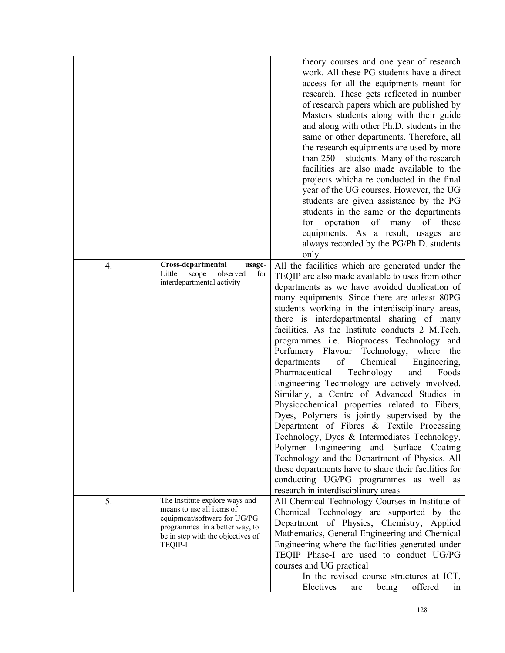|    |                                                                                                                                                                                      | theory courses and one year of research<br>work. All these PG students have a direct<br>access for all the equipments meant for<br>research. These gets reflected in number<br>of research papers which are published by<br>Masters students along with their guide<br>and along with other Ph.D. students in the<br>same or other departments. Therefore, all<br>the research equipments are used by more<br>than $250 +$ students. Many of the research<br>facilities are also made available to the<br>projects which are conducted in the final<br>year of the UG courses. However, the UG<br>students are given assistance by the PG<br>students in the same or the departments<br>operation<br>of<br>of<br>for<br>many<br>these<br>equipments. As a result, usages are<br>always recorded by the PG/Ph.D. students<br>only                                                                                                                                                                                                                                                               |
|----|--------------------------------------------------------------------------------------------------------------------------------------------------------------------------------------|------------------------------------------------------------------------------------------------------------------------------------------------------------------------------------------------------------------------------------------------------------------------------------------------------------------------------------------------------------------------------------------------------------------------------------------------------------------------------------------------------------------------------------------------------------------------------------------------------------------------------------------------------------------------------------------------------------------------------------------------------------------------------------------------------------------------------------------------------------------------------------------------------------------------------------------------------------------------------------------------------------------------------------------------------------------------------------------------|
| 4. | Cross-departmental<br>usage-<br>observed<br>Little<br>scope<br>for<br>interdepartmental activity                                                                                     | All the facilities which are generated under the<br>TEQIP are also made available to uses from other<br>departments as we have avoided duplication of<br>many equipments. Since there are atleast 80PG<br>students working in the interdisciplinary areas,<br>there is interdepartmental sharing of many<br>facilities. As the Institute conducts 2 M.Tech.<br>programmes i.e. Bioprocess Technology and<br>Perfumery Flavour Technology,<br>where<br>the<br>departments<br>of<br>Chemical<br>Engineering,<br>Pharmaceutical<br>Technology<br>Foods<br>and<br>Engineering Technology are actively involved.<br>Similarly, a Centre of Advanced Studies in<br>Physicochemical properties related to Fibers,<br>Dyes, Polymers is jointly supervised by the<br>Department of Fibres & Textile Processing<br>Technology, Dyes & Intermediates Technology,<br>Polymer Engineering and<br>Surface Coating<br>Technology and the Department of Physics. All<br>these departments have to share their facilities for<br>conducting UG/PG programmes as well as<br>research in interdisciplinary areas |
| 5. | The Institute explore ways and<br>means to use all items of<br>equipment/software for UG/PG<br>programmes in a better way, to<br>be in step with the objectives of<br><b>TEQIP-I</b> | All Chemical Technology Courses in Institute of<br>Chemical Technology are supported by the<br>Department of Physics, Chemistry, Applied<br>Mathematics, General Engineering and Chemical<br>Engineering where the facilities generated under<br>TEQIP Phase-I are used to conduct UG/PG<br>courses and UG practical<br>In the revised course structures at ICT,<br>Electives<br>being<br>offered<br>are<br>1n                                                                                                                                                                                                                                                                                                                                                                                                                                                                                                                                                                                                                                                                                 |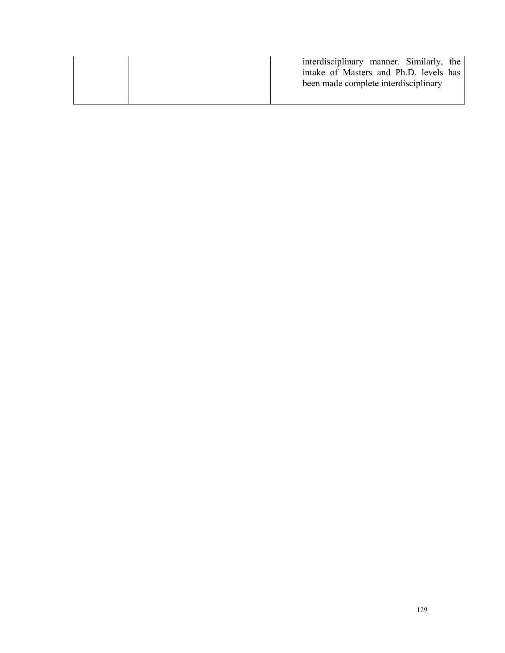|  | interdisciplinary manner. Similarly, the<br>intake of Masters and Ph.D. levels has<br>been made complete interdisciplinary |
|--|----------------------------------------------------------------------------------------------------------------------------|
|--|----------------------------------------------------------------------------------------------------------------------------|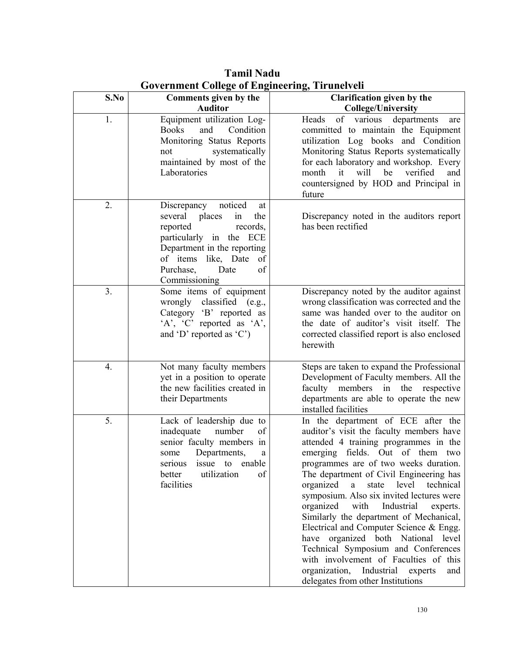| S.No | Comments given by the<br><b>Auditor</b>                                                                                                                                                                                   | Clarification given by the<br><b>College/University</b>                                                                                                                                                                                                                                                                                                                                                                                                                                                                                                                                                                                                                                        |
|------|---------------------------------------------------------------------------------------------------------------------------------------------------------------------------------------------------------------------------|------------------------------------------------------------------------------------------------------------------------------------------------------------------------------------------------------------------------------------------------------------------------------------------------------------------------------------------------------------------------------------------------------------------------------------------------------------------------------------------------------------------------------------------------------------------------------------------------------------------------------------------------------------------------------------------------|
| 1.   | Equipment utilization Log-<br><b>Books</b><br>and<br>Condition<br>Monitoring Status Reports<br>systematically<br>not<br>maintained by most of the<br>Laboratories                                                         | departments<br>of various<br>Heads<br>are<br>committed to maintain the Equipment<br>utilization Log books and Condition<br>Monitoring Status Reports systematically<br>for each laboratory and workshop. Every<br>month<br>it<br>will<br>verified<br>be<br>and<br>countersigned by HOD and Principal in<br>future                                                                                                                                                                                                                                                                                                                                                                              |
| 2.   | noticed<br>Discrepancy<br>at<br>several<br>places<br>the<br>in<br>records,<br>reported<br>particularly in the ECE<br>Department in the reporting<br>of items like, Date<br>of<br>of<br>Purchase,<br>Date<br>Commissioning | Discrepancy noted in the auditors report<br>has been rectified                                                                                                                                                                                                                                                                                                                                                                                                                                                                                                                                                                                                                                 |
| 3.   | Some items of equipment<br>wrongly classified (e.g.,<br>Category 'B' reported as<br>$'A$ , $'C$ reported as $'A$ ,<br>and 'D' reported as 'C')                                                                            | Discrepancy noted by the auditor against<br>wrong classification was corrected and the<br>same was handed over to the auditor on<br>the date of auditor's visit itself. The<br>corrected classified report is also enclosed<br>herewith                                                                                                                                                                                                                                                                                                                                                                                                                                                        |
| 4.   | Not many faculty members<br>yet in a position to operate<br>the new facilities created in<br>their Departments                                                                                                            | Steps are taken to expand the Professional<br>Development of Faculty members. All the<br>members<br>in<br>the<br>faculty<br>respective<br>departments are able to operate the new<br>installed facilities                                                                                                                                                                                                                                                                                                                                                                                                                                                                                      |
| 5.   | Lack of leadership due to<br>number<br>of<br>inadequate<br>senior faculty members in<br>Departments,<br>some<br>a<br>serious<br>issue<br>enable<br>to<br>utilization<br>of<br>better<br>facilities                        | In the department of ECE after the<br>auditor's visit the faculty members have<br>attended 4 training programmes in the<br>emerging fields. Out of them two<br>programmes are of two weeks duration.<br>The department of Civil Engineering has<br>organized<br>level<br>state<br>technical<br>a<br>symposium. Also six invited lectures were<br>organized<br>with<br>Industrial<br>experts.<br>Similarly the department of Mechanical,<br>Electrical and Computer Science & Engg.<br>have organized both National level<br>Technical Symposium and Conferences<br>with involvement of Faculties of this<br>organization,<br>Industrial<br>experts<br>and<br>delegates from other Institutions |

**Tamil Nadu Government College of Engineering, Tirunelveli**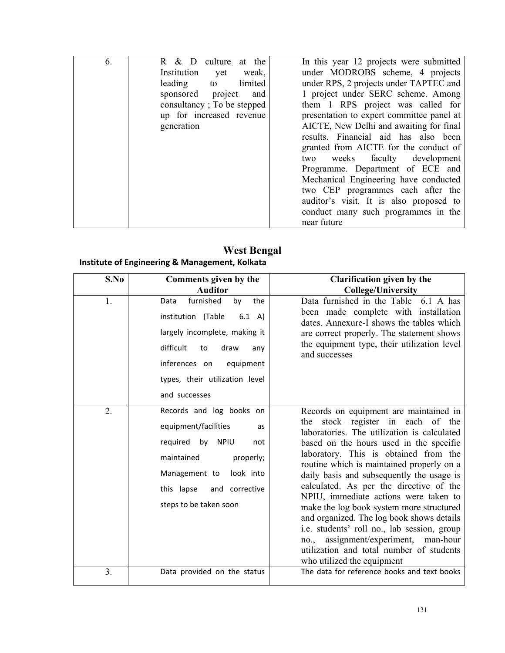| 6. | culture<br>R & D<br>at the  | In this year 12 projects were submitted   |
|----|-----------------------------|-------------------------------------------|
|    | Institution<br>weak,<br>yet | under MODROBS scheme, 4 projects          |
|    | leading<br>limited<br>to    | under RPS, 2 projects under TAPTEC and    |
|    | sponsored project<br>and    | 1 project under SERC scheme. Among        |
|    | consultancy; To be stepped  | them 1 RPS project was called for         |
|    | up for increased revenue    | presentation to expert committee panel at |
|    | generation                  | AICTE, New Delhi and awaiting for final   |
|    |                             | results. Financial aid has also been      |
|    |                             | granted from AICTE for the conduct of     |
|    |                             | two weeks faculty development             |
|    |                             | Programme. Department of ECE and          |
|    |                             | Mechanical Engineering have conducted     |
|    |                             | two CEP programmes each after the         |
|    |                             | auditor's visit. It is also proposed to   |
|    |                             | conduct many such programmes in the       |
|    |                             | near future                               |

**West Bengal Institute of Engineering & Management, Kolkata**

| S.No           | Comments given by the<br><b>Auditor</b>                                                                                                                                                                            | <b>Clarification given by the</b><br><b>College/University</b>                                                                                                                                                                                                                                                                                                                                                                                                                                                                                                                                                                                            |
|----------------|--------------------------------------------------------------------------------------------------------------------------------------------------------------------------------------------------------------------|-----------------------------------------------------------------------------------------------------------------------------------------------------------------------------------------------------------------------------------------------------------------------------------------------------------------------------------------------------------------------------------------------------------------------------------------------------------------------------------------------------------------------------------------------------------------------------------------------------------------------------------------------------------|
| 1.             | furnished<br>by<br>the<br>Data<br>institution (Table<br>6.1 A)<br>largely incomplete, making it<br>difficult<br>draw<br>to<br>any<br>inferences on<br>equipment<br>types, their utilization level<br>and successes | Data furnished in the Table 6.1 A has<br>been made complete with installation<br>dates. Annexure-I shows the tables which<br>are correct properly. The statement shows<br>the equipment type, their utilization level<br>and successes                                                                                                                                                                                                                                                                                                                                                                                                                    |
| 2.             | Records and log books on<br>equipment/facilities<br>as<br>required<br>by NPIU<br>not<br>maintained<br>properly;<br>Management to<br>look into<br>this lapse<br>and corrective<br>steps to be taken soon            | Records on equipment are maintained in<br>the stock register in each of the<br>laboratories. The utilization is calculated<br>based on the hours used in the specific<br>laboratory. This is obtained from the<br>routine which is maintained properly on a<br>daily basis and subsequently the usage is<br>calculated. As per the directive of the<br>NPIU, immediate actions were taken to<br>make the log book system more structured<br>and organized. The log book shows details<br>i.e. students' roll no., lab session, group<br>assignment/experiment, man-hour<br>no.,<br>utilization and total number of students<br>who utilized the equipment |
| 3 <sub>1</sub> | Data provided on the status                                                                                                                                                                                        | The data for reference books and text books                                                                                                                                                                                                                                                                                                                                                                                                                                                                                                                                                                                                               |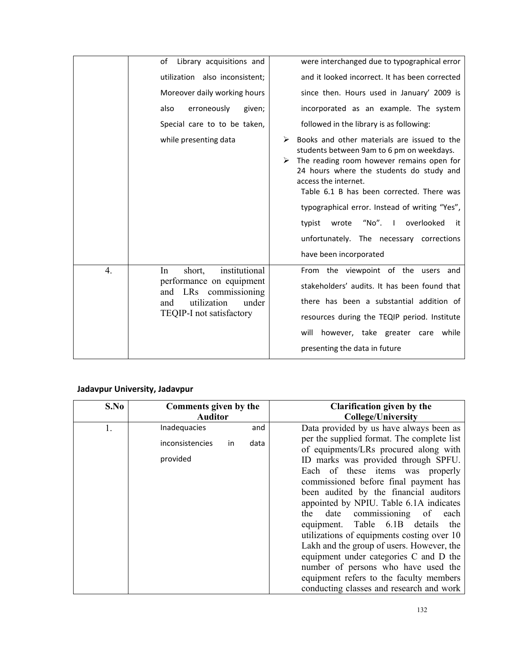|                                                                                     | of<br>Library acquisitions and               | were interchanged due to typographical error                                                                                                                                                                                                                                                                                                                                                           |
|-------------------------------------------------------------------------------------|----------------------------------------------|--------------------------------------------------------------------------------------------------------------------------------------------------------------------------------------------------------------------------------------------------------------------------------------------------------------------------------------------------------------------------------------------------------|
|                                                                                     | utilization also inconsistent;               | and it looked incorrect. It has been corrected                                                                                                                                                                                                                                                                                                                                                         |
|                                                                                     | Moreover daily working hours                 | since then. Hours used in January' 2009 is                                                                                                                                                                                                                                                                                                                                                             |
|                                                                                     | also<br>erroneously<br>given;                | incorporated as an example. The system                                                                                                                                                                                                                                                                                                                                                                 |
|                                                                                     | Special care to to be taken,                 | followed in the library is as following:                                                                                                                                                                                                                                                                                                                                                               |
|                                                                                     | while presenting data                        | Books and other materials are issued to the<br>students between 9am to 6 pm on weekdays.<br>The reading room however remains open for<br>24 hours where the students do study and<br>access the internet.<br>Table 6.1 B has been corrected. There was<br>typographical error. Instead of writing "Yes",<br>"No". I<br>overlooked<br>typist<br>wrote<br>it<br>unfortunately. The necessary corrections |
|                                                                                     |                                              | have been incorporated                                                                                                                                                                                                                                                                                                                                                                                 |
| $\overline{4}$ .                                                                    | institutional<br>In<br>short,                | From the viewpoint of the users and                                                                                                                                                                                                                                                                                                                                                                    |
| performance on equipment<br>LRs commissioning<br>and<br>utilization<br>under<br>and | stakeholders' audits. It has been found that |                                                                                                                                                                                                                                                                                                                                                                                                        |
|                                                                                     |                                              | there has been a substantial addition of                                                                                                                                                                                                                                                                                                                                                               |
|                                                                                     | TEQIP-I not satisfactory                     | resources during the TEQIP period. Institute                                                                                                                                                                                                                                                                                                                                                           |
|                                                                                     |                                              | however, take greater care while<br>will                                                                                                                                                                                                                                                                                                                                                               |
|                                                                                     |                                              | presenting the data in future                                                                                                                                                                                                                                                                                                                                                                          |
|                                                                                     |                                              |                                                                                                                                                                                                                                                                                                                                                                                                        |

#### **Jadavpur University, Jadavpur**

| S.No | Comments given by the<br><b>Auditor</b>           |             | <b>Clarification given by the</b><br><b>College/University</b>                                                                                                                                                                                                                                                                                                                                                                                                                                                                                                                                                                                                                                |
|------|---------------------------------------------------|-------------|-----------------------------------------------------------------------------------------------------------------------------------------------------------------------------------------------------------------------------------------------------------------------------------------------------------------------------------------------------------------------------------------------------------------------------------------------------------------------------------------------------------------------------------------------------------------------------------------------------------------------------------------------------------------------------------------------|
| 1.   | Inadequacies<br>inconsistencies<br>in<br>provided | and<br>data | Data provided by us have always been as<br>per the supplied format. The complete list<br>of equipments/LRs procured along with<br>ID marks was provided through SPFU.<br>Each of these items was properly<br>commissioned before final payment has<br>been audited by the financial auditors<br>appointed by NPIU. Table 6.1A indicates<br>date commissioning<br>the<br>of<br>each<br>equipment. Table 6.1B details<br>the<br>utilizations of equipments costing over 10<br>Lakh and the group of users. However, the<br>equipment under categories C and D the<br>number of persons who have used the<br>equipment refers to the faculty members<br>conducting classes and research and work |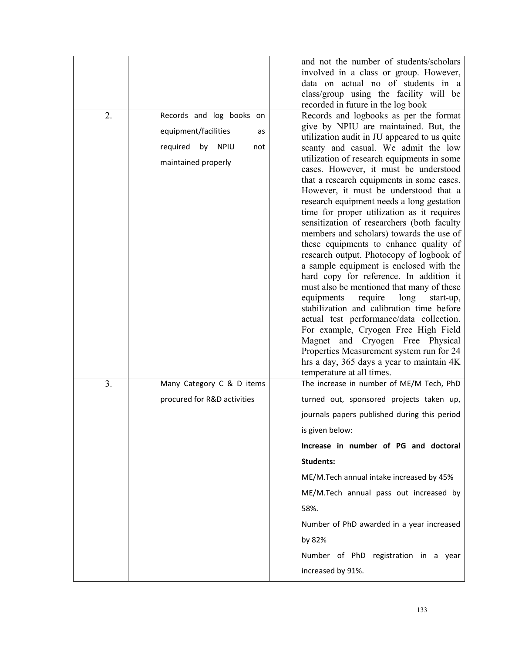|    |                             | and not the number of students/scholars                                            |
|----|-----------------------------|------------------------------------------------------------------------------------|
|    |                             | involved in a class or group. However,                                             |
|    |                             | data on actual no of students in a                                                 |
|    |                             | class/group using the facility will be                                             |
| 2. | Records and log books on    | recorded in future in the log book<br>Records and logbooks as per the format       |
|    |                             | give by NPIU are maintained. But, the                                              |
|    | equipment/facilities<br>as  | utilization audit in JU appeared to us quite                                       |
|    | required<br>by NPIU<br>not  | scanty and casual. We admit the low                                                |
|    | maintained properly         | utilization of research equipments in some                                         |
|    |                             | cases. However, it must be understood                                              |
|    |                             | that a research equipments in some cases.                                          |
|    |                             | However, it must be understood that a<br>research equipment needs a long gestation |
|    |                             | time for proper utilization as it requires                                         |
|    |                             | sensitization of researchers (both faculty                                         |
|    |                             | members and scholars) towards the use of                                           |
|    |                             | these equipments to enhance quality of                                             |
|    |                             | research output. Photocopy of logbook of                                           |
|    |                             | a sample equipment is enclosed with the<br>hard copy for reference. In addition it |
|    |                             | must also be mentioned that many of these                                          |
|    |                             | require<br>long<br>equipments<br>start-up,                                         |
|    |                             | stabilization and calibration time before                                          |
|    |                             | actual test performance/data collection.                                           |
|    |                             | For example, Cryogen Free High Field                                               |
|    |                             | Magnet and Cryogen Free Physical<br>Properties Measurement system run for 24       |
|    |                             | hrs a day, 365 days a year to maintain 4K                                          |
|    |                             | temperature at all times.                                                          |
| 3. | Many Category C & D items   | The increase in number of ME/M Tech, PhD                                           |
|    | procured for R&D activities | turned out, sponsored projects taken up,                                           |
|    |                             | journals papers published during this period                                       |
|    |                             | is given below:                                                                    |
|    |                             | Increase in number of PG and doctoral                                              |
|    |                             | <b>Students:</b>                                                                   |
|    |                             | ME/M.Tech annual intake increased by 45%                                           |
|    |                             | ME/M.Tech annual pass out increased by                                             |
|    |                             | 58%.                                                                               |
|    |                             | Number of PhD awarded in a year increased                                          |
|    |                             | by 82%                                                                             |
|    |                             | Number of PhD registration in a year                                               |
|    |                             | increased by 91%.                                                                  |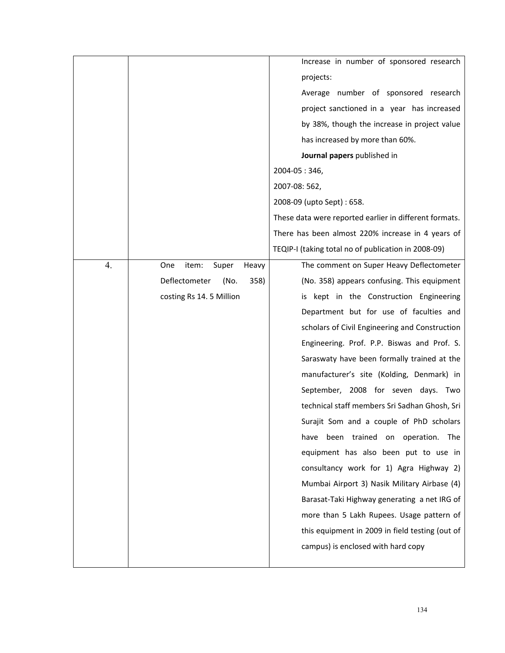|    |                                | Increase in number of sponsored research               |
|----|--------------------------------|--------------------------------------------------------|
|    |                                | projects:                                              |
|    |                                | Average number of sponsored research                   |
|    |                                | project sanctioned in a year has increased             |
|    |                                | by 38%, though the increase in project value           |
|    |                                | has increased by more than 60%.                        |
|    |                                | Journal papers published in                            |
|    |                                | 2004-05:346,                                           |
|    |                                | 2007-08: 562,                                          |
|    |                                | 2008-09 (upto Sept) : 658.                             |
|    |                                | These data were reported earlier in different formats. |
|    |                                | There has been almost 220% increase in 4 years of      |
|    |                                | TEQIP-I (taking total no of publication in 2008-09)    |
| 4. | item:<br>Super<br>One<br>Heavy | The comment on Super Heavy Deflectometer               |
|    | Deflectometer<br>(No.<br>358)  | (No. 358) appears confusing. This equipment            |
|    | costing Rs 14. 5 Million       | is kept in the Construction Engineering                |
|    |                                | Department but for use of faculties and                |
|    |                                | scholars of Civil Engineering and Construction         |
|    |                                | Engineering. Prof. P.P. Biswas and Prof. S.            |
|    |                                | Saraswaty have been formally trained at the            |
|    |                                | manufacturer's site (Kolding, Denmark) in              |
|    |                                | September, 2008 for seven days. Two                    |
|    |                                | technical staff members Sri Sadhan Ghosh, Sri          |
|    |                                | Surajit Som and a couple of PhD scholars               |
|    |                                | been trained on operation. The<br>have                 |
|    |                                | equipment has also been put to use in                  |
|    |                                | consultancy work for 1) Agra Highway 2)                |
|    |                                | Mumbai Airport 3) Nasik Military Airbase (4)           |
|    |                                | Barasat-Taki Highway generating a net IRG of           |
|    |                                | more than 5 Lakh Rupees. Usage pattern of              |
|    |                                | this equipment in 2009 in field testing (out of        |
|    |                                | campus) is enclosed with hard copy                     |
|    |                                |                                                        |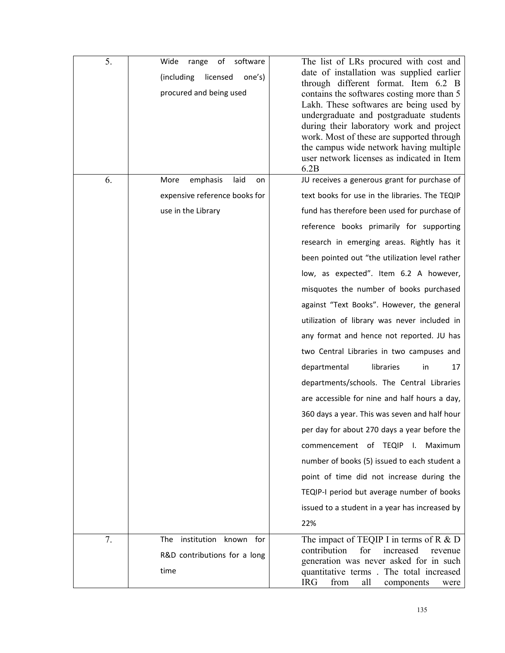| 5. | software<br>Wide<br>range<br>of<br>(including<br>licensed<br>one's)<br>procured and being used | The list of LRs procured with cost and<br>date of installation was supplied earlier<br>through different format. Item 6.2 B<br>contains the softwares costing more than 5<br>Lakh. These softwares are being used by<br>undergraduate and postgraduate students<br>during their laboratory work and project<br>work. Most of these are supported through<br>the campus wide network having multiple<br>user network licenses as indicated in Item<br>6.2B |
|----|------------------------------------------------------------------------------------------------|-----------------------------------------------------------------------------------------------------------------------------------------------------------------------------------------------------------------------------------------------------------------------------------------------------------------------------------------------------------------------------------------------------------------------------------------------------------|
| 6. | emphasis<br>laid<br>More<br>on                                                                 | JU receives a generous grant for purchase of                                                                                                                                                                                                                                                                                                                                                                                                              |
|    | expensive reference books for                                                                  | text books for use in the libraries. The TEQIP                                                                                                                                                                                                                                                                                                                                                                                                            |
|    | use in the Library                                                                             | fund has therefore been used for purchase of                                                                                                                                                                                                                                                                                                                                                                                                              |
|    |                                                                                                | reference books primarily for supporting                                                                                                                                                                                                                                                                                                                                                                                                                  |
|    |                                                                                                | research in emerging areas. Rightly has it                                                                                                                                                                                                                                                                                                                                                                                                                |
|    |                                                                                                | been pointed out "the utilization level rather                                                                                                                                                                                                                                                                                                                                                                                                            |
|    |                                                                                                | low, as expected". Item 6.2 A however,                                                                                                                                                                                                                                                                                                                                                                                                                    |
|    |                                                                                                | misquotes the number of books purchased                                                                                                                                                                                                                                                                                                                                                                                                                   |
|    |                                                                                                | against "Text Books". However, the general                                                                                                                                                                                                                                                                                                                                                                                                                |
|    |                                                                                                | utilization of library was never included in                                                                                                                                                                                                                                                                                                                                                                                                              |
|    |                                                                                                | any format and hence not reported. JU has                                                                                                                                                                                                                                                                                                                                                                                                                 |
|    |                                                                                                | two Central Libraries in two campuses and                                                                                                                                                                                                                                                                                                                                                                                                                 |
|    |                                                                                                | departmental<br>libraries<br>in<br>17                                                                                                                                                                                                                                                                                                                                                                                                                     |
|    |                                                                                                | departments/schools. The Central Libraries                                                                                                                                                                                                                                                                                                                                                                                                                |
|    |                                                                                                | are accessible for nine and half hours a day,                                                                                                                                                                                                                                                                                                                                                                                                             |
|    |                                                                                                | 360 days a year. This was seven and half hour                                                                                                                                                                                                                                                                                                                                                                                                             |
|    |                                                                                                | per day for about 270 days a year before the                                                                                                                                                                                                                                                                                                                                                                                                              |
|    |                                                                                                | commencement of TEQIP I.<br>Maximum                                                                                                                                                                                                                                                                                                                                                                                                                       |
|    |                                                                                                | number of books (5) issued to each student a                                                                                                                                                                                                                                                                                                                                                                                                              |
|    |                                                                                                | point of time did not increase during the                                                                                                                                                                                                                                                                                                                                                                                                                 |
|    |                                                                                                | TEQIP-I period but average number of books                                                                                                                                                                                                                                                                                                                                                                                                                |
|    |                                                                                                | issued to a student in a year has increased by                                                                                                                                                                                                                                                                                                                                                                                                            |
|    |                                                                                                | 22%                                                                                                                                                                                                                                                                                                                                                                                                                                                       |
| 7. | institution<br>known for<br><b>The</b><br>R&D contributions for a long<br>time                 | The impact of TEQIP I in terms of R $&D$<br>contribution<br>for<br>increased<br>revenue<br>generation was never asked for in such<br>quantitative terms. The total increased                                                                                                                                                                                                                                                                              |
|    |                                                                                                | <b>IRG</b><br>all<br>from<br>components<br>were                                                                                                                                                                                                                                                                                                                                                                                                           |